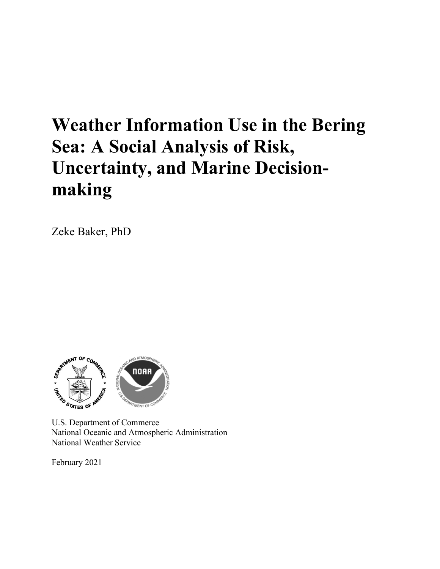# **Weather Information Use in the Bering Sea: A Social Analysis of Risk, Uncertainty, and Marine Decisionmaking**

Zeke Baker, PhD



U.S. Department of Commerce National Oceanic and Atmospheric Administration National Weather Service

February 2021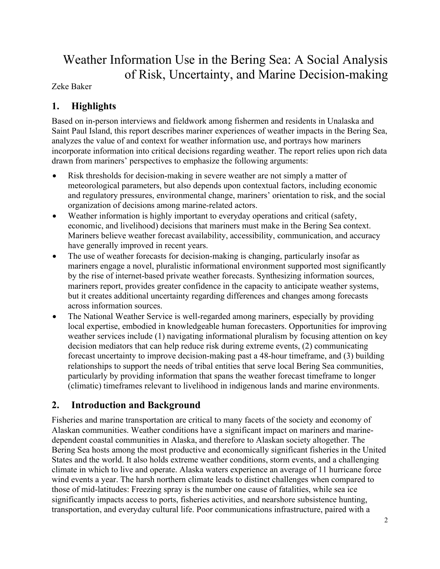## Weather Information Use in the Bering Sea: A Social Analysis of Risk, Uncertainty, and Marine Decision-making

Zeke Baker

## **1. Highlights**

Based on in-person interviews and fieldwork among fishermen and residents in Unalaska and Saint Paul Island, this report describes mariner experiences of weather impacts in the Bering Sea, analyzes the value of and context for weather information use, and portrays how mariners incorporate information into critical decisions regarding weather. The report relies upon rich data drawn from mariners' perspectives to emphasize the following arguments:

- Risk thresholds for decision-making in severe weather are not simply a matter of meteorological parameters, but also depends upon contextual factors, including economic and regulatory pressures, environmental change, mariners' orientation to risk, and the social organization of decisions among marine-related actors.
- Weather information is highly important to everyday operations and critical (safety, economic, and livelihood) decisions that mariners must make in the Bering Sea context. Mariners believe weather forecast availability, accessibility, communication, and accuracy have generally improved in recent years.
- The use of weather forecasts for decision-making is changing, particularly insofar as mariners engage a novel, pluralistic informational environment supported most significantly by the rise of internet-based private weather forecasts. Synthesizing information sources, mariners report, provides greater confidence in the capacity to anticipate weather systems, but it creates additional uncertainty regarding differences and changes among forecasts across information sources.
- The National Weather Service is well-regarded among mariners, especially by providing local expertise, embodied in knowledgeable human forecasters. Opportunities for improving weather services include (1) navigating informational pluralism by focusing attention on key decision mediators that can help reduce risk during extreme events, (2) communicating forecast uncertainty to improve decision-making past a 48-hour timeframe, and (3) building relationships to support the needs of tribal entities that serve local Bering Sea communities, particularly by providing information that spans the weather forecast timeframe to longer (climatic) timeframes relevant to livelihood in indigenous lands and marine environments.

## **2. Introduction and Background**

Fisheries and marine transportation are critical to many facets of the society and economy of Alaskan communities. Weather conditions have a significant impact on mariners and marinedependent coastal communities in Alaska, and therefore to Alaskan society altogether. The Bering Sea hosts among the most productive and economically significant fisheries in the United States and the world. It also holds extreme weather conditions, storm events, and a challenging climate in which to live and operate. Alaska waters experience an average of 11 hurricane force wind events a year. The harsh northern climate leads to distinct challenges when compared to those of mid-latitudes: Freezing spray is the number one cause of fatalities, while sea ice significantly impacts access to ports, fisheries activities, and nearshore subsistence hunting, transportation, and everyday cultural life. Poor communications infrastructure, paired with a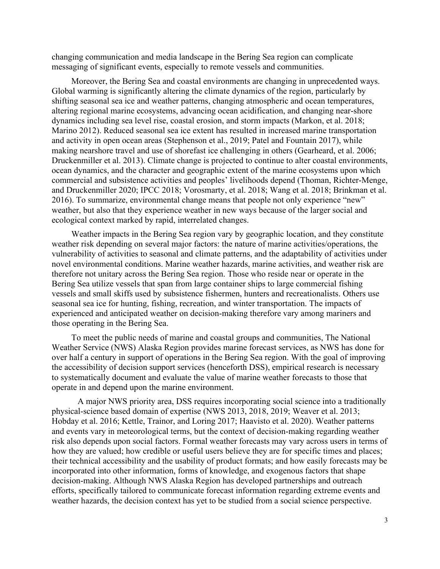changing communication and media landscape in the Bering Sea region can complicate messaging of significant events, especially to remote vessels and communities.

Moreover, the Bering Sea and coastal environments are changing in unprecedented ways. Global warming is significantly altering the climate dynamics of the region, particularly by shifting seasonal sea ice and weather patterns, changing atmospheric and ocean temperatures, altering regional marine ecosystems, advancing ocean acidification, and changing near-shore dynamics including sea level rise, coastal erosion, and storm impacts (Markon, et al. 2018; Marino 2012). Reduced seasonal sea ice extent has resulted in increased marine transportation and activity in open ocean areas (Stephenson et al., 2019; Patel and Fountain 2017), while making nearshore travel and use of shorefast ice challenging in others (Gearheard, et al. 2006; Druckenmiller et al. 2013). Climate change is projected to continue to alter coastal environments, ocean dynamics, and the character and geographic extent of the marine ecosystems upon which commercial and subsistence activities and peoples' livelihoods depend (Thoman, Richter-Menge, and Druckenmiller 2020; IPCC 2018; Vorosmarty, et al. 2018; Wang et al. 2018; Brinkman et al. 2016). To summarize, environmental change means that people not only experience "new" weather, but also that they experience weather in new ways because of the larger social and ecological context marked by rapid, interrelated changes.

Weather impacts in the Bering Sea region vary by geographic location, and they constitute weather risk depending on several major factors: the nature of marine activities/operations, the vulnerability of activities to seasonal and climate patterns, and the adaptability of activities under novel environmental conditions. Marine weather hazards, marine activities, and weather risk are therefore not unitary across the Bering Sea region. Those who reside near or operate in the Bering Sea utilize vessels that span from large container ships to large commercial fishing vessels and small skiffs used by subsistence fishermen, hunters and recreationalists. Others use seasonal sea ice for hunting, fishing, recreation, and winter transportation. The impacts of experienced and anticipated weather on decision-making therefore vary among mariners and those operating in the Bering Sea.

To meet the public needs of marine and coastal groups and communities, The National Weather Service (NWS) Alaska Region provides marine forecast services, as NWS has done for over half a century in support of operations in the Bering Sea region. With the goal of improving the accessibility of decision support services (henceforth DSS), empirical research is necessary to systematically document and evaluate the value of marine weather forecasts to those that operate in and depend upon the marine environment.

A major NWS priority area, DSS requires incorporating social science into a traditionally physical-science based domain of expertise (NWS 2013, 2018, 2019; Weaver et al. 2013; Hobday et al. 2016; Kettle, Trainor, and Loring 2017; Haavisto et al. 2020). Weather patterns and events vary in meteorological terms, but the context of decision-making regarding weather risk also depends upon social factors. Formal weather forecasts may vary across users in terms of how they are valued; how credible or useful users believe they are for specific times and places; their technical accessibility and the usability of product formats; and how easily forecasts may be incorporated into other information, forms of knowledge, and exogenous factors that shape decision-making. Although NWS Alaska Region has developed partnerships and outreach efforts, specifically tailored to communicate forecast information regarding extreme events and weather hazards, the decision context has yet to be studied from a social science perspective.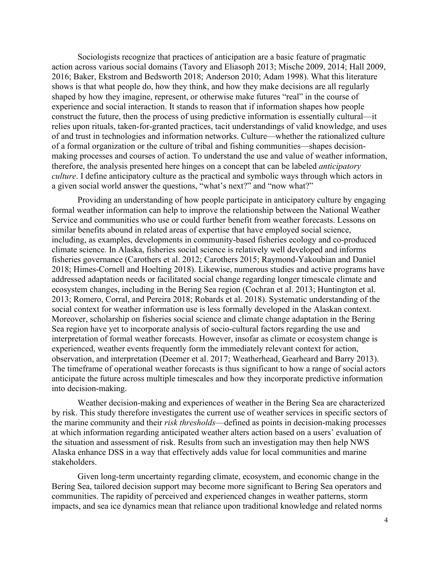Sociologists recognize that practices of anticipation are a basic feature of pragmatic action across various social domains (Tavory and Eliasoph 2013; Mische 2009, 2014; Hall 2009, 2016; Baker, Ekstrom and Bedsworth 2018; Anderson 2010; Adam 1998). What this literature shows is that what people do, how they think, and how they make decisions are all regularly shaped by how they imagine, represent, or otherwise make futures "real" in the course of experience and social interaction. It stands to reason that if information shapes how people construct the future, then the process of using predictive information is essentially cultural—it relies upon rituals, taken-for-granted practices, tacit understandings of valid knowledge, and uses of and trust in technologies and information networks. Culture—whether the rationalized culture of a formal organization or the culture of tribal and fishing communities—shapes decisionmaking processes and courses of action. To understand the use and value of weather information, therefore, the analysis presented here hinges on a concept that can be labeled *anticipatory culture*. I define anticipatory culture as the practical and symbolic ways through which actors in a given social world answer the questions, "what's next?" and "now what?"

Providing an understanding of how people participate in anticipatory culture by engaging formal weather information can help to improve the relationship between the National Weather Service and communities who use or could further benefit from weather forecasts. Lessons on similar benefits abound in related areas of expertise that have employed social science, including, as examples, developments in community-based fisheries ecology and co-produced climate science. In Alaska, fisheries social science is relatively well developed and informs fisheries governance (Carothers et al. 2012; Carothers 2015; Raymond-Yakoubian and Daniel 2018; Himes-Cornell and Hoelting 2018). Likewise, numerous studies and active programs have addressed adaptation needs or facilitated social change regarding longer timescale climate and ecosystem changes, including in the Bering Sea region (Cochran et al. 2013; Huntington et al. 2013; Romero, Corral, and Pereira 2018; Robards et al. 2018). Systematic understanding of the social context for weather information use is less formally developed in the Alaskan context. Moreover, scholarship on fisheries social science and climate change adaptation in the Bering Sea region have yet to incorporate analysis of socio-cultural factors regarding the use and interpretation of formal weather forecasts. However, insofar as climate or ecosystem change is experienced, weather events frequently form the immediately relevant context for action, observation, and interpretation (Deemer et al. 2017; Weatherhead, Gearheard and Barry 2013). The timeframe of operational weather forecasts is thus significant to how a range of social actors anticipate the future across multiple timescales and how they incorporate predictive information into decision-making.

Weather decision-making and experiences of weather in the Bering Sea are characterized by risk. This study therefore investigates the current use of weather services in specific sectors of the marine community and their *risk thresholds*—defined as points in decision-making processes at which information regarding anticipated weather alters action based on a users' evaluation of the situation and assessment of risk. Results from such an investigation may then help NWS Alaska enhance DSS in a way that effectively adds value for local communities and marine stakeholders.

Given long-term uncertainty regarding climate, ecosystem, and economic change in the Bering Sea, tailored decision support may become more significant to Bering Sea operators and communities. The rapidity of perceived and experienced changes in weather patterns, storm impacts, and sea ice dynamics mean that reliance upon traditional knowledge and related norms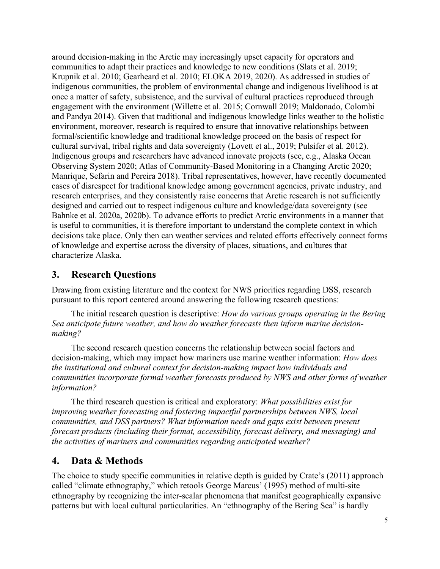around decision-making in the Arctic may increasingly upset capacity for operators and communities to adapt their practices and knowledge to new conditions (Slats et al. 2019; Krupnik et al. 2010; Gearheard et al. 2010; ELOKA 2019, 2020). As addressed in studies of indigenous communities, the problem of environmental change and indigenous livelihood is at once a matter of safety, subsistence, and the survival of cultural practices reproduced through engagement with the environment (Willette et al. 2015; Cornwall 2019; Maldonado, Colombi and Pandya 2014). Given that traditional and indigenous knowledge links weather to the holistic environment, moreover, research is required to ensure that innovative relationships between formal/scientific knowledge and traditional knowledge proceed on the basis of respect for cultural survival, tribal rights and data sovereignty (Lovett et al., 2019; Pulsifer et al. 2012). Indigenous groups and researchers have advanced innovate projects (see, e.g., Alaska Ocean Observing System 2020; Atlas of Community-Based Monitoring in a Changing Arctic 2020; Manrique, Sefarin and Pereira 2018). Tribal representatives, however, have recently documented cases of disrespect for traditional knowledge among government agencies, private industry, and research enterprises, and they consistently raise concerns that Arctic research is not sufficiently designed and carried out to respect indigenous culture and knowledge/data sovereignty (see Bahnke et al. 2020a, 2020b). To advance efforts to predict Arctic environments in a manner that is useful to communities, it is therefore important to understand the complete context in which decisions take place. Only then can weather services and related efforts effectively connect forms of knowledge and expertise across the diversity of places, situations, and cultures that characterize Alaska.

## **3. Research Questions**

Drawing from existing literature and the context for NWS priorities regarding DSS, research pursuant to this report centered around answering the following research questions:

The initial research question is descriptive: *How do various groups operating in the Bering Sea anticipate future weather, and how do weather forecasts then inform marine decisionmaking?*

The second research question concerns the relationship between social factors and decision-making, which may impact how mariners use marine weather information: *How does the institutional and cultural context for decision-making impact how individuals and communities incorporate formal weather forecasts produced by NWS and other forms of weather information?*

The third research question is critical and exploratory: *What possibilities exist for improving weather forecasting and fostering impactful partnerships between NWS, local communities, and DSS partners? What information needs and gaps exist between present forecast products (including their format, accessibility, forecast delivery, and messaging) and the activities of mariners and communities regarding anticipated weather?*

## **4. Data & Methods**

The choice to study specific communities in relative depth is guided by Crate's (2011) approach called "climate ethnography," which retools George Marcus' (1995) method of multi-site ethnography by recognizing the inter-scalar phenomena that manifest geographically expansive patterns but with local cultural particularities. An "ethnography of the Bering Sea" is hardly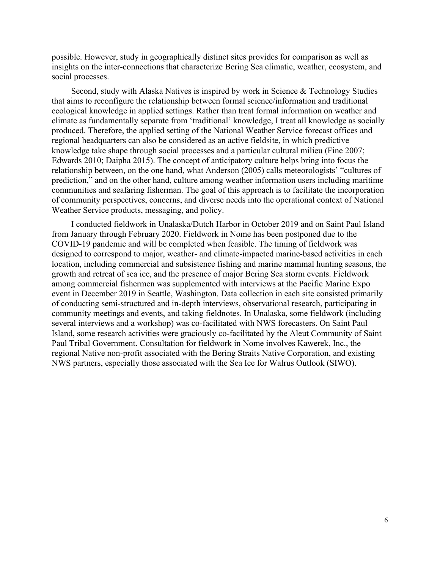possible. However, study in geographically distinct sites provides for comparison as well as insights on the inter-connections that characterize Bering Sea climatic, weather, ecosystem, and social processes.

Second, study with Alaska Natives is inspired by work in Science & Technology Studies that aims to reconfigure the relationship between formal science/information and traditional ecological knowledge in applied settings. Rather than treat formal information on weather and climate as fundamentally separate from 'traditional' knowledge, I treat all knowledge as socially produced. Therefore, the applied setting of the National Weather Service forecast offices and regional headquarters can also be considered as an active fieldsite, in which predictive knowledge take shape through social processes and a particular cultural milieu (Fine 2007; Edwards 2010; Daipha 2015). The concept of anticipatory culture helps bring into focus the relationship between, on the one hand, what Anderson (2005) calls meteorologists' "cultures of prediction," and on the other hand, culture among weather information users including maritime communities and seafaring fisherman. The goal of this approach is to facilitate the incorporation of community perspectives, concerns, and diverse needs into the operational context of National Weather Service products, messaging, and policy.

I conducted fieldwork in Unalaska/Dutch Harbor in October 2019 and on Saint Paul Island from January through February 2020. Fieldwork in Nome has been postponed due to the COVID-19 pandemic and will be completed when feasible. The timing of fieldwork was designed to correspond to major, weather- and climate-impacted marine-based activities in each location, including commercial and subsistence fishing and marine mammal hunting seasons, the growth and retreat of sea ice, and the presence of major Bering Sea storm events. Fieldwork among commercial fishermen was supplemented with interviews at the Pacific Marine Expo event in December 2019 in Seattle, Washington. Data collection in each site consisted primarily of conducting semi-structured and in-depth interviews, observational research, participating in community meetings and events, and taking fieldnotes. In Unalaska, some fieldwork (including several interviews and a workshop) was co-facilitated with NWS forecasters. On Saint Paul Island, some research activities were graciously co-facilitated by the Aleut Community of Saint Paul Tribal Government. Consultation for fieldwork in Nome involves Kawerek, Inc., the regional Native non-profit associated with the Bering Straits Native Corporation, and existing NWS partners, especially those associated with the Sea Ice for Walrus Outlook (SIWO).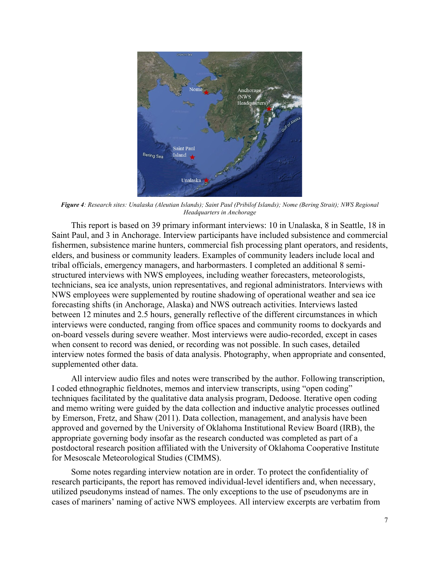

*Figure 4: Research sites: Unalaska (Aleutian Islands); Saint Paul (Pribilof Islands); Nome (Bering Strait); NWS Regional Headquarters in Anchorage*

This report is based on 39 primary informant interviews: 10 in Unalaska, 8 in Seattle, 18 in Saint Paul, and 3 in Anchorage. Interview participants have included subsistence and commercial fishermen, subsistence marine hunters, commercial fish processing plant operators, and residents, elders, and business or community leaders. Examples of community leaders include local and tribal officials, emergency managers, and harbormasters. I completed an additional 8 semistructured interviews with NWS employees, including weather forecasters, meteorologists, technicians, sea ice analysts, union representatives, and regional administrators. Interviews with NWS employees were supplemented by routine shadowing of operational weather and sea ice forecasting shifts (in Anchorage, Alaska) and NWS outreach activities. Interviews lasted between 12 minutes and 2.5 hours, generally reflective of the different circumstances in which interviews were conducted, ranging from office spaces and community rooms to dockyards and on-board vessels during severe weather. Most interviews were audio-recorded, except in cases when consent to record was denied, or recording was not possible. In such cases, detailed interview notes formed the basis of data analysis. Photography, when appropriate and consented, supplemented other data.

All interview audio files and notes were transcribed by the author. Following transcription, I coded ethnographic fieldnotes, memos and interview transcripts, using "open coding" techniques facilitated by the qualitative data analysis program, Dedoose. Iterative open coding and memo writing were guided by the data collection and inductive analytic processes outlined by Emerson, Fretz, and Shaw (2011). Data collection, management, and analysis have been approved and governed by the University of Oklahoma Institutional Review Board (IRB), the appropriate governing body insofar as the research conducted was completed as part of a postdoctoral research position affiliated with the University of Oklahoma Cooperative Institute for Mesoscale Meteorological Studies (CIMMS).

Some notes regarding interview notation are in order. To protect the confidentiality of research participants, the report has removed individual-level identifiers and, when necessary, utilized pseudonyms instead of names. The only exceptions to the use of pseudonyms are in cases of mariners' naming of active NWS employees. All interview excerpts are verbatim from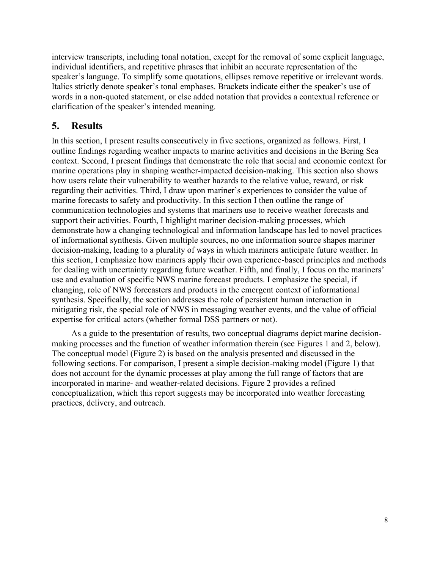interview transcripts, including tonal notation, except for the removal of some explicit language, individual identifiers, and repetitive phrases that inhibit an accurate representation of the speaker's language. To simplify some quotations, ellipses remove repetitive or irrelevant words. Italics strictly denote speaker's tonal emphases. Brackets indicate either the speaker's use of words in a non-quoted statement, or else added notation that provides a contextual reference or clarification of the speaker's intended meaning.

## **5. Results**

In this section, I present results consecutively in five sections, organized as follows. First, I outline findings regarding weather impacts to marine activities and decisions in the Bering Sea context. Second, I present findings that demonstrate the role that social and economic context for marine operations play in shaping weather-impacted decision-making. This section also shows how users relate their vulnerability to weather hazards to the relative value, reward, or risk regarding their activities. Third, I draw upon mariner's experiences to consider the value of marine forecasts to safety and productivity. In this section I then outline the range of communication technologies and systems that mariners use to receive weather forecasts and support their activities. Fourth, I highlight mariner decision-making processes, which demonstrate how a changing technological and information landscape has led to novel practices of informational synthesis. Given multiple sources, no one information source shapes mariner decision-making, leading to a plurality of ways in which mariners anticipate future weather. In this section, I emphasize how mariners apply their own experience-based principles and methods for dealing with uncertainty regarding future weather. Fifth, and finally, I focus on the mariners' use and evaluation of specific NWS marine forecast products. I emphasize the special, if changing, role of NWS forecasters and products in the emergent context of informational synthesis. Specifically, the section addresses the role of persistent human interaction in mitigating risk, the special role of NWS in messaging weather events, and the value of official expertise for critical actors (whether formal DSS partners or not).

As a guide to the presentation of results, two conceptual diagrams depict marine decisionmaking processes and the function of weather information therein (see Figures 1 and 2, below). The conceptual model (Figure 2) is based on the analysis presented and discussed in the following sections. For comparison, I present a simple decision-making model (Figure 1) that does not account for the dynamic processes at play among the full range of factors that are incorporated in marine- and weather-related decisions. Figure 2 provides a refined conceptualization, which this report suggests may be incorporated into weather forecasting practices, delivery, and outreach.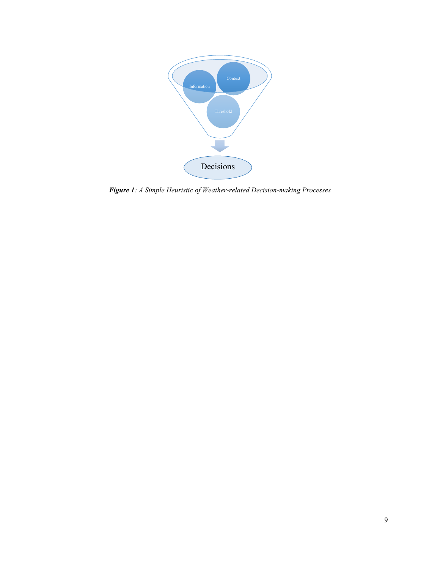

*Figure 1: A Simple Heuristic of Weather-related Decision-making Processes*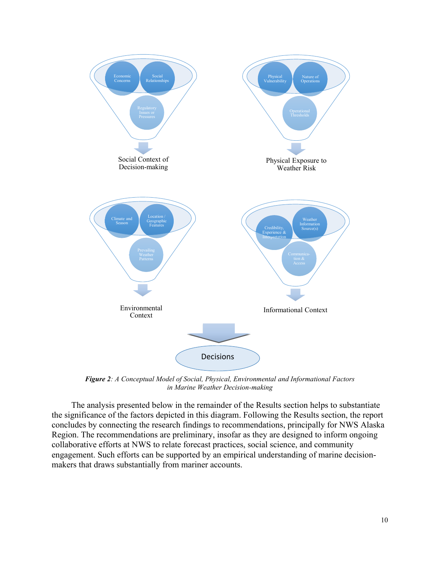

*Figure 2: A Conceptual Model of Social, Physical, Environmental and Informational Factors in Marine Weather Decision-making*

The analysis presented below in the remainder of the Results section helps to substantiate the significance of the factors depicted in this diagram. Following the Results section, the report concludes by connecting the research findings to recommendations, principally for NWS Alaska Region. The recommendations are preliminary, insofar as they are designed to inform ongoing collaborative efforts at NWS to relate forecast practices, social science, and community engagement. Such efforts can be supported by an empirical understanding of marine decisionmakers that draws substantially from mariner accounts.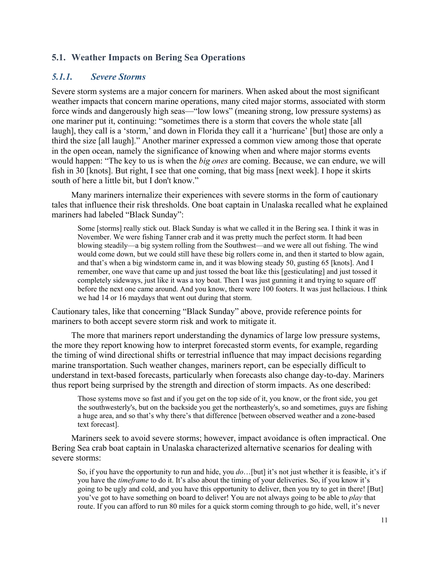## **5.1. Weather Impacts on Bering Sea Operations**

#### *5.1.1. Severe Storms*

Severe storm systems are a major concern for mariners. When asked about the most significant weather impacts that concern marine operations, many cited major storms, associated with storm force winds and dangerously high seas—"low lows" (meaning strong, low pressure systems) as one mariner put it, continuing: "sometimes there is a storm that covers the whole state [all laugh], they call is a 'storm,' and down in Florida they call it a 'hurricane' [but] those are only a third the size [all laugh]." Another mariner expressed a common view among those that operate in the open ocean, namely the significance of knowing when and where major storms events would happen: "The key to us is when the *big ones* are coming. Because, we can endure, we will fish in 30 [knots]. But right, I see that one coming, that big mass [next week]. I hope it skirts south of here a little bit, but I don't know."

Many mariners internalize their experiences with severe storms in the form of cautionary tales that influence their risk thresholds. One boat captain in Unalaska recalled what he explained mariners had labeled "Black Sunday":

Some [storms] really stick out. Black Sunday is what we called it in the Bering sea. I think it was in November. We were fishing Tanner crab and it was pretty much the perfect storm. It had been blowing steadily—a big system rolling from the Southwest—and we were all out fishing. The wind would come down, but we could still have these big rollers come in, and then it started to blow again, and that's when a big windstorm came in, and it was blowing steady 50, gusting 65 [knots]. And I remember, one wave that came up and just tossed the boat like this [gesticulating] and just tossed it completely sideways, just like it was a toy boat. Then I was just gunning it and trying to square off before the next one came around. And you know, there were 100 footers. It was just hellacious. I think we had 14 or 16 maydays that went out during that storm.

Cautionary tales, like that concerning "Black Sunday" above, provide reference points for mariners to both accept severe storm risk and work to mitigate it.

The more that mariners report understanding the dynamics of large low pressure systems, the more they report knowing how to interpret forecasted storm events, for example, regarding the timing of wind directional shifts or terrestrial influence that may impact decisions regarding marine transportation. Such weather changes, mariners report, can be especially difficult to understand in text-based forecasts, particularly when forecasts also change day-to-day. Mariners thus report being surprised by the strength and direction of storm impacts. As one described:

Those systems move so fast and if you get on the top side of it, you know, or the front side, you get the southwesterly's, but on the backside you get the northeasterly's, so and sometimes, guys are fishing a huge area, and so that's why there's that difference [between observed weather and a zone-based text forecast].

Mariners seek to avoid severe storms; however, impact avoidance is often impractical. One Bering Sea crab boat captain in Unalaska characterized alternative scenarios for dealing with severe storms:

So, if you have the opportunity to run and hide, you *do*…[but] it's not just whether it is feasible, it's if you have the *timeframe* to do it. It's also about the timing of your deliveries. So, if you know it's going to be ugly and cold, and you have this opportunity to deliver, then you try to get in there! [But] you've got to have something on board to deliver! You are not always going to be able to *play* that route. If you can afford to run 80 miles for a quick storm coming through to go hide, well, it's never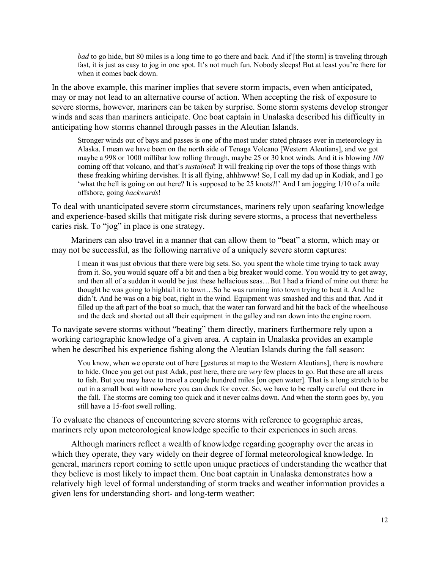*bad* to go hide, but 80 miles is a long time to go there and back. And if [the storm] is traveling through fast, it is just as easy to jog in one spot. It's not much fun. Nobody sleeps! But at least you're there for when it comes back down.

In the above example, this mariner implies that severe storm impacts, even when anticipated, may or may not lead to an alternative course of action. When accepting the risk of exposure to severe storms, however, mariners can be taken by surprise. Some storm systems develop stronger winds and seas than mariners anticipate. One boat captain in Unalaska described his difficulty in anticipating how storms channel through passes in the Aleutian Islands.

Stronger winds out of bays and passes is one of the most under stated phrases ever in meteorology in Alaska. I mean we have been on the north side of Tenaga Volcano [Western Aleutians], and we got maybe a 998 or 1000 millibar low rolling through, maybe 25 or 30 knot winds. And it is blowing *100* coming off that volcano, and that's *sustained*! It will freaking rip over the tops of those things with these freaking whirling dervishes. It is all flying, ahhhwww! So, I call my dad up in Kodiak, and I go 'what the hell is going on out here? It is supposed to be 25 knots?!' And I am jogging 1/10 of a mile offshore, going *backwards*!

To deal with unanticipated severe storm circumstances, mariners rely upon seafaring knowledge and experience-based skills that mitigate risk during severe storms, a process that nevertheless caries risk. To "jog" in place is one strategy.

Mariners can also travel in a manner that can allow them to "beat" a storm, which may or may not be successful, as the following narrative of a uniquely severe storm captures:

I mean it was just obvious that there were big sets. So, you spent the whole time trying to tack away from it. So, you would square off a bit and then a big breaker would come. You would try to get away, and then all of a sudden it would be just these hellacious seas…But I had a friend of mine out there: he thought he was going to hightail it to town…So he was running into town trying to beat it. And he didn't. And he was on a big boat, right in the wind. Equipment was smashed and this and that. And it filled up the aft part of the boat so much, that the water ran forward and hit the back of the wheelhouse and the deck and shorted out all their equipment in the galley and ran down into the engine room.

To navigate severe storms without "beating" them directly, mariners furthermore rely upon a working cartographic knowledge of a given area. A captain in Unalaska provides an example when he described his experience fishing along the Aleutian Islands during the fall season:

You know, when we operate out of here [gestures at map to the Western Aleutians], there is nowhere to hide. Once you get out past Adak, past here, there are *very* few places to go. But these are all areas to fish. But you may have to travel a couple hundred miles [on open water]. That is a long stretch to be out in a small boat with nowhere you can duck for cover. So, we have to be really careful out there in the fall. The storms are coming too quick and it never calms down. And when the storm goes by, you still have a 15-foot swell rolling.

To evaluate the chances of encountering severe storms with reference to geographic areas, mariners rely upon meteorological knowledge specific to their experiences in such areas.

Although mariners reflect a wealth of knowledge regarding geography over the areas in which they operate, they vary widely on their degree of formal meteorological knowledge. In general, mariners report coming to settle upon unique practices of understanding the weather that they believe is most likely to impact them. One boat captain in Unalaska demonstrates how a relatively high level of formal understanding of storm tracks and weather information provides a given lens for understanding short- and long-term weather: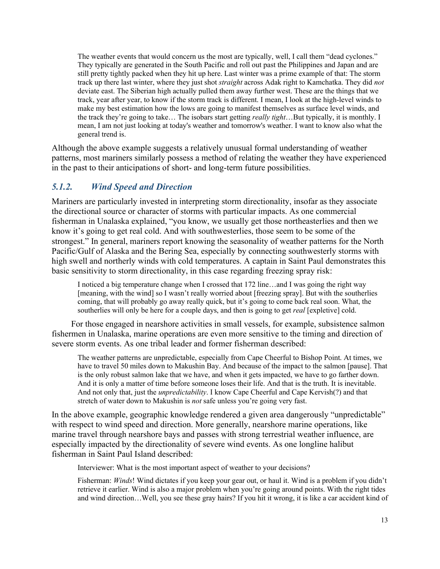The weather events that would concern us the most are typically, well, I call them "dead cyclones." They typically are generated in the South Pacific and roll out past the Philippines and Japan and are still pretty tightly packed when they hit up here. Last winter was a prime example of that: The storm track up there last winter, where they just shot *straight* across Adak right to Kamchatka. They did *not* deviate east. The Siberian high actually pulled them away further west. These are the things that we track, year after year, to know if the storm track is different. I mean, I look at the high-level winds to make my best estimation how the lows are going to manifest themselves as surface level winds, and the track they're going to take… The isobars start getting *really tight*…But typically, it is monthly. I mean, I am not just looking at today's weather and tomorrow's weather. I want to know also what the general trend is.

Although the above example suggests a relatively unusual formal understanding of weather patterns, most mariners similarly possess a method of relating the weather they have experienced in the past to their anticipations of short- and long-term future possibilities.

## *5.1.2. Wind Speed and Direction*

Mariners are particularly invested in interpreting storm directionality, insofar as they associate the directional source or character of storms with particular impacts. As one commercial fisherman in Unalaska explained, "you know, we usually get those northeasterlies and then we know it's going to get real cold. And with southwesterlies, those seem to be some of the strongest." In general, mariners report knowing the seasonality of weather patterns for the North Pacific/Gulf of Alaska and the Bering Sea, especially by connecting southwesterly storms with high swell and northerly winds with cold temperatures. A captain in Saint Paul demonstrates this basic sensitivity to storm directionality, in this case regarding freezing spray risk:

I noticed a big temperature change when I crossed that 172 line…and I was going the right way [meaning, with the wind] so I wasn't really worried about [freezing spray]. But with the southerlies coming, that will probably go away really quick, but it's going to come back real soon. What, the southerlies will only be here for a couple days, and then is going to get *real* [expletive] cold.

For those engaged in nearshore activities in small vessels, for example, subsistence salmon fishermen in Unalaska, marine operations are even more sensitive to the timing and direction of severe storm events. As one tribal leader and former fisherman described:

The weather patterns are unpredictable, especially from Cape Cheerful to Bishop Point. At times, we have to travel 50 miles down to Makushin Bay. And because of the impact to the salmon [pause]. That is the only robust salmon lake that we have, and when it gets impacted, we have to go farther down. And it is only a matter of time before someone loses their life. And that is the truth. It is inevitable. And not only that, just the *unpredictability*. I know Cape Cheerful and Cape Kervish(?) and that stretch of water down to Makushin is *not* safe unless you're going very fast.

In the above example, geographic knowledge rendered a given area dangerously "unpredictable" with respect to wind speed and direction. More generally, nearshore marine operations, like marine travel through nearshore bays and passes with strong terrestrial weather influence, are especially impacted by the directionality of severe wind events. As one longline halibut fisherman in Saint Paul Island described:

Interviewer: What is the most important aspect of weather to your decisions?

Fisherman: *Winds*! Wind dictates if you keep your gear out, or haul it. Wind is a problem if you didn't retrieve it earlier. Wind is also a major problem when you're going around points. With the right tides and wind direction…Well, you see these gray hairs? If you hit it wrong, it is like a car accident kind of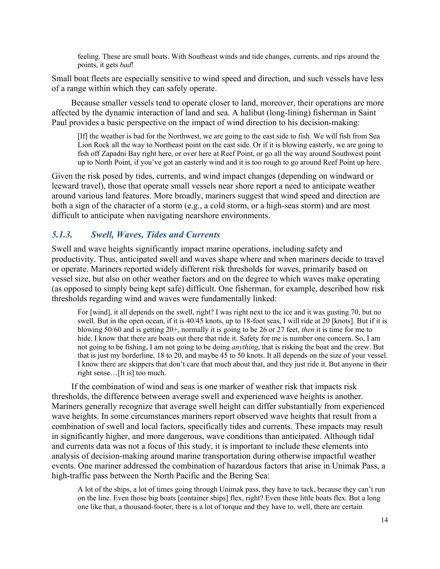feeling. These are small boats. With Southeast winds and tide changes, currents, and rips around the points, it gets *bad*!

Small boat fleets are especially sensitive to wind speed and direction, and such vessels have less of a range within which they can safely operate.

Because smaller vessels tend to operate closer to land, moreover, their operations are more affected by the dynamic interaction of land and sea. A halibut (long-lining) fisherman in Saint Paul provides a basic perspective on the impact of wind direction to his decision-making:

[If] the weather is bad for the Northwest, we are going to the east side to fish. We will fish from Sea Lion Rock all the way to Northeast point on the east side. Or if it is blowing easterly, we are going to fish off Zapadni Bay right here, or over here at Reef Point, or go all the way around Southwest point up to North Point, if you've got an easterly wind and it is too rough to go around Reef Point up here.

Given the risk posed by tides, currents, and wind impact changes (depending on windward or leeward travel), those that operate small vessels near shore report a need to anticipate weather around various land features. More broadly, mariners suggest that wind speed and direction are both a sign of the character of a storm (e.g., a cold storm, or a high-seas storm) and are most difficult to anticipate when navigating nearshore environments.

## *5.1.3. Swell, Waves, Tides and Currents*

Swell and wave heights significantly impact marine operations, including safety and productivity. Thus, anticipated swell and waves shape where and when mariners decide to travel or operate. Mariners reported widely different risk thresholds for waves, primarily based on vessel size, but also on other weather factors and on the degree to which waves make operating (as opposed to simply being kept safe) difficult. One fisherman, for example, described how risk thresholds regarding wind and waves were fundamentally linked:

For [wind], it all depends on the swell, right? I was right next to the ice and it was gusting 70, but no swell. But in the open ocean, if it is 40/45 knots, up to 18-foot seas, I will ride at 20 [knots]. But if it is blowing 50/60 and is getting 20+, normally it is going to be 26 or 27 feet, *then* it is time for me to hide. I know that there are boats out there that ride it. Safety for me is number one concern. So, I am not going to be fishing, I am not going to be doing *anything*, that is risking the boat and the crew. But that is just my borderline, 18 to 20, and maybe 45 to 50 knots. It all depends on the size of your vessel. I know there are skippers that don't care that much about that, and they just ride it. But anyone in their right sense…[It is] too much.

If the combination of wind and seas is one marker of weather risk that impacts risk thresholds, the difference between average swell and experienced wave heights is another. Mariners generally recognize that average swell height can differ substantially from experienced wave heights. In some circumstances mariners report observed wave heights that result from a combination of swell and local factors, specifically tides and currents. These impacts may result in significantly higher, and more dangerous, wave conditions than anticipated. Although tidal and currents data was not a focus of this study, it is important to include these elements into analysis of decision-making around marine transportation during otherwise impactful weather events. One mariner addressed the combination of hazardous factors that arise in Unimak Pass, a high-traffic pass between the North Pacific and the Bering Sea:

A lot of the ships, a lot of times going through Unimak pass, they have to tack, because they can't run on the line. Even those big boats [container ships] flex, right? Even these little boats flex. But a long one like that, a thousand-footer, there is a lot of torque and they have to, well, there are certain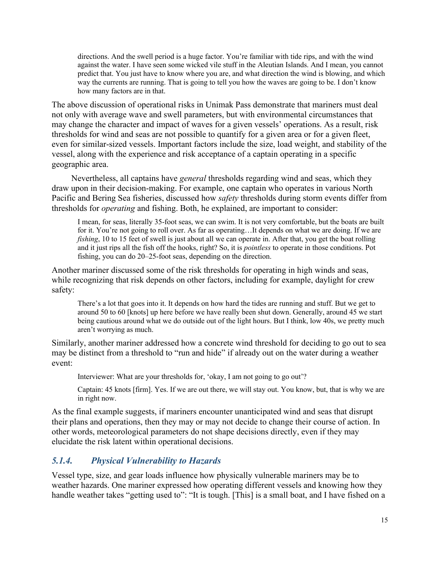directions. And the swell period is a huge factor. You're familiar with tide rips, and with the wind against the water. I have seen some wicked vile stuff in the Aleutian Islands. And I mean, you cannot predict that. You just have to know where you are, and what direction the wind is blowing, and which way the currents are running. That is going to tell you how the waves are going to be. I don't know how many factors are in that.

The above discussion of operational risks in Unimak Pass demonstrate that mariners must deal not only with average wave and swell parameters, but with environmental circumstances that may change the character and impact of waves for a given vessels' operations. As a result, risk thresholds for wind and seas are not possible to quantify for a given area or for a given fleet, even for similar-sized vessels. Important factors include the size, load weight, and stability of the vessel, along with the experience and risk acceptance of a captain operating in a specific geographic area.

Nevertheless, all captains have *general* thresholds regarding wind and seas, which they draw upon in their decision-making. For example, one captain who operates in various North Pacific and Bering Sea fisheries, discussed how *safety* thresholds during storm events differ from thresholds for *operating* and fishing. Both, he explained, are important to consider:

I mean, for seas, literally 35-foot seas, we can swim. It is not very comfortable, but the boats are built for it. You're not going to roll over. As far as operating...It depends on what we are doing. If we are *fishing*, 10 to 15 feet of swell is just about all we can operate in. After that, you get the boat rolling and it just rips all the fish off the hooks, right? So, it is *pointless* to operate in those conditions. Pot fishing, you can do 20–25-foot seas, depending on the direction.

Another mariner discussed some of the risk thresholds for operating in high winds and seas, while recognizing that risk depends on other factors, including for example, daylight for crew safety:

There's a lot that goes into it. It depends on how hard the tides are running and stuff. But we get to around 50 to 60 [knots] up here before we have really been shut down. Generally, around 45 we start being cautious around what we do outside out of the light hours. But I think, low 40s, we pretty much aren't worrying as much.

Similarly, another mariner addressed how a concrete wind threshold for deciding to go out to sea may be distinct from a threshold to "run and hide" if already out on the water during a weather event:

Interviewer: What are your thresholds for, 'okay, I am not going to go out'?

Captain: 45 knots [firm]. Yes. If we are out there, we will stay out. You know, but, that is why we are in right now.

As the final example suggests, if mariners encounter unanticipated wind and seas that disrupt their plans and operations, then they may or may not decide to change their course of action. In other words, meteorological parameters do not shape decisions directly, even if they may elucidate the risk latent within operational decisions.

## *5.1.4. Physical Vulnerability to Hazards*

Vessel type, size, and gear loads influence how physically vulnerable mariners may be to weather hazards. One mariner expressed how operating different vessels and knowing how they handle weather takes "getting used to": "It is tough. [This] is a small boat, and I have fished on a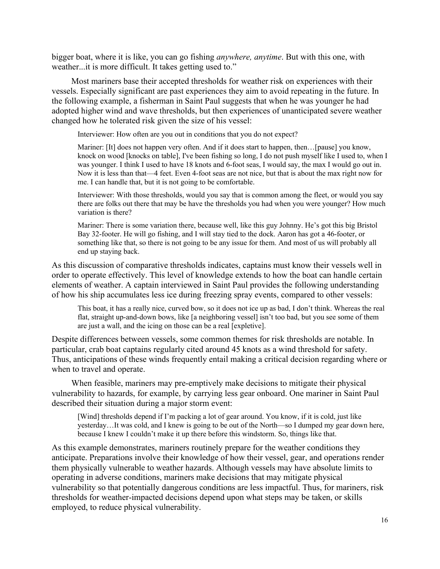bigger boat, where it is like, you can go fishing *anywhere, anytime*. But with this one, with weather...it is more difficult. It takes getting used to."

Most mariners base their accepted thresholds for weather risk on experiences with their vessels. Especially significant are past experiences they aim to avoid repeating in the future. In the following example, a fisherman in Saint Paul suggests that when he was younger he had adopted higher wind and wave thresholds, but then experiences of unanticipated severe weather changed how he tolerated risk given the size of his vessel:

Interviewer: How often are you out in conditions that you do not expect?

Mariner: [It] does not happen very often. And if it does start to happen, then... [pause] you know, knock on wood [knocks on table], I've been fishing so long, I do not push myself like I used to, when I was younger. I think I used to have 18 knots and 6-foot seas, I would say, the max I would go out in. Now it is less than that—4 feet. Even 4-foot seas are not nice, but that is about the max right now for me. I can handle that, but it is not going to be comfortable.

Interviewer: With those thresholds, would you say that is common among the fleet, or would you say there are folks out there that may be have the thresholds you had when you were younger? How much variation is there?

Mariner: There is some variation there, because well, like this guy Johnny. He's got this big Bristol Bay 32-footer. He will go fishing, and I will stay tied to the dock. Aaron has got a 46-footer, or something like that, so there is not going to be any issue for them. And most of us will probably all end up staying back.

As this discussion of comparative thresholds indicates, captains must know their vessels well in order to operate effectively. This level of knowledge extends to how the boat can handle certain elements of weather. A captain interviewed in Saint Paul provides the following understanding of how his ship accumulates less ice during freezing spray events, compared to other vessels:

This boat, it has a really nice, curved bow, so it does not ice up as bad, I don't think. Whereas the real flat, straight up-and-down bows, like [a neighboring vessel] isn't too bad, but you see some of them are just a wall, and the icing on those can be a real [expletive].

Despite differences between vessels, some common themes for risk thresholds are notable. In particular, crab boat captains regularly cited around 45 knots as a wind threshold for safety. Thus, anticipations of these winds frequently entail making a critical decision regarding where or when to travel and operate.

When feasible, mariners may pre-emptively make decisions to mitigate their physical vulnerability to hazards, for example, by carrying less gear onboard. One mariner in Saint Paul described their situation during a major storm event:

[Wind] thresholds depend if I'm packing a lot of gear around. You know, if it is cold, just like yesterday…It was cold, and I knew is going to be out of the North—so I dumped my gear down here, because I knew I couldn't make it up there before this windstorm. So, things like that.

As this example demonstrates, mariners routinely prepare for the weather conditions they anticipate. Preparations involve their knowledge of how their vessel, gear, and operations render them physically vulnerable to weather hazards. Although vessels may have absolute limits to operating in adverse conditions, mariners make decisions that may mitigate physical vulnerability so that potentially dangerous conditions are less impactful. Thus, for mariners, risk thresholds for weather-impacted decisions depend upon what steps may be taken, or skills employed, to reduce physical vulnerability.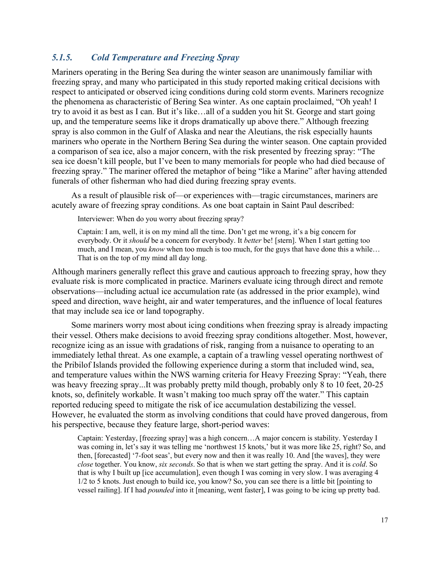## *5.1.5. Cold Temperature and Freezing Spray*

Mariners operating in the Bering Sea during the winter season are unanimously familiar with freezing spray, and many who participated in this study reported making critical decisions with respect to anticipated or observed icing conditions during cold storm events. Mariners recognize the phenomena as characteristic of Bering Sea winter. As one captain proclaimed, "Oh yeah! I try to avoid it as best as I can. But it's like…all of a sudden you hit St. George and start going up, and the temperature seems like it drops dramatically up above there." Although freezing spray is also common in the Gulf of Alaska and near the Aleutians, the risk especially haunts mariners who operate in the Northern Bering Sea during the winter season. One captain provided a comparison of sea ice, also a major concern, with the risk presented by freezing spray: "The sea ice doesn't kill people, but I've been to many memorials for people who had died because of freezing spray." The mariner offered the metaphor of being "like a Marine" after having attended funerals of other fisherman who had died during freezing spray events.

As a result of plausible risk of—or experiences with—tragic circumstances, mariners are acutely aware of freezing spray conditions. As one boat captain in Saint Paul described:

Interviewer: When do you worry about freezing spray?

Captain: I am, well, it is on my mind all the time. Don't get me wrong, it's a big concern for everybody. Or it *should* be a concern for everybody. It *better* be! [stern]. When I start getting too much, and I mean, you *know* when too much is too much, for the guys that have done this a while… That is on the top of my mind all day long.

Although mariners generally reflect this grave and cautious approach to freezing spray, how they evaluate risk is more complicated in practice. Mariners evaluate icing through direct and remote observations—including actual ice accumulation rate (as addressed in the prior example), wind speed and direction, wave height, air and water temperatures, and the influence of local features that may include sea ice or land topography.

Some mariners worry most about icing conditions when freezing spray is already impacting their vessel. Others make decisions to avoid freezing spray conditions altogether. Most, however, recognize icing as an issue with gradations of risk, ranging from a nuisance to operating to an immediately lethal threat. As one example, a captain of a trawling vessel operating northwest of the Pribilof Islands provided the following experience during a storm that included wind, sea, and temperature values within the NWS warning criteria for Heavy Freezing Spray: "Yeah, there was heavy freezing spray...It was probably pretty mild though, probably only 8 to 10 feet, 20-25 knots, so, definitely workable. It wasn't making too much spray off the water." This captain reported reducing speed to mitigate the risk of ice accumulation destabilizing the vessel. However, he evaluated the storm as involving conditions that could have proved dangerous, from his perspective, because they feature large, short-period waves:

Captain: Yesterday, [freezing spray] was a high concern…A major concern is stability. Yesterday I was coming in, let's say it was telling me 'northwest 15 knots,' but it was more like 25, right? So, and then, [forecasted] '7-foot seas', but every now and then it was really 10. And [the waves], they were *close* together. You know, *six seconds*. So that is when we start getting the spray. And it is *cold*. So that is why I built up [ice accumulation], even though I was coming in very slow. I was averaging 4 1/2 to 5 knots. Just enough to build ice, you know? So, you can see there is a little bit [pointing to vessel railing]. If I had *pounded* into it [meaning, went faster], I was going to be icing up pretty bad.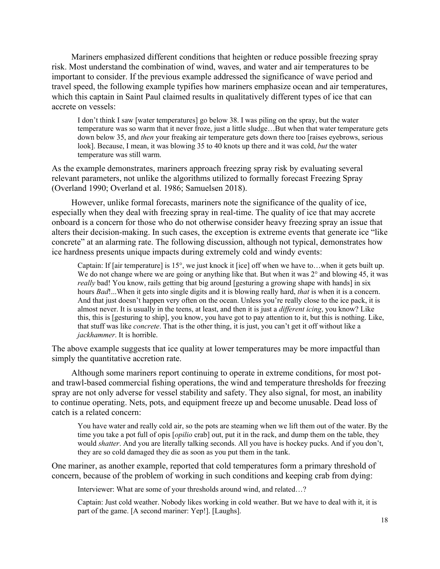Mariners emphasized different conditions that heighten or reduce possible freezing spray risk. Most understand the combination of wind, waves, and water and air temperatures to be important to consider. If the previous example addressed the significance of wave period and travel speed, the following example typifies how mariners emphasize ocean and air temperatures, which this captain in Saint Paul claimed results in qualitatively different types of ice that can accrete on vessels:

I don't think I saw [water temperatures] go below 38. I was piling on the spray, but the water temperature was so warm that it never froze, just a little sludge…But when that water temperature gets down below 35, and *then* your freaking air temperature gets down there too [raises eyebrows, serious look]. Because, I mean, it was blowing 35 to 40 knots up there and it was cold, *but* the water temperature was still warm.

As the example demonstrates, mariners approach freezing spray risk by evaluating several relevant parameters, not unlike the algorithms utilized to formally forecast Freezing Spray (Overland 1990; Overland et al. 1986; Samuelsen 2018).

However, unlike formal forecasts, mariners note the significance of the quality of ice, especially when they deal with freezing spray in real-time. The quality of ice that may accrete onboard is a concern for those who do not otherwise consider heavy freezing spray an issue that alters their decision-making. In such cases, the exception is extreme events that generate ice "like concrete" at an alarming rate. The following discussion, although not typical, demonstrates how ice hardness presents unique impacts during extremely cold and windy events:

Captain: If [air temperature] is 15°, we just knock it [ice] off when we have to…when it gets built up. We do not change where we are going or anything like that. But when it was  $2^{\circ}$  and blowing 45, it was *really* bad! You know, rails getting that big around [gesturing a growing shape with hands] in six hours *Bad*!...When it gets into single digits and it is blowing really hard, *that* is when it is a concern. And that just doesn't happen very often on the ocean. Unless you're really close to the ice pack, it is almost never. It is usually in the teens, at least, and then it is just a *different icing*, you know? Like this, this is [gesturing to ship], you know, you have got to pay attention to it, but this is nothing. Like, that stuff was like *concrete*. That is the other thing, it is just, you can't get it off without like a *jackhammer*. It is horrible.

The above example suggests that ice quality at lower temperatures may be more impactful than simply the quantitative accretion rate.

Although some mariners report continuing to operate in extreme conditions, for most potand trawl-based commercial fishing operations, the wind and temperature thresholds for freezing spray are not only adverse for vessel stability and safety. They also signal, for most, an inability to continue operating. Nets, pots, and equipment freeze up and become unusable. Dead loss of catch is a related concern:

You have water and really cold air, so the pots are steaming when we lift them out of the water. By the time you take a pot full of opis [*opilio* crab] out, put it in the rack, and dump them on the table, they would *shatter*. And you are literally talking seconds. All you have is hockey pucks. And if you don't, they are so cold damaged they die as soon as you put them in the tank.

One mariner, as another example, reported that cold temperatures form a primary threshold of concern, because of the problem of working in such conditions and keeping crab from dying:

Interviewer: What are some of your thresholds around wind, and related…?

Captain: Just cold weather. Nobody likes working in cold weather. But we have to deal with it, it is part of the game. [A second mariner: Yep!]. [Laughs].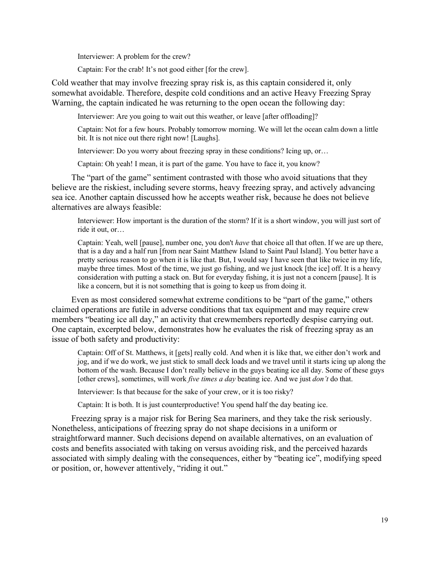Interviewer: A problem for the crew?

Captain: For the crab! It's not good either [for the crew].

Cold weather that may involve freezing spray risk is, as this captain considered it, only somewhat avoidable. Therefore, despite cold conditions and an active Heavy Freezing Spray Warning, the captain indicated he was returning to the open ocean the following day:

Interviewer: Are you going to wait out this weather, or leave [after offloading]?

Captain: Not for a few hours. Probably tomorrow morning. We will let the ocean calm down a little bit. It is not nice out there right now! [Laughs].

Interviewer: Do you worry about freezing spray in these conditions? Icing up, or…

Captain: Oh yeah! I mean, it is part of the game. You have to face it, you know?

The "part of the game" sentiment contrasted with those who avoid situations that they believe are the riskiest, including severe storms, heavy freezing spray, and actively advancing sea ice. Another captain discussed how he accepts weather risk, because he does not believe alternatives are always feasible:

Interviewer: How important is the duration of the storm? If it is a short window, you will just sort of ride it out, or…

Captain: Yeah, well [pause], number one, you don't *have* that choice all that often. If we are up there, that is a day and a half run [from near Saint Matthew Island to Saint Paul Island]. You better have a pretty serious reason to go when it is like that. But, I would say I have seen that like twice in my life, maybe three times. Most of the time, we just go fishing, and we just knock [the ice] off. It is a heavy consideration with putting a stack on. But for everyday fishing, it is just not a concern [pause]. It is like a concern, but it is not something that is going to keep us from doing it.

Even as most considered somewhat extreme conditions to be "part of the game," others claimed operations are futile in adverse conditions that tax equipment and may require crew members "beating ice all day," an activity that crewmembers reportedly despise carrying out. One captain, excerpted below, demonstrates how he evaluates the risk of freezing spray as an issue of both safety and productivity:

Captain: Off of St. Matthews, it [gets] really cold. And when it is like that, we either don't work and jog, and if we do work, we just stick to small deck loads and we travel until it starts icing up along the bottom of the wash. Because I don't really believe in the guys beating ice all day. Some of these guys [other crews], sometimes, will work *five times a day* beating ice. And we just *don't* do that.

Interviewer: Is that because for the sake of your crew, or it is too risky?

Captain: It is both. It is just counterproductive! You spend half the day beating ice.

Freezing spray is a major risk for Bering Sea mariners, and they take the risk seriously. Nonetheless, anticipations of freezing spray do not shape decisions in a uniform or straightforward manner. Such decisions depend on available alternatives, on an evaluation of costs and benefits associated with taking on versus avoiding risk, and the perceived hazards associated with simply dealing with the consequences, either by "beating ice", modifying speed or position, or, however attentively, "riding it out."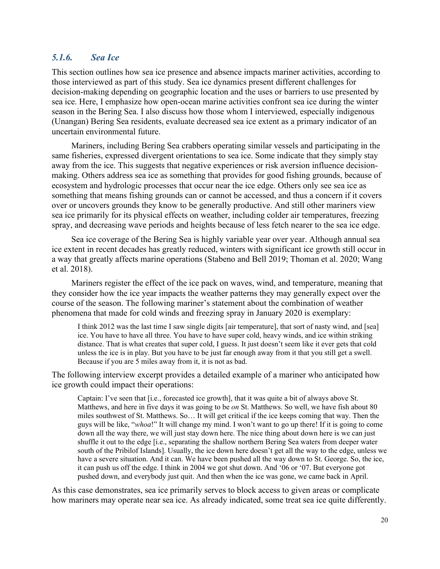## *5.1.6. Sea Ice*

This section outlines how sea ice presence and absence impacts mariner activities, according to those interviewed as part of this study. Sea ice dynamics present different challenges for decision-making depending on geographic location and the uses or barriers to use presented by sea ice. Here, I emphasize how open-ocean marine activities confront sea ice during the winter season in the Bering Sea. I also discuss how those whom I interviewed, especially indigenous (Unangan) Bering Sea residents, evaluate decreased sea ice extent as a primary indicator of an uncertain environmental future.

Mariners, including Bering Sea crabbers operating similar vessels and participating in the same fisheries, expressed divergent orientations to sea ice. Some indicate that they simply stay away from the ice. This suggests that negative experiences or risk aversion influence decisionmaking. Others address sea ice as something that provides for good fishing grounds, because of ecosystem and hydrologic processes that occur near the ice edge. Others only see sea ice as something that means fishing grounds can or cannot be accessed, and thus a concern if it covers over or uncovers grounds they know to be generally productive. And still other mariners view sea ice primarily for its physical effects on weather, including colder air temperatures, freezing spray, and decreasing wave periods and heights because of less fetch nearer to the sea ice edge.

Sea ice coverage of the Bering Sea is highly variable year over year. Although annual sea ice extent in recent decades has greatly reduced, winters with significant ice growth still occur in a way that greatly affects marine operations (Stabeno and Bell 2019; Thoman et al. 2020; Wang et al. 2018).

Mariners register the effect of the ice pack on waves, wind, and temperature, meaning that they consider how the ice year impacts the weather patterns they may generally expect over the course of the season. The following mariner's statement about the combination of weather phenomena that made for cold winds and freezing spray in January 2020 is exemplary:

I think 2012 was the last time I saw single digits [air temperature], that sort of nasty wind, and [sea] ice. You have to have all three. You have to have super cold, heavy winds, and ice within striking distance. That is what creates that super cold, I guess. It just doesn't seem like it ever gets that cold unless the ice is in play. But you have to be just far enough away from it that you still get a swell. Because if you are 5 miles away from it, it is not as bad.

The following interview excerpt provides a detailed example of a mariner who anticipated how ice growth could impact their operations:

Captain: I've seen that [i.e., forecasted ice growth], that it was quite a bit of always above St. Matthews, and here in five days it was going to be *on* St. Matthews. So well, we have fish about 80 miles southwest of St. Matthews. So… It will get critical if the ice keeps coming that way. Then the guys will be like, "*whoa*!" It will change my mind. I won't want to go up there! If it is going to come down all the way there, we will just stay down here. The nice thing about down here is we can just shuffle it out to the edge [i.e., separating the shallow northern Bering Sea waters from deeper water south of the Pribilof Islands]. Usually, the ice down here doesn't get all the way to the edge, unless we have a severe situation. And it can. We have been pushed all the way down to St. George. So, the ice, it can push us off the edge. I think in 2004 we got shut down. And '06 or '07. But everyone got pushed down, and everybody just quit. And then when the ice was gone, we came back in April.

As this case demonstrates, sea ice primarily serves to block access to given areas or complicate how mariners may operate near sea ice. As already indicated, some treat sea ice quite differently.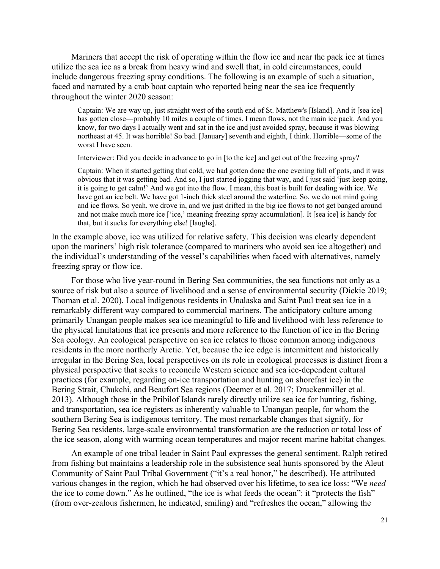Mariners that accept the risk of operating within the flow ice and near the pack ice at times utilize the sea ice as a break from heavy wind and swell that, in cold circumstances, could include dangerous freezing spray conditions. The following is an example of such a situation, faced and narrated by a crab boat captain who reported being near the sea ice frequently throughout the winter 2020 season:

Captain: We are way up, just straight west of the south end of St. Matthew's [Island]. And it [sea ice] has gotten close—probably 10 miles a couple of times. I mean flows, not the main ice pack. And you know, for two days I actually went and sat in the ice and just avoided spray, because it was blowing northeast at 45. It was horrible! So bad. [January] seventh and eighth, I think. Horrible—some of the worst I have seen.

Interviewer: Did you decide in advance to go in [to the ice] and get out of the freezing spray?

Captain: When it started getting that cold, we had gotten done the one evening full of pots, and it was obvious that it was getting bad. And so, I just started jogging that way, and I just said 'just keep going, it is going to get calm!' And we got into the flow. I mean, this boat is built for dealing with ice. We have got an ice belt. We have got 1-inch thick steel around the waterline. So, we do not mind going and ice flows. So yeah, we drove in, and we just drifted in the big ice flows to not get banged around and not make much more ice ['ice,' meaning freezing spray accumulation]. It [sea ice] is handy for that, but it sucks for everything else! [laughs].

In the example above, ice was utilized for relative safety. This decision was clearly dependent upon the mariners' high risk tolerance (compared to mariners who avoid sea ice altogether) and the individual's understanding of the vessel's capabilities when faced with alternatives, namely freezing spray or flow ice.

For those who live year-round in Bering Sea communities, the sea functions not only as a source of risk but also a source of livelihood and a sense of environmental security (Dickie 2019; Thoman et al. 2020). Local indigenous residents in Unalaska and Saint Paul treat sea ice in a remarkably different way compared to commercial mariners. The anticipatory culture among primarily Unangan people makes sea ice meaningful to life and livelihood with less reference to the physical limitations that ice presents and more reference to the function of ice in the Bering Sea ecology. An ecological perspective on sea ice relates to those common among indigenous residents in the more northerly Arctic. Yet, because the ice edge is intermittent and historically irregular in the Bering Sea, local perspectives on its role in ecological processes is distinct from a physical perspective that seeks to reconcile Western science and sea ice-dependent cultural practices (for example, regarding on-ice transportation and hunting on shorefast ice) in the Bering Strait, Chukchi, and Beaufort Sea regions (Deemer et al. 2017; Druckenmiller et al. 2013). Although those in the Pribilof Islands rarely directly utilize sea ice for hunting, fishing, and transportation, sea ice registers as inherently valuable to Unangan people, for whom the southern Bering Sea is indigenous territory. The most remarkable changes that signify, for Bering Sea residents, large-scale environmental transformation are the reduction or total loss of the ice season, along with warming ocean temperatures and major recent marine habitat changes.

An example of one tribal leader in Saint Paul expresses the general sentiment. Ralph retired from fishing but maintains a leadership role in the subsistence seal hunts sponsored by the Aleut Community of Saint Paul Tribal Government ("it's a real honor," he described). He attributed various changes in the region, which he had observed over his lifetime, to sea ice loss: "We *need* the ice to come down." As he outlined, "the ice is what feeds the ocean": it "protects the fish" (from over-zealous fishermen, he indicated, smiling) and "refreshes the ocean," allowing the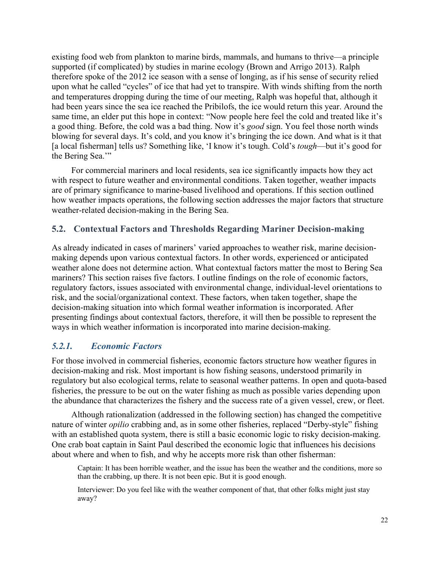existing food web from plankton to marine birds, mammals, and humans to thrive—a principle supported (if complicated) by studies in marine ecology (Brown and Arrigo 2013). Ralph therefore spoke of the 2012 ice season with a sense of longing, as if his sense of security relied upon what he called "cycles" of ice that had yet to transpire. With winds shifting from the north and temperatures dropping during the time of our meeting, Ralph was hopeful that, although it had been years since the sea ice reached the Pribilofs, the ice would return this year. Around the same time, an elder put this hope in context: "Now people here feel the cold and treated like it's a good thing. Before, the cold was a bad thing. Now it's *good* sign. You feel those north winds blowing for several days. It's cold, and you know it's bringing the ice down. And what is it that [a local fisherman] tells us? Something like, 'I know it's tough. Cold's *tough*—but it's good for the Bering Sea."

For commercial mariners and local residents, sea ice significantly impacts how they act with respect to future weather and environmental conditions. Taken together, weather impacts are of primary significance to marine-based livelihood and operations. If this section outlined how weather impacts operations, the following section addresses the major factors that structure weather-related decision-making in the Bering Sea.

#### **5.2. Contextual Factors and Thresholds Regarding Mariner Decision-making**

As already indicated in cases of mariners' varied approaches to weather risk, marine decisionmaking depends upon various contextual factors. In other words, experienced or anticipated weather alone does not determine action. What contextual factors matter the most to Bering Sea mariners? This section raises five factors. I outline findings on the role of economic factors, regulatory factors, issues associated with environmental change, individual-level orientations to risk, and the social/organizational context. These factors, when taken together, shape the decision-making situation into which formal weather information is incorporated. After presenting findings about contextual factors, therefore, it will then be possible to represent the ways in which weather information is incorporated into marine decision-making.

#### *5.2.1. Economic Factors*

For those involved in commercial fisheries, economic factors structure how weather figures in decision-making and risk. Most important is how fishing seasons, understood primarily in regulatory but also ecological terms, relate to seasonal weather patterns. In open and quota-based fisheries, the pressure to be out on the water fishing as much as possible varies depending upon the abundance that characterizes the fishery and the success rate of a given vessel, crew, or fleet.

Although rationalization (addressed in the following section) has changed the competitive nature of winter *opilio* crabbing and, as in some other fisheries, replaced "Derby-style" fishing with an established quota system, there is still a basic economic logic to risky decision-making. One crab boat captain in Saint Paul described the economic logic that influences his decisions about where and when to fish, and why he accepts more risk than other fisherman:

Captain: It has been horrible weather, and the issue has been the weather and the conditions, more so than the crabbing, up there. It is not been epic. But it is good enough.

Interviewer: Do you feel like with the weather component of that, that other folks might just stay away?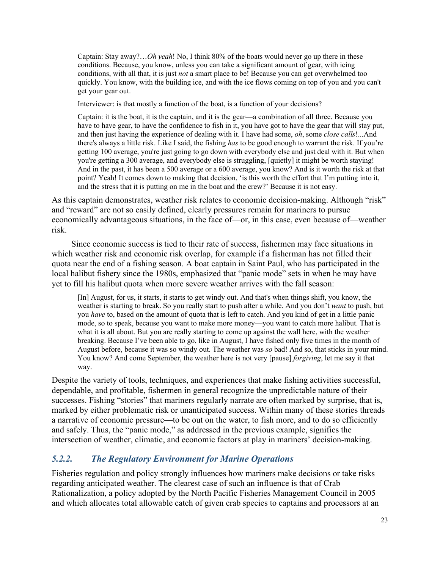Captain: Stay away?…*Oh yeah*! No, I think 80% of the boats would never go up there in these conditions. Because, you know, unless you can take a significant amount of gear, with icing conditions, with all that, it is just *not* a smart place to be! Because you can get overwhelmed too quickly. You know, with the building ice, and with the ice flows coming on top of you and you can't get your gear out.

Interviewer: is that mostly a function of the boat, is a function of your decisions?

Captain: it is the boat, it is the captain, and it is the gear—a combination of all three. Because you have to have gear, to have the confidence to fish in it, you have got to have the gear that will stay put, and then just having the experience of dealing with it. I have had some, *oh*, some *close calls*!...And there's always a little risk. Like I said, the fishing *has* to be good enough to warrant the risk. If you're getting 100 average, you're just going to go down with everybody else and just deal with it. But when you're getting a 300 average, and everybody else is struggling, [quietly] it might be worth staying! And in the past, it has been a 500 average or a 600 average, you know? And is it worth the risk at that point? Yeah! It comes down to making that decision, 'is this worth the effort that I'm putting into it, and the stress that it is putting on me in the boat and the crew?' Because it is not easy.

As this captain demonstrates, weather risk relates to economic decision-making. Although "risk" and "reward" are not so easily defined, clearly pressures remain for mariners to pursue economically advantageous situations, in the face of—or, in this case, even because of—weather risk.

Since economic success is tied to their rate of success, fishermen may face situations in which weather risk and economic risk overlap, for example if a fisherman has not filled their quota near the end of a fishing season. A boat captain in Saint Paul, who has participated in the local halibut fishery since the 1980s, emphasized that "panic mode" sets in when he may have yet to fill his halibut quota when more severe weather arrives with the fall season:

[In] August, for us, it starts, it starts to get windy out. And that's when things shift, you know, the weather is starting to break. So you really start to push after a while. And you don't *want* to push, but you *have* to, based on the amount of quota that is left to catch. And you kind of get in a little panic mode, so to speak, because you want to make more money—you want to catch more halibut. That is what it is all about. But you are really starting to come up against the wall here, with the weather breaking. Because I've been able to go, like in August, I have fished only five times in the month of August before, because it was so windy out. The weather was *so* bad! And so, that sticks in your mind. You know? And come September, the weather here is not very [pause] *forgiving*, let me say it that way.

Despite the variety of tools, techniques, and experiences that make fishing activities successful, dependable, and profitable, fishermen in general recognize the unpredictable nature of their successes. Fishing "stories" that mariners regularly narrate are often marked by surprise, that is, marked by either problematic risk or unanticipated success. Within many of these stories threads a narrative of economic pressure—to be out on the water, to fish more, and to do so efficiently and safely. Thus, the "panic mode," as addressed in the previous example, signifies the intersection of weather, climatic, and economic factors at play in mariners' decision-making.

## *5.2.2. The Regulatory Environment for Marine Operations*

Fisheries regulation and policy strongly influences how mariners make decisions or take risks regarding anticipated weather. The clearest case of such an influence is that of Crab Rationalization, a policy adopted by the North Pacific Fisheries Management Council in 2005 and which allocates total allowable catch of given crab species to captains and processors at an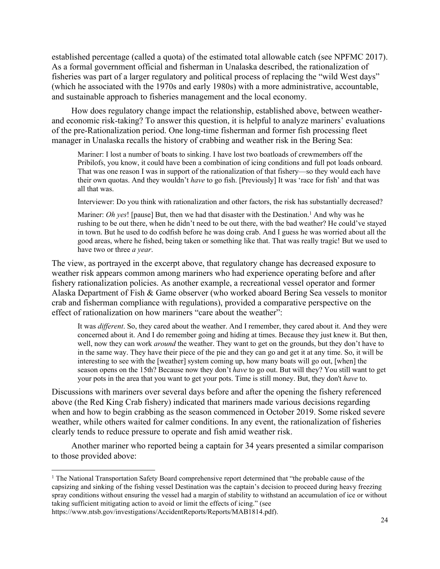established percentage (called a quota) of the estimated total allowable catch (see NPFMC 2017). As a formal government official and fisherman in Unalaska described, the rationalization of fisheries was part of a larger regulatory and political process of replacing the "wild West days" (which he associated with the 1970s and early 1980s) with a more administrative, accountable, and sustainable approach to fisheries management and the local economy.

How does regulatory change impact the relationship, established above, between weatherand economic risk-taking? To answer this question, it is helpful to analyze mariners' evaluations of the pre-Rationalization period. One long-time fisherman and former fish processing fleet manager in Unalaska recalls the history of crabbing and weather risk in the Bering Sea:

Mariner: I lost a number of boats to sinking. I have lost two boatloads of crewmembers off the Pribilofs, you know, it could have been a combination of icing conditions and full pot loads onboard. That was one reason I was in support of the rationalization of that fishery—so they would each have their own quotas. And they wouldn't *have* to go fish. [Previously] It was 'race for fish' and that was all that was.

Interviewer: Do you think with rationalization and other factors, the risk has substantially decreased?

Mariner: *Oh yes*! [pause] But, then we had that disaster with the Destination.<sup>1</sup> And why was he rushing to be out there, when he didn't need to be out there, with the bad weather? He could've stayed in town. But he used to do codfish before he was doing crab. And I guess he was worried about all the good areas, where he fished, being taken or something like that. That was really tragic! But we used to have two or three *a year*.

The view, as portrayed in the excerpt above, that regulatory change has decreased exposure to weather risk appears common among mariners who had experience operating before and after fishery rationalization policies. As another example, a recreational vessel operator and former Alaska Department of Fish & Game observer (who worked aboard Bering Sea vessels to monitor crab and fisherman compliance with regulations), provided a comparative perspective on the effect of rationalization on how mariners "care about the weather":

It was *different*. So, they cared about the weather. And I remember, they cared about it. And they were concerned about it. And I do remember going and hiding at times. Because they just knew it. But then, well, now they can work *around* the weather. They want to get on the grounds, but they don't have to in the same way. They have their piece of the pie and they can go and get it at any time. So, it will be interesting to see with the [weather] system coming up, how many boats will go out, [when] the season opens on the 15th? Because now they don't *have* to go out. But will they? You still want to get your pots in the area that you want to get your pots. Time is still money. But, they don't *have* to.

Discussions with mariners over several days before and after the opening the fishery referenced above (the Red King Crab fishery) indicated that mariners made various decisions regarding when and how to begin crabbing as the season commenced in October 2019. Some risked severe weather, while others waited for calmer conditions. In any event, the rationalization of fisheries clearly tends to reduce pressure to operate and fish amid weather risk.

Another mariner who reported being a captain for 34 years presented a similar comparison to those provided above:

<sup>&</sup>lt;sup>1</sup> The National Transportation Safety Board comprehensive report determined that "the probable cause of the capsizing and sinking of the fishing vessel Destination was the captain's decision to proceed during heavy freezing spray conditions without ensuring the vessel had a margin of stability to withstand an accumulation of ice or without taking sufficient mitigating action to avoid or limit the effects of icing." (see

https://www.ntsb.gov/investigations/AccidentReports/Reports/MAB1814.pdf).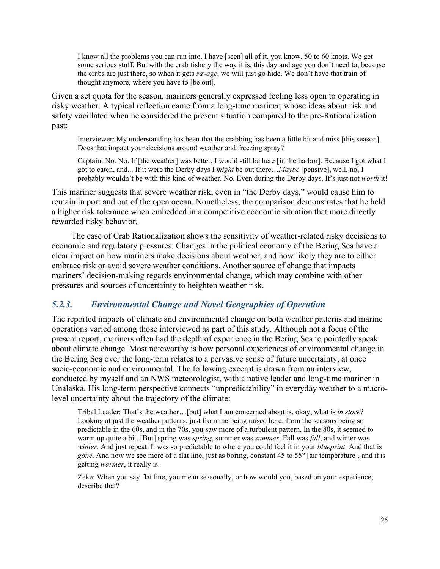I know all the problems you can run into. I have [seen] all of it, you know, 50 to 60 knots. We get some serious stuff. But with the crab fishery the way it is, this day and age you don't need to, because the crabs are just there, so when it gets *savage*, we will just go hide. We don't have that train of thought anymore, where you have to [be out].

Given a set quota for the season, mariners generally expressed feeling less open to operating in risky weather. A typical reflection came from a long-time mariner, whose ideas about risk and safety vacillated when he considered the present situation compared to the pre-Rationalization past:

Interviewer: My understanding has been that the crabbing has been a little hit and miss [this season]. Does that impact your decisions around weather and freezing spray?

Captain: No. No. If [the weather] was better, I would still be here [in the harbor]. Because I got what I got to catch, and... If it were the Derby days I *might* be out there…*Maybe* [pensive], well, no, I probably wouldn't be with this kind of weather. No. Even during the Derby days. It's just not *worth* it!

This mariner suggests that severe weather risk, even in "the Derby days," would cause him to remain in port and out of the open ocean. Nonetheless, the comparison demonstrates that he held a higher risk tolerance when embedded in a competitive economic situation that more directly rewarded risky behavior.

The case of Crab Rationalization shows the sensitivity of weather-related risky decisions to economic and regulatory pressures. Changes in the political economy of the Bering Sea have a clear impact on how mariners make decisions about weather, and how likely they are to either embrace risk or avoid severe weather conditions. Another source of change that impacts mariners' decision-making regards environmental change, which may combine with other pressures and sources of uncertainty to heighten weather risk.

## *5.2.3. Environmental Change and Novel Geographies of Operation*

The reported impacts of climate and environmental change on both weather patterns and marine operations varied among those interviewed as part of this study. Although not a focus of the present report, mariners often had the depth of experience in the Bering Sea to pointedly speak about climate change. Most noteworthy is how personal experiences of environmental change in the Bering Sea over the long-term relates to a pervasive sense of future uncertainty, at once socio-economic and environmental. The following excerpt is drawn from an interview, conducted by myself and an NWS meteorologist, with a native leader and long-time mariner in Unalaska. His long-term perspective connects "unpredictability" in everyday weather to a macrolevel uncertainty about the trajectory of the climate:

Tribal Leader: That's the weather…[but] what I am concerned about is, okay, what is *in store*? Looking at just the weather patterns, just from me being raised here: from the seasons being so predictable in the 60s, and in the 70s, you saw more of a turbulent pattern. In the 80s, it seemed to warm up quite a bit. [But] spring was *spring*, summer was *summer*. Fall was *fall*, and winter was *winter*. And just repeat. It was so predictable to where you could feel it in your *blueprint*. And that is *gone*. And now we see more of a flat line, just as boring, constant 45 to 55° [air temperature], and it is getting *warmer*, it really is.

Zeke: When you say flat line, you mean seasonally, or how would you, based on your experience, describe that?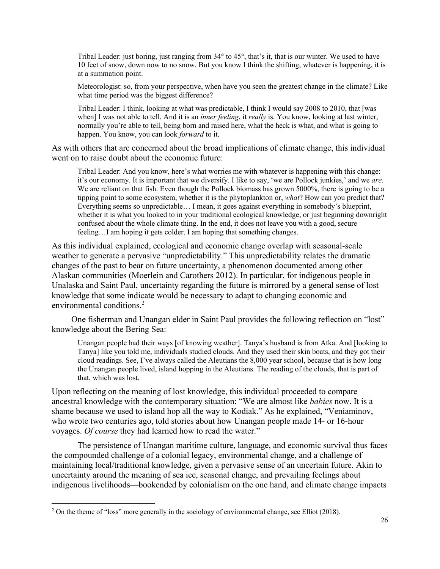Tribal Leader: just boring, just ranging from  $34^{\circ}$  to  $45^{\circ}$ , that's it, that is our winter. We used to have 10 feet of snow, down now to no snow. But you know I think the shifting, whatever is happening, it is at a summation point.

Meteorologist: so, from your perspective, when have you seen the greatest change in the climate? Like what time period was the biggest difference?

Tribal Leader: I think, looking at what was predictable, I think I would say 2008 to 2010, that [was when] I was not able to tell. And it is an *inner feeling*, it *really* is. You know, looking at last winter, normally you're able to tell, being born and raised here, what the heck is what, and what is going to happen. You know, you can look *forward* to it.

As with others that are concerned about the broad implications of climate change, this individual went on to raise doubt about the economic future:

Tribal Leader: And you know, here's what worries me with whatever is happening with this change: it's our economy. It is important that we diversify. I like to say, 'we are Pollock junkies,' and we *are*. We are reliant on that fish. Even though the Pollock biomass has grown 5000%, there is going to be a tipping point to some ecosystem, whether it is the phytoplankton or, *what*? How can you predict that? Everything seems so unpredictable… I mean, it goes against everything in somebody's blueprint, whether it is what you looked to in your traditional ecological knowledge, or just beginning downright confused about the whole climate thing. In the end, it does not leave you with a good, secure feeling…I am hoping it gets colder. I am hoping that something changes.

As this individual explained, ecological and economic change overlap with seasonal-scale weather to generate a pervasive "unpredictability." This unpredictability relates the dramatic changes of the past to bear on future uncertainty, a phenomenon documented among other Alaskan communities (Moerlein and Carothers 2012). In particular, for indigenous people in Unalaska and Saint Paul, uncertainty regarding the future is mirrored by a general sense of lost knowledge that some indicate would be necessary to adapt to changing economic and environmental conditions.<sup>2</sup>

One fisherman and Unangan elder in Saint Paul provides the following reflection on "lost" knowledge about the Bering Sea:

Unangan people had their ways [of knowing weather]. Tanya's husband is from Atka. And [looking to Tanya] like you told me, individuals studied clouds. And they used their skin boats, and they got their cloud readings. See, I've always called the Aleutians the 8,000 year school, because that is how long the Unangan people lived, island hopping in the Aleutians. The reading of the clouds, that is part of that, which was lost.

Upon reflecting on the meaning of lost knowledge, this individual proceeded to compare ancestral knowledge with the contemporary situation: "We are almost like *babies* now. It is a shame because we used to island hop all the way to Kodiak." As he explained, "Veniaminov, who wrote two centuries ago, told stories about how Unangan people made 14- or 16-hour voyages. *Of course* they had learned how to read the water."

The persistence of Unangan maritime culture, language, and economic survival thus faces the compounded challenge of a colonial legacy, environmental change, and a challenge of maintaining local/traditional knowledge, given a pervasive sense of an uncertain future. Akin to uncertainty around the meaning of sea ice, seasonal change, and prevailing feelings about indigenous livelihoods—bookended by colonialism on the one hand, and climate change impacts

<sup>&</sup>lt;sup>2</sup> On the theme of "loss" more generally in the sociology of environmental change, see Elliot (2018).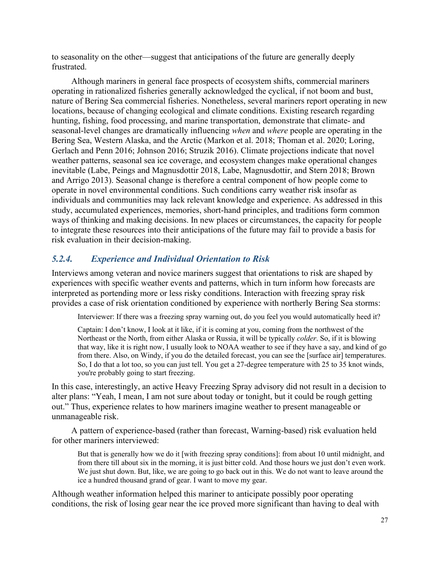to seasonality on the other—suggest that anticipations of the future are generally deeply frustrated.

Although mariners in general face prospects of ecosystem shifts, commercial mariners operating in rationalized fisheries generally acknowledged the cyclical, if not boom and bust, nature of Bering Sea commercial fisheries. Nonetheless, several mariners report operating in new locations, because of changing ecological and climate conditions. Existing research regarding hunting, fishing, food processing, and marine transportation, demonstrate that climate- and seasonal-level changes are dramatically influencing *when* and *where* people are operating in the Bering Sea, Western Alaska, and the Arctic (Markon et al. 2018; Thoman et al. 2020; Loring, Gerlach and Penn 2016; Johnson 2016; Struzik 2016). Climate projections indicate that novel weather patterns, seasonal sea ice coverage, and ecosystem changes make operational changes inevitable (Labe, Peings and Magnusdottir 2018, Labe, Magnusdottir, and Stern 2018; Brown and Arrigo 2013). Seasonal change is therefore a central component of how people come to operate in novel environmental conditions. Such conditions carry weather risk insofar as individuals and communities may lack relevant knowledge and experience. As addressed in this study, accumulated experiences, memories, short-hand principles, and traditions form common ways of thinking and making decisions. In new places or circumstances, the capacity for people to integrate these resources into their anticipations of the future may fail to provide a basis for risk evaluation in their decision-making.

## *5.2.4. Experience and Individual Orientation to Risk*

Interviews among veteran and novice mariners suggest that orientations to risk are shaped by experiences with specific weather events and patterns, which in turn inform how forecasts are interpreted as portending more or less risky conditions. Interaction with freezing spray risk provides a case of risk orientation conditioned by experience with northerly Bering Sea storms:

Interviewer: If there was a freezing spray warning out, do you feel you would automatically heed it?

Captain: I don't know, I look at it like, if it is coming at you, coming from the northwest of the Northeast or the North, from either Alaska or Russia, it will be typically *colder*. So, if it is blowing that way, like it is right now, I usually look to NOAA weather to see if they have a say, and kind of go from there. Also, on Windy, if you do the detailed forecast, you can see the [surface air] temperatures. So, I do that a lot too, so you can just tell. You get a 27-degree temperature with 25 to 35 knot winds, you're probably going to start freezing.

In this case, interestingly, an active Heavy Freezing Spray advisory did not result in a decision to alter plans: "Yeah, I mean, I am not sure about today or tonight, but it could be rough getting out." Thus, experience relates to how mariners imagine weather to present manageable or unmanageable risk.

A pattern of experience-based (rather than forecast, Warning-based) risk evaluation held for other mariners interviewed:

But that is generally how we do it [with freezing spray conditions]: from about 10 until midnight, and from there till about six in the morning, it is just bitter cold. And those hours we just don't even work. We just shut down. But, like, we are going to go back out in this. We do not want to leave around the ice a hundred thousand grand of gear. I want to move my gear.

Although weather information helped this mariner to anticipate possibly poor operating conditions, the risk of losing gear near the ice proved more significant than having to deal with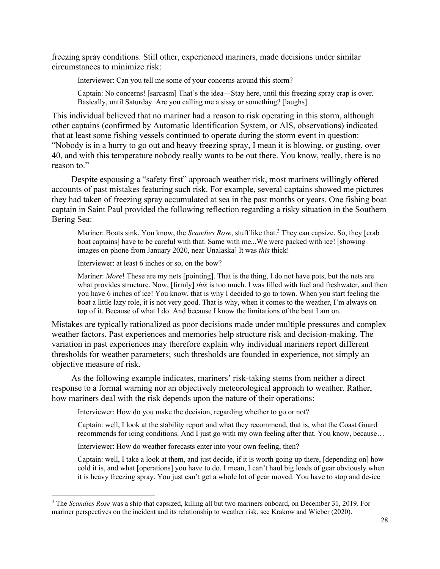freezing spray conditions. Still other, experienced mariners, made decisions under similar circumstances to minimize risk:

Interviewer: Can you tell me some of your concerns around this storm?

Captain: No concerns! [sarcasm] That's the idea—Stay here, until this freezing spray crap is over. Basically, until Saturday. Are you calling me a sissy or something? [laughs].

This individual believed that no mariner had a reason to risk operating in this storm, although other captains (confirmed by Automatic Identification System, or AIS, observations) indicated that at least some fishing vessels continued to operate during the storm event in question: "Nobody is in a hurry to go out and heavy freezing spray, I mean it is blowing, or gusting, over 40, and with this temperature nobody really wants to be out there. You know, really, there is no reason to."

Despite espousing a "safety first" approach weather risk, most mariners willingly offered accounts of past mistakes featuring such risk. For example, several captains showed me pictures they had taken of freezing spray accumulated at sea in the past months or years. One fishing boat captain in Saint Paul provided the following reflection regarding a risky situation in the Southern Bering Sea:

Mariner: Boats sink. You know, the *Scandies Rose*, stuff like that.<sup>3</sup> They can capsize. So, they [crab] boat captains] have to be careful with that. Same with me...We were packed with ice! [showing] images on phone from January 2020, near Unalaska] It was *this* thick!

Interviewer: at least 6 inches or so, on the bow?

Mariner: *More*! These are my nets [pointing]. That is the thing, I do not have pots, but the nets are what provides structure. Now, [firmly] *this* is too much. I was filled with fuel and freshwater, and then you have 6 inches of ice! You know, that is why I decided to go to town. When you start feeling the boat a little lazy role, it is not very good. That is why, when it comes to the weather, I'm always on top of it. Because of what I do. And because I know the limitations of the boat I am on.

Mistakes are typically rationalized as poor decisions made under multiple pressures and complex weather factors. Past experiences and memories help structure risk and decision-making. The variation in past experiences may therefore explain why individual mariners report different thresholds for weather parameters; such thresholds are founded in experience, not simply an objective measure of risk.

As the following example indicates, mariners' risk-taking stems from neither a direct response to a formal warning nor an objectively meteorological approach to weather. Rather, how mariners deal with the risk depends upon the nature of their operations:

Interviewer: How do you make the decision, regarding whether to go or not?

Captain: well, I look at the stability report and what they recommend, that is, what the Coast Guard recommends for icing conditions. And I just go with my own feeling after that. You know, because…

Interviewer: How do weather forecasts enter into your own feeling, then?

Captain: well, I take a look at them, and just decide, if it is worth going up there, [depending on] how cold it is, and what [operations] you have to do. I mean, I can't haul big loads of gear obviously when it is heavy freezing spray. You just can't get a whole lot of gear moved. You have to stop and de-ice

<sup>3</sup> The *Scandies Rose* was a ship that capsized, killing all but two mariners onboard, on December 31, 2019. For mariner perspectives on the incident and its relationship to weather risk, see Krakow and Wieber (2020).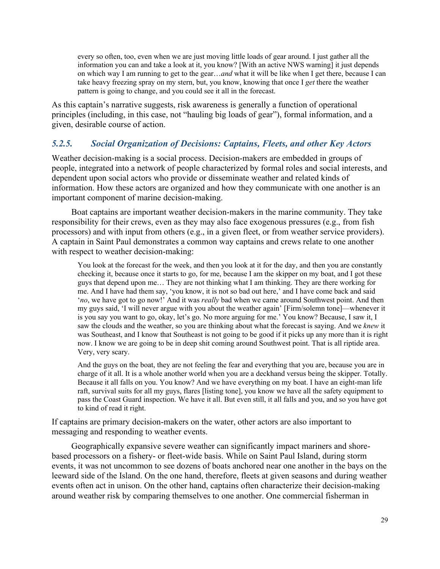every so often, too, even when we are just moving little loads of gear around. I just gather all the information you can and take a look at it, you know? [With an active NWS warning] it just depends on which way I am running to get to the gear…*and* what it will be like when I get there, because I can take heavy freezing spray on my stern, but, you know, knowing that once I *get* there the weather pattern is going to change, and you could see it all in the forecast.

As this captain's narrative suggests, risk awareness is generally a function of operational principles (including, in this case, not "hauling big loads of gear"), formal information, and a given, desirable course of action.

## *5.2.5. Social Organization of Decisions: Captains, Fleets, and other Key Actors*

Weather decision-making is a social process. Decision-makers are embedded in groups of people, integrated into a network of people characterized by formal roles and social interests, and dependent upon social actors who provide or disseminate weather and related kinds of information. How these actors are organized and how they communicate with one another is an important component of marine decision-making.

Boat captains are important weather decision-makers in the marine community. They take responsibility for their crews, even as they may also face exogenous pressures (e.g., from fish processors) and with input from others (e.g., in a given fleet, or from weather service providers). A captain in Saint Paul demonstrates a common way captains and crews relate to one another with respect to weather decision-making:

You look at the forecast for the week, and then you look at it for the day, and then you are constantly checking it, because once it starts to go, for me, because I am the skipper on my boat, and I got these guys that depend upon me… They are not thinking what I am thinking. They are there working for me. And I have had them say, 'you know, it is not so bad out here,' and I have come back and said '*no*, we have got to go now!' And it was *really* bad when we came around Southwest point. And then my guys said, 'I will never argue with you about the weather again' [Firm/solemn tone]—whenever it is you say you want to go, okay, let's go. No more arguing for me.' You know? Because, I saw it, I saw the clouds and the weather, so you are thinking about what the forecast is saying. And we *knew* it was Southeast, and I know that Southeast is not going to be good if it picks up any more than it is right now. I know we are going to be in deep shit coming around Southwest point. That is all riptide area. Very, very scary.

And the guys on the boat, they are not feeling the fear and everything that you are, because you are in charge of it all. It is a whole another world when you are a deckhand versus being the skipper. Totally. Because it all falls on you. You know? And we have everything on my boat. I have an eight-man life raft, survival suits for all my guys, flares [listing tone], you know we have all the safety equipment to pass the Coast Guard inspection. We have it all. But even still, it all falls and you, and so you have got to kind of read it right.

If captains are primary decision-makers on the water, other actors are also important to messaging and responding to weather events.

Geographically expansive severe weather can significantly impact mariners and shorebased processors on a fishery- or fleet-wide basis. While on Saint Paul Island, during storm events, it was not uncommon to see dozens of boats anchored near one another in the bays on the leeward side of the Island. On the one hand, therefore, fleets at given seasons and during weather events often act in unison. On the other hand, captains often characterize their decision-making around weather risk by comparing themselves to one another. One commercial fisherman in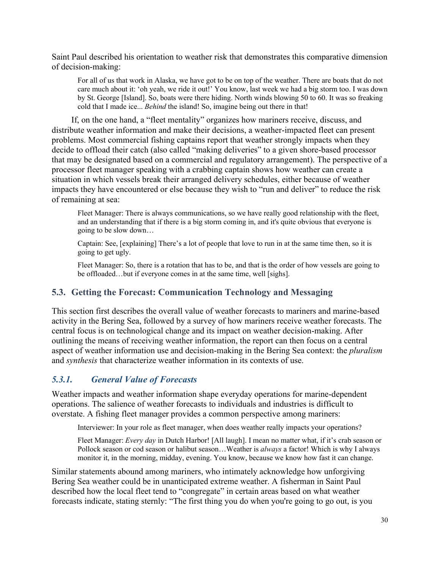Saint Paul described his orientation to weather risk that demonstrates this comparative dimension of decision-making:

For all of us that work in Alaska, we have got to be on top of the weather. There are boats that do not care much about it: 'oh yeah, we ride it out!' You know, last week we had a big storm too. I was down by St. George [Island]. So, boats were there hiding. North winds blowing 50 to 60. It was so freaking cold that I made ice... *Behind* the island! So, imagine being out there in that!

If, on the one hand, a "fleet mentality" organizes how mariners receive, discuss, and distribute weather information and make their decisions, a weather-impacted fleet can present problems. Most commercial fishing captains report that weather strongly impacts when they decide to offload their catch (also called "making deliveries" to a given shore-based processor that may be designated based on a commercial and regulatory arrangement). The perspective of a processor fleet manager speaking with a crabbing captain shows how weather can create a situation in which vessels break their arranged delivery schedules, either because of weather impacts they have encountered or else because they wish to "run and deliver" to reduce the risk of remaining at sea:

Fleet Manager: There is always communications, so we have really good relationship with the fleet, and an understanding that if there is a big storm coming in, and it's quite obvious that everyone is going to be slow down…

Captain: See, [explaining] There's a lot of people that love to run in at the same time then, so it is going to get ugly.

Fleet Manager: So, there is a rotation that has to be, and that is the order of how vessels are going to be offloaded…but if everyone comes in at the same time, well [sighs].

## **5.3. Getting the Forecast: Communication Technology and Messaging**

This section first describes the overall value of weather forecasts to mariners and marine-based activity in the Bering Sea, followed by a survey of how mariners receive weather forecasts. The central focus is on technological change and its impact on weather decision-making. After outlining the means of receiving weather information, the report can then focus on a central aspect of weather information use and decision-making in the Bering Sea context: the *pluralism*  and *synthesis* that characterize weather information in its contexts of use.

## *5.3.1. General Value of Forecasts*

Weather impacts and weather information shape everyday operations for marine-dependent operations. The salience of weather forecasts to individuals and industries is difficult to overstate. A fishing fleet manager provides a common perspective among mariners:

Interviewer: In your role as fleet manager, when does weather really impacts your operations?

Fleet Manager: *Every day* in Dutch Harbor! [All laugh]. I mean no matter what, if it's crab season or Pollock season or cod season or halibut season…Weather is *always* a factor! Which is why I always monitor it, in the morning, midday, evening. You know, because we know how fast it can change.

Similar statements abound among mariners, who intimately acknowledge how unforgiving Bering Sea weather could be in unanticipated extreme weather. A fisherman in Saint Paul described how the local fleet tend to "congregate" in certain areas based on what weather forecasts indicate, stating sternly: "The first thing you do when you're going to go out, is you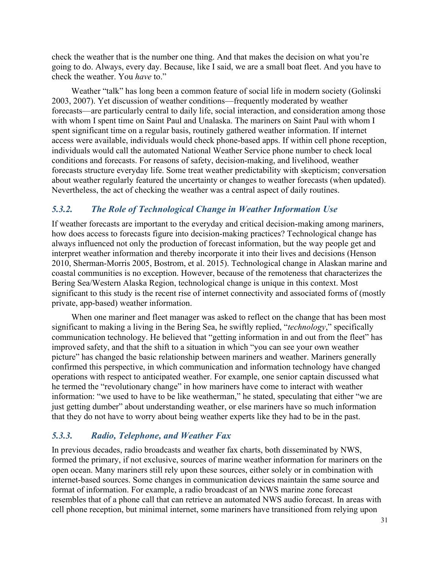check the weather that is the number one thing. And that makes the decision on what you're going to do. Always, every day. Because, like I said, we are a small boat fleet. And you have to check the weather. You *have* to."

Weather "talk" has long been a common feature of social life in modern society (Golinski 2003, 2007). Yet discussion of weather conditions—frequently moderated by weather forecasts—are particularly central to daily life, social interaction, and consideration among those with whom I spent time on Saint Paul and Unalaska. The mariners on Saint Paul with whom I spent significant time on a regular basis, routinely gathered weather information. If internet access were available, individuals would check phone-based apps. If within cell phone reception, individuals would call the automated National Weather Service phone number to check local conditions and forecasts. For reasons of safety, decision-making, and livelihood, weather forecasts structure everyday life. Some treat weather predictability with skepticism; conversation about weather regularly featured the uncertainty or changes to weather forecasts (when updated). Nevertheless, the act of checking the weather was a central aspect of daily routines.

## *5.3.2. The Role of Technological Change in Weather Information Use*

If weather forecasts are important to the everyday and critical decision-making among mariners, how does access to forecasts figure into decision-making practices? Technological change has always influenced not only the production of forecast information, but the way people get and interpret weather information and thereby incorporate it into their lives and decisions (Henson 2010, Sherman-Morris 2005, Bostrom, et al. 2015). Technological change in Alaskan marine and coastal communities is no exception. However, because of the remoteness that characterizes the Bering Sea/Western Alaska Region, technological change is unique in this context. Most significant to this study is the recent rise of internet connectivity and associated forms of (mostly private, app-based) weather information.

When one mariner and fleet manager was asked to reflect on the change that has been most significant to making a living in the Bering Sea, he swiftly replied, "*technology*," specifically communication technology. He believed that "getting information in and out from the fleet" has improved safety, and that the shift to a situation in which "you can see your own weather picture" has changed the basic relationship between mariners and weather. Mariners generally confirmed this perspective, in which communication and information technology have changed operations with respect to anticipated weather. For example, one senior captain discussed what he termed the "revolutionary change" in how mariners have come to interact with weather information: "we used to have to be like weatherman," he stated, speculating that either "we are just getting dumber" about understanding weather, or else mariners have so much information that they do not have to worry about being weather experts like they had to be in the past.

## *5.3.3. Radio, Telephone, and Weather Fax*

In previous decades, radio broadcasts and weather fax charts, both disseminated by NWS, formed the primary, if not exclusive, sources of marine weather information for mariners on the open ocean. Many mariners still rely upon these sources, either solely or in combination with internet-based sources. Some changes in communication devices maintain the same source and format of information. For example, a radio broadcast of an NWS marine zone forecast resembles that of a phone call that can retrieve an automated NWS audio forecast. In areas with cell phone reception, but minimal internet, some mariners have transitioned from relying upon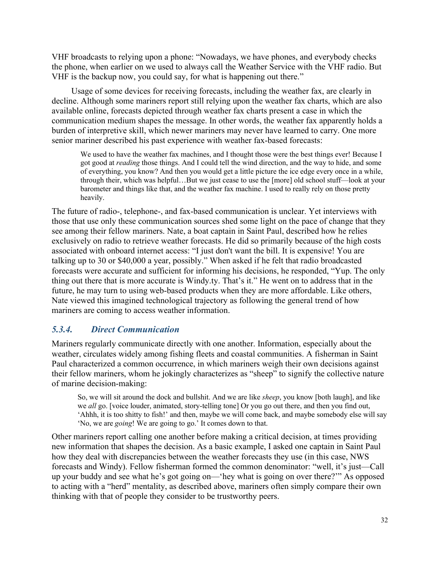VHF broadcasts to relying upon a phone: "Nowadays, we have phones, and everybody checks the phone, when earlier on we used to always call the Weather Service with the VHF radio. But VHF is the backup now, you could say, for what is happening out there."

Usage of some devices for receiving forecasts, including the weather fax, are clearly in decline. Although some mariners report still relying upon the weather fax charts, which are also available online, forecasts depicted through weather fax charts present a case in which the communication medium shapes the message. In other words, the weather fax apparently holds a burden of interpretive skill, which newer mariners may never have learned to carry. One more senior mariner described his past experience with weather fax-based forecasts:

We used to have the weather fax machines, and I thought those were the best things ever! Because I got good at *reading* those things. And I could tell the wind direction, and the way to hide, and some of everything, you know? And then you would get a little picture the ice edge every once in a while, through their, which was helpful…But we just cease to use the [more] old school stuff—look at your barometer and things like that, and the weather fax machine. I used to really rely on those pretty heavily.

The future of radio-, telephone-, and fax-based communication is unclear. Yet interviews with those that use only these communication sources shed some light on the pace of change that they see among their fellow mariners. Nate, a boat captain in Saint Paul, described how he relies exclusively on radio to retrieve weather forecasts. He did so primarily because of the high costs associated with onboard internet access: "I just don't want the bill. It is expensive! You are talking up to 30 or \$40,000 a year, possibly." When asked if he felt that radio broadcasted forecasts were accurate and sufficient for informing his decisions, he responded, "Yup. The only thing out there that is more accurate is Windy.ty. That's it." He went on to address that in the future, he may turn to using web-based products when they are more affordable. Like others, Nate viewed this imagined technological trajectory as following the general trend of how mariners are coming to access weather information.

## *5.3.4. Direct Communication*

Mariners regularly communicate directly with one another. Information, especially about the weather, circulates widely among fishing fleets and coastal communities. A fisherman in Saint Paul characterized a common occurrence, in which mariners weigh their own decisions against their fellow mariners, whom he jokingly characterizes as "sheep" to signify the collective nature of marine decision-making:

So, we will sit around the dock and bullshit. And we are like *sheep*, you know [both laugh], and like we *all* go. [voice louder, animated, story-telling tone] Or you go out there, and then you find out, 'Ahhh, it is too shitty to fish!' and then, maybe we will come back, and maybe somebody else will say 'No, we are *going*! We are going to go.' It comes down to that.

Other mariners report calling one another before making a critical decision, at times providing new information that shapes the decision. As a basic example, I asked one captain in Saint Paul how they deal with discrepancies between the weather forecasts they use (in this case, NWS forecasts and Windy). Fellow fisherman formed the common denominator: "well, it's just—Call up your buddy and see what he's got going on—'hey what is going on over there?'" As opposed to acting with a "herd" mentality, as described above, mariners often simply compare their own thinking with that of people they consider to be trustworthy peers.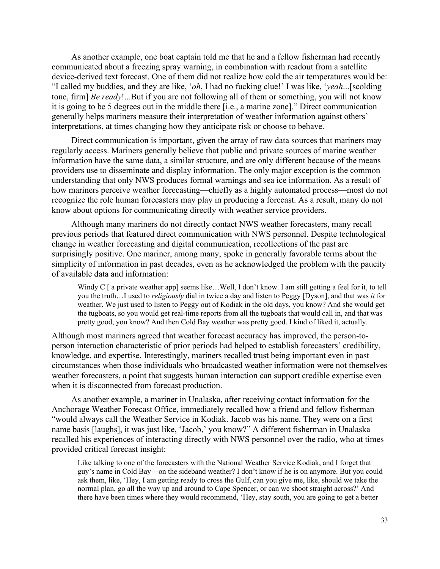As another example, one boat captain told me that he and a fellow fisherman had recently communicated about a freezing spray warning, in combination with readout from a satellite device-derived text forecast. One of them did not realize how cold the air temperatures would be: "I called my buddies, and they are like, '*oh*, I had no fucking clue!' I was like, '*yeah*...[scolding tone, firm] *Be ready*!...But if you are not following all of them or something, you will not know it is going to be 5 degrees out in the middle there [i.e., a marine zone]." Direct communication generally helps mariners measure their interpretation of weather information against others' interpretations, at times changing how they anticipate risk or choose to behave.

Direct communication is important, given the array of raw data sources that mariners may regularly access. Mariners generally believe that public and private sources of marine weather information have the same data, a similar structure, and are only different because of the means providers use to disseminate and display information. The only major exception is the common understanding that only NWS produces formal warnings and sea ice information. As a result of how mariners perceive weather forecasting—chiefly as a highly automated process—most do not recognize the role human forecasters may play in producing a forecast. As a result, many do not know about options for communicating directly with weather service providers.

Although many mariners do not directly contact NWS weather forecasters, many recall previous periods that featured direct communication with NWS personnel. Despite technological change in weather forecasting and digital communication, recollections of the past are surprisingly positive. One mariner, among many, spoke in generally favorable terms about the simplicity of information in past decades, even as he acknowledged the problem with the paucity of available data and information:

Windy C  $\lceil$  a private weather app $\lceil$  seems like...Well, I don't know. I am still getting a feel for it, to tell you the truth…I used to *religiously* dial in twice a day and listen to Peggy [Dyson], and that was *it* for weather. We just used to listen to Peggy out of Kodiak in the old days, you know? And she would get the tugboats, so you would get real-time reports from all the tugboats that would call in, and that was pretty good, you know? And then Cold Bay weather was pretty good. I kind of liked it, actually.

Although most mariners agreed that weather forecast accuracy has improved, the person-toperson interaction characteristic of prior periods had helped to establish forecasters' credibility, knowledge, and expertise. Interestingly, mariners recalled trust being important even in past circumstances when those individuals who broadcasted weather information were not themselves weather forecasters, a point that suggests human interaction can support credible expertise even when it is disconnected from forecast production.

As another example, a mariner in Unalaska, after receiving contact information for the Anchorage Weather Forecast Office, immediately recalled how a friend and fellow fisherman "would always call the Weather Service in Kodiak. Jacob was his name. They were on a first name basis [laughs], it was just like, 'Jacob,' you know?" A different fisherman in Unalaska recalled his experiences of interacting directly with NWS personnel over the radio, who at times provided critical forecast insight:

Like talking to one of the forecasters with the National Weather Service Kodiak, and I forget that guy's name in Cold Bay—on the sideband weather? I don't know if he is on anymore. But you could ask them, like, 'Hey, I am getting ready to cross the Gulf, can you give me, like, should we take the normal plan, go all the way up and around to Cape Spencer, or can we shoot straight across?' And there have been times where they would recommend, 'Hey, stay south, you are going to get a better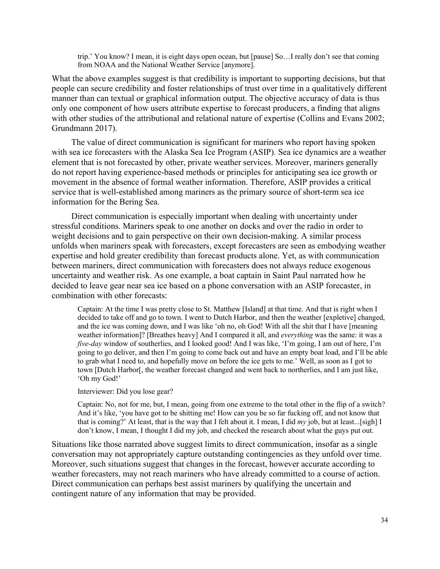trip.' You know? I mean, it is eight days open ocean, but [pause] So…I really don't see that coming from NOAA and the National Weather Service [anymore].

What the above examples suggest is that credibility is important to supporting decisions, but that people can secure credibility and foster relationships of trust over time in a qualitatively different manner than can textual or graphical information output. The objective accuracy of data is thus only one component of how users attribute expertise to forecast producers, a finding that aligns with other studies of the attributional and relational nature of expertise (Collins and Evans 2002; Grundmann 2017).

The value of direct communication is significant for mariners who report having spoken with sea ice forecasters with the Alaska Sea Ice Program (ASIP). Sea ice dynamics are a weather element that is not forecasted by other, private weather services. Moreover, mariners generally do not report having experience-based methods or principles for anticipating sea ice growth or movement in the absence of formal weather information. Therefore, ASIP provides a critical service that is well-established among mariners as the primary source of short-term sea ice information for the Bering Sea.

Direct communication is especially important when dealing with uncertainty under stressful conditions. Mariners speak to one another on docks and over the radio in order to weight decisions and to gain perspective on their own decision-making. A similar process unfolds when mariners speak with forecasters, except forecasters are seen as embodying weather expertise and hold greater credibility than forecast products alone. Yet, as with communication between mariners, direct communication with forecasters does not always reduce exogenous uncertainty and weather risk. As one example, a boat captain in Saint Paul narrated how he decided to leave gear near sea ice based on a phone conversation with an ASIP forecaster, in combination with other forecasts:

Captain: At the time I was pretty close to St. Matthew [Island] at that time. And that is right when I decided to take off and go to town. I went to Dutch Harbor, and then the weather [expletive] changed, and the ice was coming down, and I was like 'oh no, oh God! With all the shit that I have [meaning weather information]? [Breathes heavy] And I compared it all, and *everything* was the same: it was a *five-day* window of southerlies, and I looked good! And I was like, 'I'm going, I am out of here, I'm going to go deliver, and then I'm going to come back out and have an empty boat load, and I'll be able to grab what I need to, and hopefully move on before the ice gets to me.' Well, as soon as I got to town [Dutch Harbor[, the weather forecast changed and went back to northerlies, and I am just like, 'Oh my God!'

Interviewer: Did you lose gear?

Captain: No, not for me, but, I mean, going from one extreme to the total other in the flip of a switch? And it's like, 'you have got to be shitting me! How can you be so far fucking off, and not know that that is coming?' At least, that is the way that I felt about it. I mean, I did *my* job, but at least...[sigh] I don't know, I mean, I thought I did my job, and checked the research about what the guys put out.

Situations like those narrated above suggest limits to direct communication, insofar as a single conversation may not appropriately capture outstanding contingencies as they unfold over time. Moreover, such situations suggest that changes in the forecast, however accurate according to weather forecasters, may not reach mariners who have already committed to a course of action. Direct communication can perhaps best assist mariners by qualifying the uncertain and contingent nature of any information that may be provided.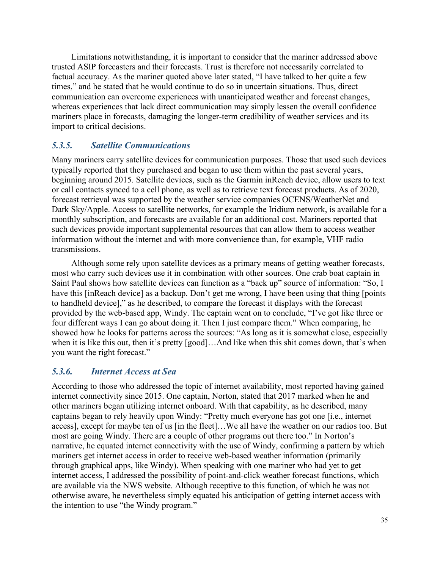Limitations notwithstanding, it is important to consider that the mariner addressed above trusted ASIP forecasters and their forecasts. Trust is therefore not necessarily correlated to factual accuracy. As the mariner quoted above later stated, "I have talked to her quite a few times," and he stated that he would continue to do so in uncertain situations. Thus, direct communication can overcome experiences with unanticipated weather and forecast changes, whereas experiences that lack direct communication may simply lessen the overall confidence mariners place in forecasts, damaging the longer-term credibility of weather services and its import to critical decisions.

## *5.3.5. Satellite Communications*

Many mariners carry satellite devices for communication purposes. Those that used such devices typically reported that they purchased and began to use them within the past several years, beginning around 2015. Satellite devices, such as the Garmin inReach device, allow users to text or call contacts synced to a cell phone, as well as to retrieve text forecast products. As of 2020, forecast retrieval was supported by the weather service companies OCENS/WeatherNet and Dark Sky/Apple. Access to satellite networks, for example the Iridium network, is available for a monthly subscription, and forecasts are available for an additional cost. Mariners reported that such devices provide important supplemental resources that can allow them to access weather information without the internet and with more convenience than, for example, VHF radio transmissions.

Although some rely upon satellite devices as a primary means of getting weather forecasts, most who carry such devices use it in combination with other sources. One crab boat captain in Saint Paul shows how satellite devices can function as a "back up" source of information: "So, I have this [inReach device] as a backup. Don't get me wrong, I have been using that thing [points] to handheld device]," as he described, to compare the forecast it displays with the forecast provided by the web-based app, Windy. The captain went on to conclude, "I've got like three or four different ways I can go about doing it. Then I just compare them." When comparing, he showed how he looks for patterns across the sources: "As long as it is somewhat close, especially when it is like this out, then it's pretty [good]…And like when this shit comes down, that's when you want the right forecast."

## *5.3.6. Internet Access at Sea*

According to those who addressed the topic of internet availability, most reported having gained internet connectivity since 2015. One captain, Norton, stated that 2017 marked when he and other mariners began utilizing internet onboard. With that capability, as he described, many captains began to rely heavily upon Windy: "Pretty much everyone has got one [i.e., internet access], except for maybe ten of us [in the fleet]…We all have the weather on our radios too. But most are going Windy. There are a couple of other programs out there too." In Norton's narrative, he equated internet connectivity with the use of Windy, confirming a pattern by which mariners get internet access in order to receive web-based weather information (primarily through graphical apps, like Windy). When speaking with one mariner who had yet to get internet access, I addressed the possibility of point-and-click weather forecast functions, which are available via the NWS website. Although receptive to this function, of which he was not otherwise aware, he nevertheless simply equated his anticipation of getting internet access with the intention to use "the Windy program."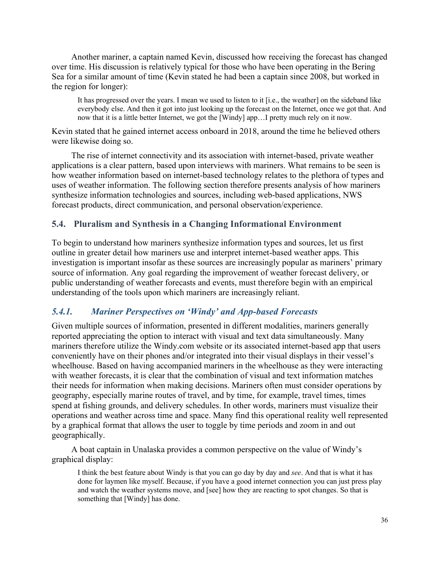Another mariner, a captain named Kevin, discussed how receiving the forecast has changed over time. His discussion is relatively typical for those who have been operating in the Bering Sea for a similar amount of time (Kevin stated he had been a captain since 2008, but worked in the region for longer):

It has progressed over the years. I mean we used to listen to it [i.e., the weather] on the sideband like everybody else. And then it got into just looking up the forecast on the Internet, once we got that. And now that it is a little better Internet, we got the [Windy] app…I pretty much rely on it now.

Kevin stated that he gained internet access onboard in 2018, around the time he believed others were likewise doing so.

The rise of internet connectivity and its association with internet-based, private weather applications is a clear pattern, based upon interviews with mariners. What remains to be seen is how weather information based on internet-based technology relates to the plethora of types and uses of weather information. The following section therefore presents analysis of how mariners synthesize information technologies and sources, including web-based applications, NWS forecast products, direct communication, and personal observation/experience.

#### **5.4. Pluralism and Synthesis in a Changing Informational Environment**

To begin to understand how mariners synthesize information types and sources, let us first outline in greater detail how mariners use and interpret internet-based weather apps. This investigation is important insofar as these sources are increasingly popular as mariners' primary source of information. Any goal regarding the improvement of weather forecast delivery, or public understanding of weather forecasts and events, must therefore begin with an empirical understanding of the tools upon which mariners are increasingly reliant.

#### *5.4.1. Mariner Perspectives on 'Windy' and App-based Forecasts*

Given multiple sources of information, presented in different modalities, mariners generally reported appreciating the option to interact with visual and text data simultaneously. Many mariners therefore utilize the Windy.com website or its associated internet-based app that users conveniently have on their phones and/or integrated into their visual displays in their vessel's wheelhouse. Based on having accompanied mariners in the wheelhouse as they were interacting with weather forecasts, it is clear that the combination of visual and text information matches their needs for information when making decisions. Mariners often must consider operations by geography, especially marine routes of travel, and by time, for example, travel times, times spend at fishing grounds, and delivery schedules. In other words, mariners must visualize their operations and weather across time and space. Many find this operational reality well represented by a graphical format that allows the user to toggle by time periods and zoom in and out geographically.

A boat captain in Unalaska provides a common perspective on the value of Windy's graphical display:

I think the best feature about Windy is that you can go day by day and *see*. And that is what it has done for laymen like myself. Because, if you have a good internet connection you can just press play and watch the weather systems move, and [see] how they are reacting to spot changes. So that is something that [Windy] has done.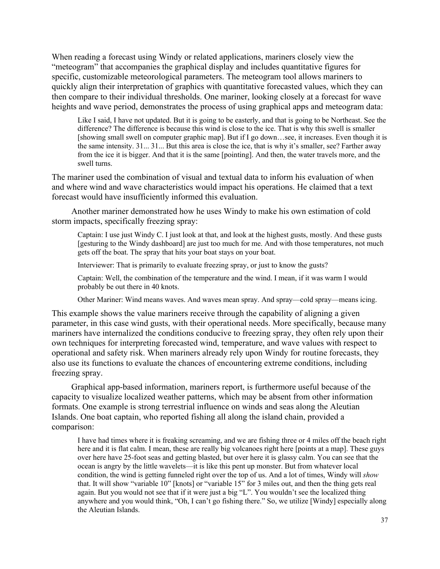When reading a forecast using Windy or related applications, mariners closely view the "meteogram" that accompanies the graphical display and includes quantitative figures for specific, customizable meteorological parameters. The meteogram tool allows mariners to quickly align their interpretation of graphics with quantitative forecasted values, which they can then compare to their individual thresholds. One mariner, looking closely at a forecast for wave heights and wave period, demonstrates the process of using graphical apps and meteogram data:

Like I said, I have not updated. But it is going to be easterly, and that is going to be Northeast. See the difference? The difference is because this wind is close to the ice. That is why this swell is smaller [showing small swell on computer graphic map]. But if I go down…see, it increases. Even though it is the same intensity. 31... 31... But this area is close the ice, that is why it's smaller, see? Farther away from the ice it is bigger. And that it is the same [pointing]. And then, the water travels more, and the swell turns.

The mariner used the combination of visual and textual data to inform his evaluation of when and where wind and wave characteristics would impact his operations. He claimed that a text forecast would have insufficiently informed this evaluation.

Another mariner demonstrated how he uses Windy to make his own estimation of cold storm impacts, specifically freezing spray:

Captain: I use just Windy C. I just look at that, and look at the highest gusts, mostly. And these gusts [gesturing to the Windy dashboard] are just too much for me. And with those temperatures, not much gets off the boat. The spray that hits your boat stays on your boat.

Interviewer: That is primarily to evaluate freezing spray, or just to know the gusts?

Captain: Well, the combination of the temperature and the wind. I mean, if it was warm I would probably be out there in 40 knots.

Other Mariner: Wind means waves. And waves mean spray. And spray—cold spray—means icing.

This example shows the value mariners receive through the capability of aligning a given parameter, in this case wind gusts, with their operational needs. More specifically, because many mariners have internalized the conditions conducive to freezing spray, they often rely upon their own techniques for interpreting forecasted wind, temperature, and wave values with respect to operational and safety risk. When mariners already rely upon Windy for routine forecasts, they also use its functions to evaluate the chances of encountering extreme conditions, including freezing spray.

Graphical app-based information, mariners report, is furthermore useful because of the capacity to visualize localized weather patterns, which may be absent from other information formats. One example is strong terrestrial influence on winds and seas along the Aleutian Islands. One boat captain, who reported fishing all along the island chain, provided a comparison:

I have had times where it is freaking screaming, and we are fishing three or 4 miles off the beach right here and it is flat calm. I mean, these are really big volcanoes right here [points at a map]. These guys over here have 25-foot seas and getting blasted, but over here it is glassy calm. You can see that the ocean is angry by the little wavelets—it is like this pent up monster. But from whatever local condition, the wind is getting funneled right over the top of us. And a lot of times, Windy will *show*  that. It will show "variable 10" [knots] or "variable 15" for 3 miles out, and then the thing gets real again. But you would not see that if it were just a big "L". You wouldn't see the localized thing anywhere and you would think, "Oh, I can't go fishing there." So, we utilize [Windy] especially along the Aleutian Islands.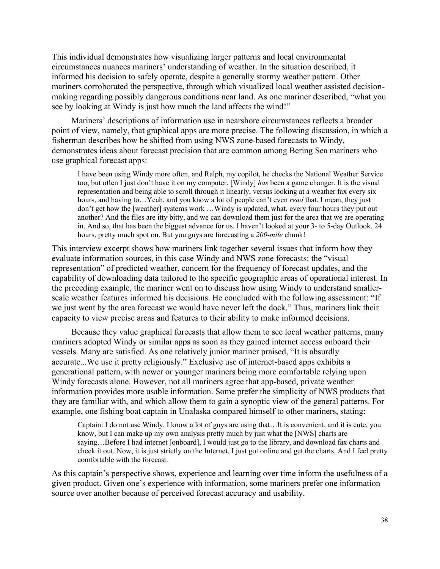This individual demonstrates how visualizing larger patterns and local environmental circumstances nuances mariners' understanding of weather. In the situation described, it informed his decision to safely operate, despite a generally stormy weather pattern. Other mariners corroborated the perspective, through which visualized local weather assisted decisionmaking regarding possibly dangerous conditions near land. As one mariner described, "what you see by looking at Windy is just how much the land affects the wind!"

Mariners' descriptions of information use in nearshore circumstances reflects a broader point of view, namely, that graphical apps are more precise. The following discussion, in which a fisherman describes how he shifted from using NWS zone-based forecasts to Windy, demonstrates ideas about forecast precision that are common among Bering Sea mariners who use graphical forecast apps:

I have been using Windy more often, and Ralph, my copilot, he checks the National Weather Service too, but often I just don't have it on my computer. [Windy] *has* been a game changer. It is the visual representation and being able to scroll through it linearly, versus looking at a weather fax every six hours, and having to…Yeah, and you know a lot of people can't even *read* that. I mean, they just don't get how the [weather] systems work …Windy is updated, what, every four hours they put out another? And the files are itty bitty, and we can download them just for the area that we are operating in. And so, that has been the biggest advance for us. I haven't looked at your 3- to 5-day Outlook. 24 hours, pretty much spot on. But you guys are forecasting a *200-mile* chunk!

This interview excerpt shows how mariners link together several issues that inform how they evaluate information sources, in this case Windy and NWS zone forecasts: the "visual representation" of predicted weather, concern for the frequency of forecast updates, and the capability of downloading data tailored to the specific geographic areas of operational interest. In the preceding example, the mariner went on to discuss how using Windy to understand smallerscale weather features informed his decisions. He concluded with the following assessment: "If we just went by the area forecast we would have never left the dock." Thus, mariners link their capacity to view precise areas and features to their ability to make informed decisions.

Because they value graphical forecasts that allow them to see local weather patterns, many mariners adopted Windy or similar apps as soon as they gained internet access onboard their vessels. Many are satisfied. As one relatively junior mariner praised, "It is absurdly accurate...We use it pretty religiously." Exclusive use of internet-based apps exhibits a generational pattern, with newer or younger mariners being more comfortable relying upon Windy forecasts alone. However, not all mariners agree that app-based, private weather information provides more usable information. Some prefer the simplicity of NWS products that they are familiar with, and which allow them to gain a synoptic view of the general patterns. For example, one fishing boat captain in Unalaska compared himself to other mariners, stating:

Captain: I do not use Windy. I know a lot of guys are using that…It is convenient, and it is cute, you know, but I can make up my own analysis pretty much by just what the [NWS] charts are saying…Before I had internet [onboard], I would just go to the library, and download fax charts and check it out. Now, it is just strictly on the Internet. I just got online and get the charts. And I feel pretty comfortable with the forecast.

As this captain's perspective shows, experience and learning over time inform the usefulness of a given product. Given one's experience with information, some mariners prefer one information source over another because of perceived forecast accuracy and usability.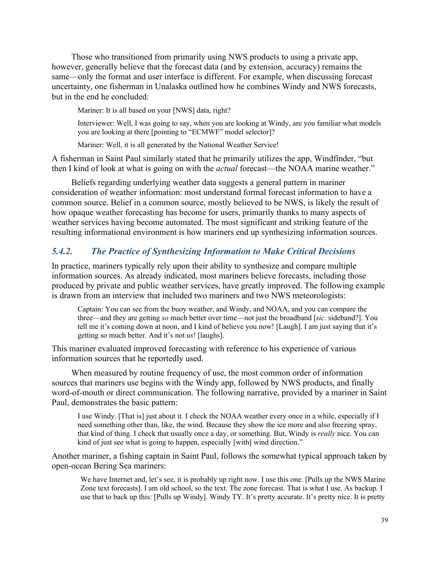Those who transitioned from primarily using NWS products to using a private app, however, generally believe that the forecast data (and by extension, accuracy) remains the same—only the format and user interface is different. For example, when discussing forecast uncertainty, one fisherman in Unalaska outlined how he combines Windy and NWS forecasts, but in the end he concluded:

Mariner: It is all based on your [NWS] data, right?

Interviewer: Well, I was going to say, when you are looking at Windy, are you familiar what models you are looking at there [pointing to "ECMWF" model selector]?

Mariner: Well, it is all generated by the National Weather Service!

A fisherman in Saint Paul similarly stated that he primarily utilizes the app, Windfinder, "but then I kind of look at what is going on with the *actual* forecast—the NOAA marine weather."

Beliefs regarding underlying weather data suggests a general pattern in mariner consideration of weather information: most understand formal forecast information to have a common source. Belief in a common source, mostly believed to be NWS, is likely the result of how opaque weather forecasting has become for users, primarily thanks to many aspects of weather services having become automated. The most significant and striking feature of the resulting informational environment is how mariners end up synthesizing information sources.

## *5.4.2. The Practice of Synthesizing Information to Make Critical Decisions*

In practice, mariners typically rely upon their ability to synthesize and compare multiple information sources. As already indicated, most mariners believe forecasts, including those produced by private and public weather services, have greatly improved. The following example is drawn from an interview that included two mariners and two NWS meteorologists:

Captain: You can see from the buoy weather, and Windy, and NOAA, and you can compare the three—and they are getting *so* much better over time—not just the broadband [*sic*. sideband?]. You tell me it's coming down at noon, and I kind of believe you now! [Laugh]. I am just saying that it's getting so much better. And it's not *us*! [laughs].

This mariner evaluated improved forecasting with reference to his experience of various information sources that he reportedly used.

When measured by routine frequency of use, the most common order of information sources that mariners use begins with the Windy app, followed by NWS products, and finally word-of-mouth or direct communication. The following narrative, provided by a mariner in Saint Paul, demonstrates the basic pattern:

I use Windy. [That is] just about it. I check the NOAA weather every once in a while, especially if I need something other than, like, the wind. Because they show the ice more and also freezing spray, that kind of thing. I check that usually once a day, or something. But, Windy is *really* nice. You can kind of just see what is going to happen, especially [with] wind direction."

Another mariner, a fishing captain in Saint Paul, follows the somewhat typical approach taken by open-ocean Bering Sea mariners:

We have Internet and, let's see, it is probably up right now. I use this one. [Pulls up the NWS Marine Zone text forecasts]. I am old school, so the text. The zone forecast. That is what I use. As backup. I use that to back up this: [Pulls up Windy]. Windy TY. It's pretty accurate. It's pretty nice. It is pretty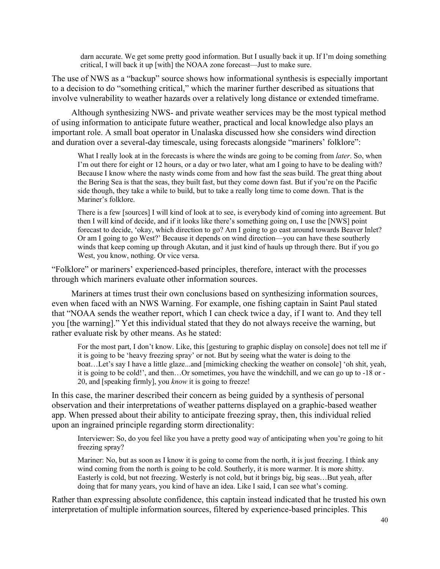darn accurate. We get some pretty good information. But I usually back it up. If I'm doing something critical, I will back it up [with] the NOAA zone forecast—Just to make sure.

The use of NWS as a "backup" source shows how informational synthesis is especially important to a decision to do "something critical," which the mariner further described as situations that involve vulnerability to weather hazards over a relatively long distance or extended timeframe.

Although synthesizing NWS- and private weather services may be the most typical method of using information to anticipate future weather, practical and local knowledge also plays an important role. A small boat operator in Unalaska discussed how she considers wind direction and duration over a several-day timescale, using forecasts alongside "mariners' folklore":

What I really look at in the forecasts is where the winds are going to be coming from *later*. So, when I'm out there for eight or 12 hours, or a day or two later, what am I going to have to be dealing with? Because I know where the nasty winds come from and how fast the seas build. The great thing about the Bering Sea is that the seas, they built fast, but they come down fast. But if you're on the Pacific side though, they take a while to build, but to take a really long time to come down. That is the Mariner's folklore.

There is a few [sources] I will kind of look at to see, is everybody kind of coming into agreement. But then I will kind of decide, and if it looks like there's something going on, I use the [NWS] point forecast to decide, 'okay, which direction to go? Am I going to go east around towards Beaver Inlet? Or am I going to go West?' Because it depends on wind direction—you can have these southerly winds that keep coming up through Akutan, and it just kind of hauls up through there. But if you go West, you know, nothing. Or vice versa.

"Folklore" or mariners' experienced-based principles, therefore, interact with the processes through which mariners evaluate other information sources.

Mariners at times trust their own conclusions based on synthesizing information sources, even when faced with an NWS Warning. For example, one fishing captain in Saint Paul stated that "NOAA sends the weather report, which I can check twice a day, if I want to. And they tell you [the warning]." Yet this individual stated that they do not always receive the warning, but rather evaluate risk by other means. As he stated:

For the most part, I don't know. Like, this [gesturing to graphic display on console] does not tell me if it is going to be 'heavy freezing spray' or not. But by seeing what the water is doing to the boat…Let's say I have a little glaze...and [mimicking checking the weather on console] 'oh shit, yeah, it is going to be cold!', and then…Or sometimes, you have the windchill, and we can go up to -18 or - 20, and [speaking firmly], you *know* it is going to freeze!

In this case, the mariner described their concern as being guided by a synthesis of personal observation and their interpretations of weather patterns displayed on a graphic-based weather app. When pressed about their ability to anticipate freezing spray, then, this individual relied upon an ingrained principle regarding storm directionality:

Interviewer: So, do you feel like you have a pretty good way of anticipating when you're going to hit freezing spray?

Mariner: No, but as soon as I know it is going to come from the north, it is just freezing. I think any wind coming from the north is going to be cold. Southerly, it is more warmer. It is more shitty. Easterly is cold, but not freezing. Westerly is not cold, but it brings big, big seas…But yeah, after doing that for many years, you kind of have an idea. Like I said, I can see what's coming.

Rather than expressing absolute confidence, this captain instead indicated that he trusted his own interpretation of multiple information sources, filtered by experience-based principles. This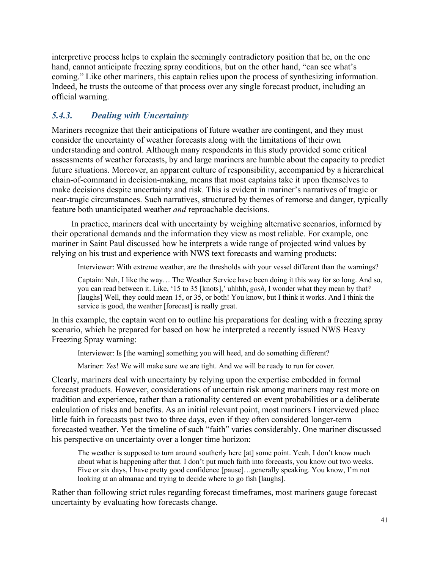interpretive process helps to explain the seemingly contradictory position that he, on the one hand, cannot anticipate freezing spray conditions, but on the other hand, "can see what's coming." Like other mariners, this captain relies upon the process of synthesizing information. Indeed, he trusts the outcome of that process over any single forecast product, including an official warning.

## *5.4.3. Dealing with Uncertainty*

Mariners recognize that their anticipations of future weather are contingent, and they must consider the uncertainty of weather forecasts along with the limitations of their own understanding and control. Although many respondents in this study provided some critical assessments of weather forecasts, by and large mariners are humble about the capacity to predict future situations. Moreover, an apparent culture of responsibility, accompanied by a hierarchical chain-of-command in decision-making, means that most captains take it upon themselves to make decisions despite uncertainty and risk. This is evident in mariner's narratives of tragic or near-tragic circumstances. Such narratives, structured by themes of remorse and danger, typically feature both unanticipated weather *and* reproachable decisions.

In practice, mariners deal with uncertainty by weighing alternative scenarios, informed by their operational demands and the information they view as most reliable. For example, one mariner in Saint Paul discussed how he interprets a wide range of projected wind values by relying on his trust and experience with NWS text forecasts and warning products:

Interviewer: With extreme weather, are the thresholds with your vessel different than the warnings?

Captain: Nah, I like the way… The Weather Service have been doing it this way for so long. And so, you can read between it. Like, '15 to 35 [knots],' uhhhh, *gosh*, I wonder what they mean by that? [laughs] Well, they could mean 15, or 35, or both! You know, but I think it works. And I think the service is good, the weather [forecast] is really great.

In this example, the captain went on to outline his preparations for dealing with a freezing spray scenario, which he prepared for based on how he interpreted a recently issued NWS Heavy Freezing Spray warning:

Interviewer: Is [the warning] something you will heed, and do something different?

Mariner: *Yes*! We will make sure we are tight. And we will be ready to run for cover.

Clearly, mariners deal with uncertainty by relying upon the expertise embedded in formal forecast products. However, considerations of uncertain risk among mariners may rest more on tradition and experience, rather than a rationality centered on event probabilities or a deliberate calculation of risks and benefits. As an initial relevant point, most mariners I interviewed place little faith in forecasts past two to three days, even if they often considered longer-term forecasted weather. Yet the timeline of such "faith" varies considerably. One mariner discussed his perspective on uncertainty over a longer time horizon:

The weather is supposed to turn around southerly here [at] some point. Yeah, I don't know much about what is happening after that. I don't put much faith into forecasts, you know out two weeks. Five or six days, I have pretty good confidence [pause]…generally speaking. You know, I'm not looking at an almanac and trying to decide where to go fish [laughs].

Rather than following strict rules regarding forecast timeframes, most mariners gauge forecast uncertainty by evaluating how forecasts change.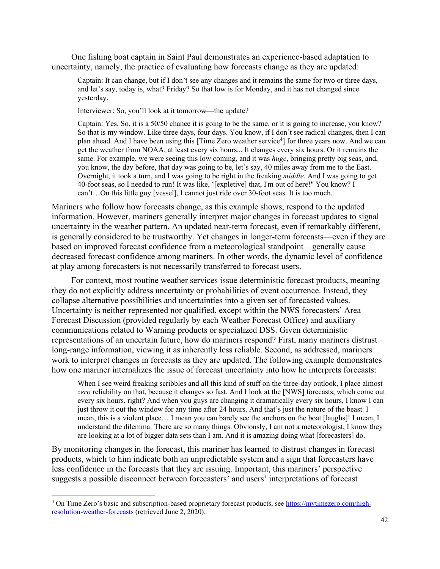One fishing boat captain in Saint Paul demonstrates an experience-based adaptation to uncertainty, namely, the practice of evaluating how forecasts change as they are updated:

Captain: It can change, but if I don't see any changes and it remains the same for two or three days, and let's say, today is, what? Friday? So that low is for Monday, and it has not changed since yesterday.

Interviewer: So, you'll look at it tomorrow—the update?

Captain: Yes. So, it is a 50/50 chance it is going to be the same, or it is going to increase, you know? So that is my window. Like three days, four days. You know, if I don't see radical changes, then I can plan ahead. And I have been using this [Time Zero weather service<sup>4</sup>] for three years now. And we can get the weather from NOAA, at least every six hours... It changes every six hours. Or it remains the same. For example, we were seeing this low coming, and it was *huge*, bringing pretty big seas, and, you know, the day before, that day was going to be, let's say, 40 miles away from me to the East. Overnight, it took a turn, and I was going to be right in the freaking *middle*. And I was going to get 40-foot seas, so I needed to run! It was like, '[expletive] that, I'm out of here!" You know? I can't…On this little guy [vessel], I cannot just ride over 30-foot seas. It is too much.

Mariners who follow how forecasts change, as this example shows, respond to the updated information. However, mariners generally interpret major changes in forecast updates to signal uncertainty in the weather pattern. An updated near-term forecast, even if remarkably different, is generally considered to be trustworthy. Yet changes in longer-term forecasts—even if they are based on improved forecast confidence from a meteorological standpoint—generally cause decreased forecast confidence among mariners. In other words, the dynamic level of confidence at play among forecasters is not necessarily transferred to forecast users.

For context, most routine weather services issue deterministic forecast products, meaning they do not explicitly address uncertainty or probabilities of event occurrence. Instead, they collapse alternative possibilities and uncertainties into a given set of forecasted values. Uncertainty is neither represented nor qualified, except within the NWS forecasters' Area Forecast Discussion (provided regularly by each Weather Forecast Office) and auxiliary communications related to Warning products or specialized DSS. Given deterministic representations of an uncertain future, how do mariners respond? First, many mariners distrust long-range information, viewing it as inherently less reliable. Second, as addressed, mariners work to interpret changes in forecasts as they are updated. The following example demonstrates how one mariner internalizes the issue of forecast uncertainty into how he interprets forecasts:

When I see weird freaking scribbles and all this kind of stuff on the three-day outlook, I place almost *zero* reliability on that, because it changes so fast. And I look at the [NWS] forecasts, which come out every six hours, right? And when you guys are changing it dramatically every six hours, I know I can just throw it out the window for any time after 24 hours. And that's just the nature of the beast. I mean, this is a violent place… I mean you can barely see the anchors on the boat [laughs]! I mean, I understand the dilemma. There are so many things. Obviously, I am not a meteorologist, I know they are looking at a lot of bigger data sets than I am. And it is amazing doing what [forecasters] do.

By monitoring changes in the forecast, this mariner has learned to distrust changes in forecast products, which to him indicate both an unpredictable system and a sign that forecasters have less confidence in the forecasts that they are issuing. Important, this mariners' perspective suggests a possible disconnect between forecasters' and users' interpretations of forecast

<sup>4</sup> On Time Zero's basic and subscription-based proprietary forecast products, see [https://mytimezero.com/high](https://mytimezero.com/high-resolution-weather-forecasts)[resolution-weather-forecasts](https://mytimezero.com/high-resolution-weather-forecasts) (retrieved June 2, 2020).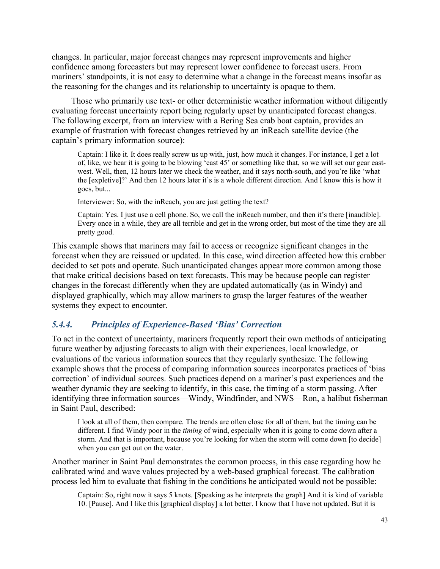changes. In particular, major forecast changes may represent improvements and higher confidence among forecasters but may represent lower confidence to forecast users. From mariners' standpoints, it is not easy to determine what a change in the forecast means insofar as the reasoning for the changes and its relationship to uncertainty is opaque to them.

Those who primarily use text- or other deterministic weather information without diligently evaluating forecast uncertainty report being regularly upset by unanticipated forecast changes. The following excerpt, from an interview with a Bering Sea crab boat captain, provides an example of frustration with forecast changes retrieved by an inReach satellite device (the captain's primary information source):

Captain: I like it. It does really screw us up with, just, how much it changes. For instance, I get a lot of, like, we hear it is going to be blowing 'east 45' or something like that, so we will set our gear eastwest. Well, then, 12 hours later we check the weather, and it says north-south, and you're like 'what the [expletive]?' And then 12 hours later it's is a whole different direction. And I know this is how it goes, but...

Interviewer: So, with the inReach, you are just getting the text?

Captain: Yes. I just use a cell phone. So, we call the inReach number, and then it's there [inaudible]. Every once in a while, they are all terrible and get in the wrong order, but most of the time they are all pretty good.

This example shows that mariners may fail to access or recognize significant changes in the forecast when they are reissued or updated. In this case, wind direction affected how this crabber decided to set pots and operate. Such unanticipated changes appear more common among those that make critical decisions based on text forecasts. This may be because people can register changes in the forecast differently when they are updated automatically (as in Windy) and displayed graphically, which may allow mariners to grasp the larger features of the weather systems they expect to encounter.

## *5.4.4. Principles of Experience-Based 'Bias' Correction*

To act in the context of uncertainty, mariners frequently report their own methods of anticipating future weather by adjusting forecasts to align with their experiences, local knowledge, or evaluations of the various information sources that they regularly synthesize. The following example shows that the process of comparing information sources incorporates practices of 'bias correction' of individual sources. Such practices depend on a mariner's past experiences and the weather dynamic they are seeking to identify, in this case, the timing of a storm passing. After identifying three information sources—Windy, Windfinder, and NWS—Ron, a halibut fisherman in Saint Paul, described:

I look at all of them, then compare. The trends are often close for all of them, but the timing can be different. I find Windy poor in the *timing* of wind, especially when it is going to come down after a storm. And that is important, because you're looking for when the storm will come down [to decide] when you can get out on the water.

Another mariner in Saint Paul demonstrates the common process, in this case regarding how he calibrated wind and wave values projected by a web-based graphical forecast. The calibration process led him to evaluate that fishing in the conditions he anticipated would not be possible:

Captain: So, right now it says 5 knots. [Speaking as he interprets the graph] And it is kind of variable 10. [Pause]. And I like this [graphical display] a lot better. I know that I have not updated. But it is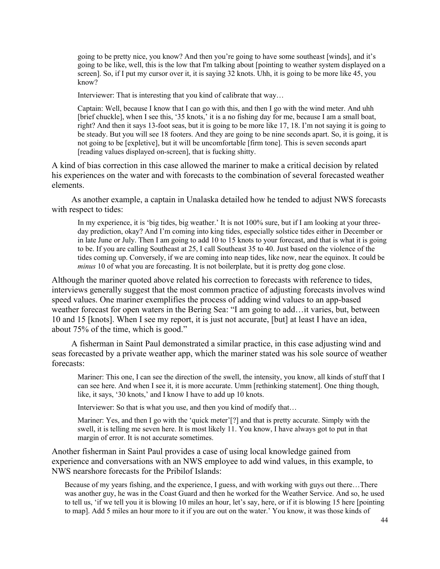going to be pretty nice, you know? And then you're going to have some southeast [winds], and it's going to be like, well, this is the low that I'm talking about [pointing to weather system displayed on a screen]. So, if I put my cursor over it, it is saying 32 knots. Uhh, it is going to be more like 45, you know?

Interviewer: That is interesting that you kind of calibrate that way…

Captain: Well, because I know that I can go with this, and then I go with the wind meter. And uhh [brief chuckle], when I see this, '35 knots,' it is a no fishing day for me, because I am a small boat, right? And then it says 13-foot seas, but it is going to be more like 17, 18. I'm not saying it is going to be steady. But you will see 18 footers. And they are going to be nine seconds apart. So, it is going, it is not going to be [expletive], but it will be uncomfortable [firm tone]. This is seven seconds apart [reading values displayed on-screen], that is fucking shitty.

A kind of bias correction in this case allowed the mariner to make a critical decision by related his experiences on the water and with forecasts to the combination of several forecasted weather elements.

As another example, a captain in Unalaska detailed how he tended to adjust NWS forecasts with respect to tides:

In my experience, it is 'big tides, big weather.' It is not 100% sure, but if I am looking at your threeday prediction, okay? And I'm coming into king tides, especially solstice tides either in December or in late June or July. Then I am going to add 10 to 15 knots to your forecast, and that is what it is going to be. If you are calling Southeast at 25, I call Southeast 35 to 40. Just based on the violence of the tides coming up. Conversely, if we are coming into neap tides, like now, near the equinox. It could be *minus* 10 of what you are forecasting. It is not boilerplate, but it is pretty dog gone close.

Although the mariner quoted above related his correction to forecasts with reference to tides, interviews generally suggest that the most common practice of adjusting forecasts involves wind speed values. One mariner exemplifies the process of adding wind values to an app-based weather forecast for open waters in the Bering Sea: "I am going to add…it varies, but, between 10 and 15 [knots]. When I see my report, it is just not accurate, [but] at least I have an idea, about 75% of the time, which is good."

A fisherman in Saint Paul demonstrated a similar practice, in this case adjusting wind and seas forecasted by a private weather app, which the mariner stated was his sole source of weather forecasts:

Mariner: This one, I can see the direction of the swell, the intensity, you know, all kinds of stuff that I can see here. And when I see it, it is more accurate. Umm [rethinking statement]. One thing though, like, it says, '30 knots,' and I know I have to add up 10 knots.

Interviewer: So that is what you use, and then you kind of modify that…

Mariner: Yes, and then I go with the 'quick meter'[?] and that is pretty accurate. Simply with the swell, it is telling me seven here. It is most likely 11. You know, I have always got to put in that margin of error. It is not accurate sometimes.

Another fisherman in Saint Paul provides a case of using local knowledge gained from experience and conversations with an NWS employee to add wind values, in this example, to NWS nearshore forecasts for the Pribilof Islands:

Because of my years fishing, and the experience, I guess, and with working with guys out there…There was another guy, he was in the Coast Guard and then he worked for the Weather Service. And so, he used to tell us, 'if we tell you it is blowing 10 miles an hour, let's say, here, or if it is blowing 15 here [pointing to map]. Add 5 miles an hour more to it if you are out on the water.' You know, it was those kinds of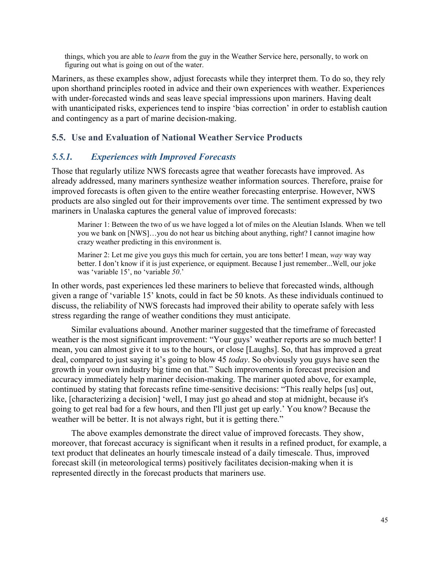things, which you are able to *learn* from the guy in the Weather Service here, personally, to work on figuring out what is going on out of the water.

Mariners, as these examples show, adjust forecasts while they interpret them. To do so, they rely upon shorthand principles rooted in advice and their own experiences with weather. Experiences with under-forecasted winds and seas leave special impressions upon mariners. Having dealt with unanticipated risks, experiences tend to inspire 'bias correction' in order to establish caution and contingency as a part of marine decision-making.

## **5.5. Use and Evaluation of National Weather Service Products**

#### *5.5.1. Experiences with Improved Forecasts*

Those that regularly utilize NWS forecasts agree that weather forecasts have improved. As already addressed, many mariners synthesize weather information sources. Therefore, praise for improved forecasts is often given to the entire weather forecasting enterprise. However, NWS products are also singled out for their improvements over time. The sentiment expressed by two mariners in Unalaska captures the general value of improved forecasts:

Mariner 1: Between the two of us we have logged a lot of miles on the Aleutian Islands. When we tell you we bank on [NWS]…you do not hear us bitching about anything, right? I cannot imagine how crazy weather predicting in this environment is.

Mariner 2: Let me give you guys this much for certain, you are tons better! I mean, *way* way way better. I don't know if it is just experience, or equipment. Because I just remember...Well, our joke was 'variable 15', no 'variable *50*.'

In other words, past experiences led these mariners to believe that forecasted winds, although given a range of 'variable 15' knots, could in fact be 50 knots. As these individuals continued to discuss, the reliability of NWS forecasts had improved their ability to operate safely with less stress regarding the range of weather conditions they must anticipate.

Similar evaluations abound. Another mariner suggested that the timeframe of forecasted weather is the most significant improvement: "Your guys' weather reports are so much better! I mean, you can almost give it to us to the hours, or close [Laughs]. So, that has improved a great deal, compared to just saying it's going to blow 45 *today*. So obviously you guys have seen the growth in your own industry big time on that." Such improvements in forecast precision and accuracy immediately help mariner decision-making. The mariner quoted above, for example, continued by stating that forecasts refine time-sensitive decisions: "This really helps [us] out, like, [characterizing a decision] 'well, I may just go ahead and stop at midnight, because it's going to get real bad for a few hours, and then I'll just get up early.' You know? Because the weather will be better. It is not always right, but it is getting there."

The above examples demonstrate the direct value of improved forecasts. They show, moreover, that forecast accuracy is significant when it results in a refined product, for example, a text product that delineates an hourly timescale instead of a daily timescale. Thus, improved forecast skill (in meteorological terms) positively facilitates decision-making when it is represented directly in the forecast products that mariners use.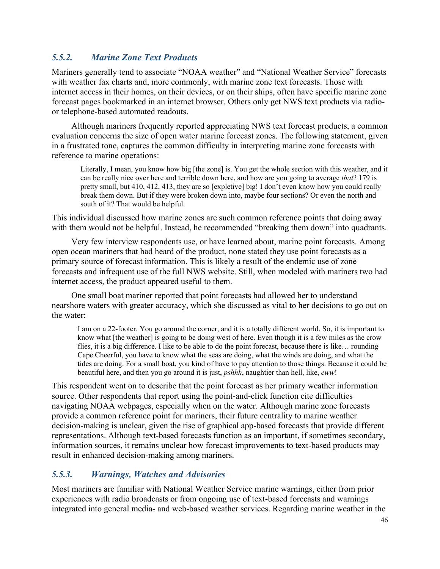## *5.5.2. Marine Zone Text Products*

Mariners generally tend to associate "NOAA weather" and "National Weather Service" forecasts with weather fax charts and, more commonly, with marine zone text forecasts. Those with internet access in their homes, on their devices, or on their ships, often have specific marine zone forecast pages bookmarked in an internet browser. Others only get NWS text products via radioor telephone-based automated readouts.

Although mariners frequently reported appreciating NWS text forecast products, a common evaluation concerns the size of open water marine forecast zones. The following statement, given in a frustrated tone, captures the common difficulty in interpreting marine zone forecasts with reference to marine operations:

Literally, I mean, you know how big [the zone] is. You get the whole section with this weather, and it can be really nice over here and terrible down here, and how are you going to average *that*? 179 is pretty small, but 410, 412, 413, they are so [expletive] big! I don't even know how you could really break them down. But if they were broken down into, maybe four sections? Or even the north and south of it? That would be helpful.

This individual discussed how marine zones are such common reference points that doing away with them would not be helpful. Instead, he recommended "breaking them down" into quadrants.

Very few interview respondents use, or have learned about, marine point forecasts. Among open ocean mariners that had heard of the product, none stated they use point forecasts as a primary source of forecast information. This is likely a result of the endemic use of zone forecasts and infrequent use of the full NWS website. Still, when modeled with mariners two had internet access, the product appeared useful to them.

One small boat mariner reported that point forecasts had allowed her to understand nearshore waters with greater accuracy, which she discussed as vital to her decisions to go out on the water:

I am on a 22-footer. You go around the corner, and it is a totally different world. So, it is important to know what [the weather] is going to be doing west of here. Even though it is a few miles as the crow flies, it is a big difference. I like to be able to do the point forecast, because there is like… rounding Cape Cheerful, you have to know what the seas are doing, what the winds are doing, and what the tides are doing. For a small boat, you kind of have to pay attention to those things. Because it could be beautiful here, and then you go around it is just, *pshhh*, naughtier than hell, like, *eww*!

This respondent went on to describe that the point forecast as her primary weather information source. Other respondents that report using the point-and-click function cite difficulties navigating NOAA webpages, especially when on the water. Although marine zone forecasts provide a common reference point for mariners, their future centrality to marine weather decision-making is unclear, given the rise of graphical app-based forecasts that provide different representations. Although text-based forecasts function as an important, if sometimes secondary, information sources, it remains unclear how forecast improvements to text-based products may result in enhanced decision-making among mariners.

## *5.5.3. Warnings, Watches and Advisories*

Most mariners are familiar with National Weather Service marine warnings, either from prior experiences with radio broadcasts or from ongoing use of text-based forecasts and warnings integrated into general media- and web-based weather services. Regarding marine weather in the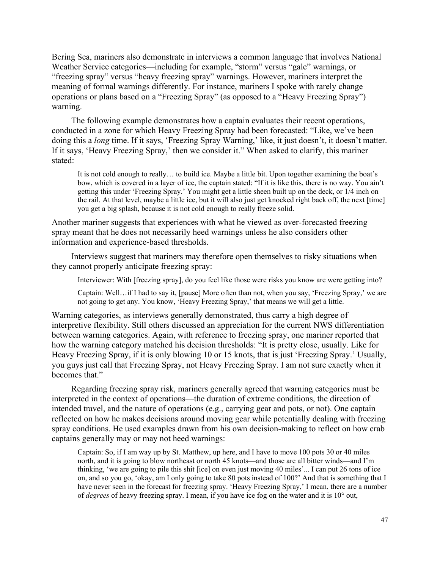Bering Sea, mariners also demonstrate in interviews a common language that involves National Weather Service categories—including for example, "storm" versus "gale" warnings, or "freezing spray" versus "heavy freezing spray" warnings. However, mariners interpret the meaning of formal warnings differently. For instance, mariners I spoke with rarely change operations or plans based on a "Freezing Spray" (as opposed to a "Heavy Freezing Spray") warning.

The following example demonstrates how a captain evaluates their recent operations, conducted in a zone for which Heavy Freezing Spray had been forecasted: "Like, we've been doing this a *long* time. If it says, 'Freezing Spray Warning,' like, it just doesn't, it doesn't matter. If it says, 'Heavy Freezing Spray,' then we consider it." When asked to clarify, this mariner stated:

It is not cold enough to really… to build ice. Maybe a little bit. Upon together examining the boat's bow, which is covered in a layer of ice, the captain stated: "If it is like this, there is no way. You ain't getting this under 'Freezing Spray.' You might get a little sheen built up on the deck, or 1/4 inch on the rail. At that level, maybe a little ice, but it will also just get knocked right back off, the next [time] you get a big splash, because it is not cold enough to really freeze solid.

Another mariner suggests that experiences with what he viewed as over-forecasted freezing spray meant that he does not necessarily heed warnings unless he also considers other information and experience-based thresholds.

Interviews suggest that mariners may therefore open themselves to risky situations when they cannot properly anticipate freezing spray:

Interviewer: With [freezing spray], do you feel like those were risks you know are were getting into?

Captain: Well…if I had to say it, [pause] More often than not, when you say, 'Freezing Spray,' we are not going to get any. You know, 'Heavy Freezing Spray,' that means we will get a little.

Warning categories, as interviews generally demonstrated, thus carry a high degree of interpretive flexibility. Still others discussed an appreciation for the current NWS differentiation between warning categories. Again, with reference to freezing spray, one mariner reported that how the warning category matched his decision thresholds: "It is pretty close, usually. Like for Heavy Freezing Spray, if it is only blowing 10 or 15 knots, that is just 'Freezing Spray.' Usually, you guys just call that Freezing Spray, not Heavy Freezing Spray. I am not sure exactly when it becomes that."

Regarding freezing spray risk, mariners generally agreed that warning categories must be interpreted in the context of operations—the duration of extreme conditions, the direction of intended travel, and the nature of operations (e.g., carrying gear and pots, or not). One captain reflected on how he makes decisions around moving gear while potentially dealing with freezing spray conditions. He used examples drawn from his own decision-making to reflect on how crab captains generally may or may not heed warnings:

Captain: So, if I am way up by St. Matthew, up here, and I have to move 100 pots 30 or 40 miles north, and it is going to blow northeast or north 45 knots—and those are all bitter winds—and I'm thinking, 'we are going to pile this shit [ice] on even just moving 40 miles'... I can put 26 tons of ice on, and so you go, 'okay, am I only going to take 80 pots instead of 100?' And that is something that I have never seen in the forecast for freezing spray. 'Heavy Freezing Spray,' I mean, there are a number of *degrees* of heavy freezing spray. I mean, if you have ice fog on the water and it is 10° out,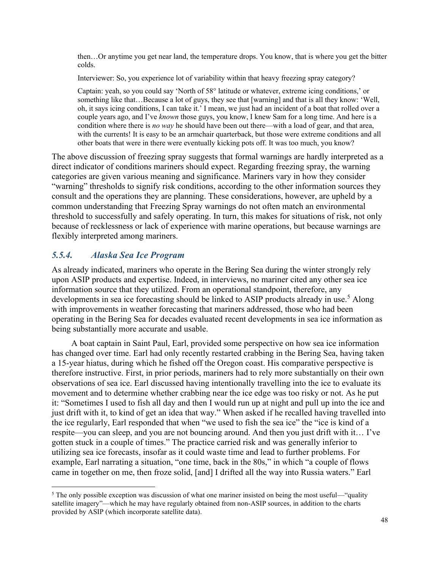then…Or anytime you get near land, the temperature drops. You know, that is where you get the bitter colds.

Interviewer: So, you experience lot of variability within that heavy freezing spray category?

Captain: yeah, so you could say 'North of 58° latitude or whatever, extreme icing conditions,' or something like that…Because a lot of guys, they see that [warning] and that is all they know: 'Well, oh, it says icing conditions, I can take it.' I mean, we just had an incident of a boat that rolled over a couple years ago, and I've *known* those guys, you know, I knew Sam for a long time. And here is a condition where there is *no way* he should have been out there—with a load of gear, and that area, with the currents! It is easy to be an armchair quarterback, but those were extreme conditions and all other boats that were in there were eventually kicking pots off. It was too much, you know?

The above discussion of freezing spray suggests that formal warnings are hardly interpreted as a direct indicator of conditions mariners should expect. Regarding freezing spray, the warning categories are given various meaning and significance. Mariners vary in how they consider "warning" thresholds to signify risk conditions, according to the other information sources they consult and the operations they are planning. These considerations, however, are upheld by a common understanding that Freezing Spray warnings do not often match an environmental threshold to successfully and safely operating. In turn, this makes for situations of risk, not only because of recklessness or lack of experience with marine operations, but because warnings are flexibly interpreted among mariners.

## *5.5.4. Alaska Sea Ice Program*

As already indicated, mariners who operate in the Bering Sea during the winter strongly rely upon ASIP products and expertise. Indeed, in interviews, no mariner cited any other sea ice information source that they utilized. From an operational standpoint, therefore, any developments in sea ice forecasting should be linked to ASIP products already in use.<sup>5</sup> Along with improvements in weather forecasting that mariners addressed, those who had been operating in the Bering Sea for decades evaluated recent developments in sea ice information as being substantially more accurate and usable.

A boat captain in Saint Paul, Earl, provided some perspective on how sea ice information has changed over time. Earl had only recently restarted crabbing in the Bering Sea, having taken a 15-year hiatus, during which he fished off the Oregon coast. His comparative perspective is therefore instructive. First, in prior periods, mariners had to rely more substantially on their own observations of sea ice. Earl discussed having intentionally travelling into the ice to evaluate its movement and to determine whether crabbing near the ice edge was too risky or not. As he put it: "Sometimes I used to fish all day and then I would run up at night and pull up into the ice and just drift with it, to kind of get an idea that way." When asked if he recalled having travelled into the ice regularly, Earl responded that when "we used to fish the sea ice" the "ice is kind of a respite—you can sleep, and you are not bouncing around. And then you just drift with it… I've gotten stuck in a couple of times." The practice carried risk and was generally inferior to utilizing sea ice forecasts, insofar as it could waste time and lead to further problems. For example, Earl narrating a situation, "one time, back in the 80s," in which "a couple of flows came in together on me, then froze solid, [and] I drifted all the way into Russia waters." Earl

 $<sup>5</sup>$  The only possible exception was discussion of what one mariner insisted on being the most useful—"quality</sup> satellite imagery"—which he may have regularly obtained from non-ASIP sources, in addition to the charts provided by ASIP (which incorporate satellite data).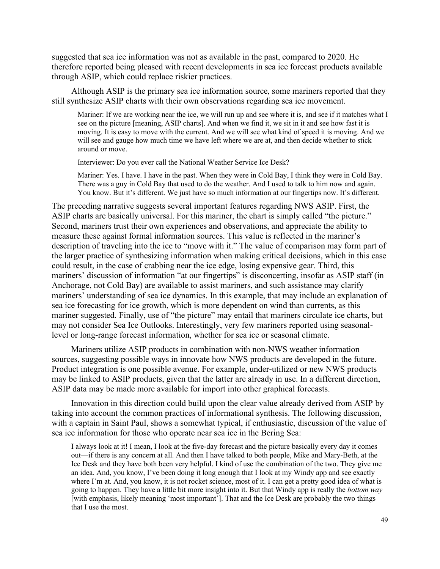suggested that sea ice information was not as available in the past, compared to 2020. He therefore reported being pleased with recent developments in sea ice forecast products available through ASIP, which could replace riskier practices.

Although ASIP is the primary sea ice information source, some mariners reported that they still synthesize ASIP charts with their own observations regarding sea ice movement.

Mariner: If we are working near the ice, we will run up and see where it is, and see if it matches what I see on the picture [meaning, ASIP charts]. And when we find it, we sit in it and see how fast it is moving. It is easy to move with the current. And we will see what kind of speed it is moving. And we will see and gauge how much time we have left where we are at, and then decide whether to stick around or move.

Interviewer: Do you ever call the National Weather Service Ice Desk?

Mariner: Yes. I have. I have in the past. When they were in Cold Bay, I think they were in Cold Bay. There was a guy in Cold Bay that used to do the weather. And I used to talk to him now and again. You know. But it's different. We just have so much information at our fingertips now. It's different.

The preceding narrative suggests several important features regarding NWS ASIP. First, the ASIP charts are basically universal. For this mariner, the chart is simply called "the picture." Second, mariners trust their own experiences and observations, and appreciate the ability to measure these against formal information sources. This value is reflected in the mariner's description of traveling into the ice to "move with it." The value of comparison may form part of the larger practice of synthesizing information when making critical decisions, which in this case could result, in the case of crabbing near the ice edge, losing expensive gear. Third, this mariners' discussion of information "at our fingertips" is disconcerting, insofar as ASIP staff (in Anchorage, not Cold Bay) are available to assist mariners, and such assistance may clarify mariners' understanding of sea ice dynamics. In this example, that may include an explanation of sea ice forecasting for ice growth, which is more dependent on wind than currents, as this mariner suggested. Finally, use of "the picture" may entail that mariners circulate ice charts, but may not consider Sea Ice Outlooks. Interestingly, very few mariners reported using seasonallevel or long-range forecast information, whether for sea ice or seasonal climate.

Mariners utilize ASIP products in combination with non-NWS weather information sources, suggesting possible ways in innovate how NWS products are developed in the future. Product integration is one possible avenue. For example, under-utilized or new NWS products may be linked to ASIP products, given that the latter are already in use. In a different direction, ASIP data may be made more available for import into other graphical forecasts.

Innovation in this direction could build upon the clear value already derived from ASIP by taking into account the common practices of informational synthesis. The following discussion, with a captain in Saint Paul, shows a somewhat typical, if enthusiastic, discussion of the value of sea ice information for those who operate near sea ice in the Bering Sea:

I always look at it! I mean, I look at the five-day forecast and the picture basically every day it comes out—if there is any concern at all. And then I have talked to both people, Mike and Mary-Beth, at the Ice Desk and they have both been very helpful. I kind of use the combination of the two. They give me an idea. And, you know, I've been doing it long enough that I look at my Windy app and see exactly where I'm at. And, you know, it is not rocket science, most of it. I can get a pretty good idea of what is going to happen. They have a little bit more insight into it. But that Windy app is really the *bottom way* [with emphasis, likely meaning 'most important']. That and the Ice Desk are probably the two things that I use the most.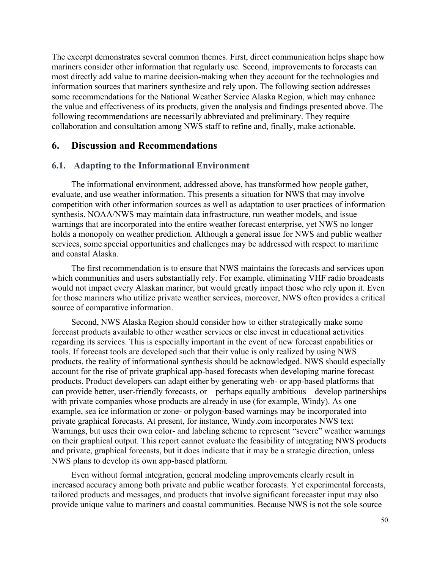The excerpt demonstrates several common themes. First, direct communication helps shape how mariners consider other information that regularly use. Second, improvements to forecasts can most directly add value to marine decision-making when they account for the technologies and information sources that mariners synthesize and rely upon. The following section addresses some recommendations for the National Weather Service Alaska Region, which may enhance the value and effectiveness of its products, given the analysis and findings presented above. The following recommendations are necessarily abbreviated and preliminary. They require collaboration and consultation among NWS staff to refine and, finally, make actionable.

#### **6. Discussion and Recommendations**

#### **6.1. Adapting to the Informational Environment**

The informational environment, addressed above, has transformed how people gather, evaluate, and use weather information. This presents a situation for NWS that may involve competition with other information sources as well as adaptation to user practices of information synthesis. NOAA/NWS may maintain data infrastructure, run weather models, and issue warnings that are incorporated into the entire weather forecast enterprise, yet NWS no longer holds a monopoly on weather prediction. Although a general issue for NWS and public weather services, some special opportunities and challenges may be addressed with respect to maritime and coastal Alaska.

The first recommendation is to ensure that NWS maintains the forecasts and services upon which communities and users substantially rely. For example, eliminating VHF radio broadcasts would not impact every Alaskan mariner, but would greatly impact those who rely upon it. Even for those mariners who utilize private weather services, moreover, NWS often provides a critical source of comparative information.

Second, NWS Alaska Region should consider how to either strategically make some forecast products available to other weather services or else invest in educational activities regarding its services. This is especially important in the event of new forecast capabilities or tools. If forecast tools are developed such that their value is only realized by using NWS products, the reality of informational synthesis should be acknowledged. NWS should especially account for the rise of private graphical app-based forecasts when developing marine forecast products. Product developers can adapt either by generating web- or app-based platforms that can provide better, user-friendly forecasts, or—perhaps equally ambitious—develop partnerships with private companies whose products are already in use (for example, Windy). As one example, sea ice information or zone- or polygon-based warnings may be incorporated into private graphical forecasts. At present, for instance, Windy.com incorporates NWS text Warnings, but uses their own color- and labeling scheme to represent "severe" weather warnings on their graphical output. This report cannot evaluate the feasibility of integrating NWS products and private, graphical forecasts, but it does indicate that it may be a strategic direction, unless NWS plans to develop its own app-based platform.

Even without formal integration, general modeling improvements clearly result in increased accuracy among both private and public weather forecasts. Yet experimental forecasts, tailored products and messages, and products that involve significant forecaster input may also provide unique value to mariners and coastal communities. Because NWS is not the sole source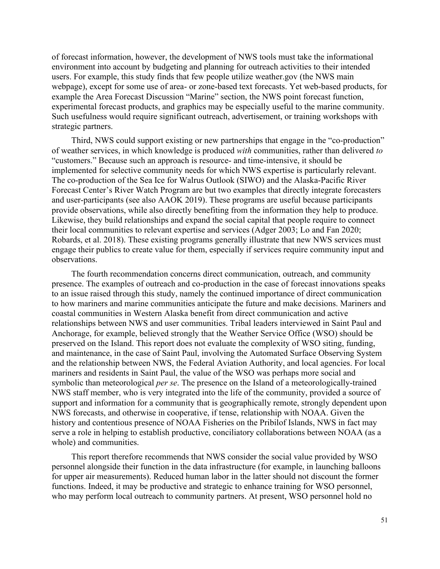of forecast information, however, the development of NWS tools must take the informational environment into account by budgeting and planning for outreach activities to their intended users. For example, this study finds that few people utilize weather.gov (the NWS main webpage), except for some use of area- or zone-based text forecasts. Yet web-based products, for example the Area Forecast Discussion "Marine" section, the NWS point forecast function, experimental forecast products, and graphics may be especially useful to the marine community. Such usefulness would require significant outreach, advertisement, or training workshops with strategic partners.

Third, NWS could support existing or new partnerships that engage in the "co-production" of weather services, in which knowledge is produced *with* communities, rather than delivered *to*  "customers." Because such an approach is resource- and time-intensive, it should be implemented for selective community needs for which NWS expertise is particularly relevant. The co-production of the Sea Ice for Walrus Outlook (SIWO) and the Alaska-Pacific River Forecast Center's River Watch Program are but two examples that directly integrate forecasters and user-participants (see also AAOK 2019). These programs are useful because participants provide observations, while also directly benefiting from the information they help to produce. Likewise, they build relationships and expand the social capital that people require to connect their local communities to relevant expertise and services (Adger 2003; Lo and Fan 2020; Robards, et al. 2018). These existing programs generally illustrate that new NWS services must engage their publics to create value for them, especially if services require community input and observations.

The fourth recommendation concerns direct communication, outreach, and community presence. The examples of outreach and co-production in the case of forecast innovations speaks to an issue raised through this study, namely the continued importance of direct communication to how mariners and marine communities anticipate the future and make decisions. Mariners and coastal communities in Western Alaska benefit from direct communication and active relationships between NWS and user communities. Tribal leaders interviewed in Saint Paul and Anchorage, for example, believed strongly that the Weather Service Office (WSO) should be preserved on the Island. This report does not evaluate the complexity of WSO siting, funding, and maintenance, in the case of Saint Paul, involving the Automated Surface Observing System and the relationship between NWS, the Federal Aviation Authority, and local agencies. For local mariners and residents in Saint Paul, the value of the WSO was perhaps more social and symbolic than meteorological *per se*. The presence on the Island of a meteorologically-trained NWS staff member, who is very integrated into the life of the community, provided a source of support and information for a community that is geographically remote, strongly dependent upon NWS forecasts, and otherwise in cooperative, if tense, relationship with NOAA. Given the history and contentious presence of NOAA Fisheries on the Pribilof Islands, NWS in fact may serve a role in helping to establish productive, conciliatory collaborations between NOAA (as a whole) and communities.

This report therefore recommends that NWS consider the social value provided by WSO personnel alongside their function in the data infrastructure (for example, in launching balloons for upper air measurements). Reduced human labor in the latter should not discount the former functions. Indeed, it may be productive and strategic to enhance training for WSO personnel, who may perform local outreach to community partners. At present, WSO personnel hold no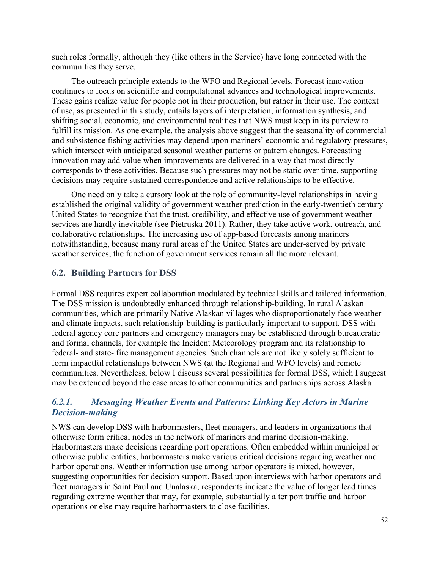such roles formally, although they (like others in the Service) have long connected with the communities they serve.

The outreach principle extends to the WFO and Regional levels. Forecast innovation continues to focus on scientific and computational advances and technological improvements. These gains realize value for people not in their production, but rather in their use. The context of use, as presented in this study, entails layers of interpretation, information synthesis, and shifting social, economic, and environmental realities that NWS must keep in its purview to fulfill its mission. As one example, the analysis above suggest that the seasonality of commercial and subsistence fishing activities may depend upon mariners' economic and regulatory pressures, which intersect with anticipated seasonal weather patterns or pattern changes. Forecasting innovation may add value when improvements are delivered in a way that most directly corresponds to these activities. Because such pressures may not be static over time, supporting decisions may require sustained correspondence and active relationships to be effective.

One need only take a cursory look at the role of community-level relationships in having established the original validity of government weather prediction in the early-twentieth century United States to recognize that the trust, credibility, and effective use of government weather services are hardly inevitable (see Pietruska 2011). Rather, they take active work, outreach, and collaborative relationships. The increasing use of app-based forecasts among mariners notwithstanding, because many rural areas of the United States are under-served by private weather services, the function of government services remain all the more relevant.

## **6.2. Building Partners for DSS**

Formal DSS requires expert collaboration modulated by technical skills and tailored information. The DSS mission is undoubtedly enhanced through relationship-building. In rural Alaskan communities, which are primarily Native Alaskan villages who disproportionately face weather and climate impacts, such relationship-building is particularly important to support. DSS with federal agency core partners and emergency managers may be established through bureaucratic and formal channels, for example the Incident Meteorology program and its relationship to federal- and state- fire management agencies. Such channels are not likely solely sufficient to form impactful relationships between NWS (at the Regional and WFO levels) and remote communities. Nevertheless, below I discuss several possibilities for formal DSS, which I suggest may be extended beyond the case areas to other communities and partnerships across Alaska.

## *6.2.1. Messaging Weather Events and Patterns: Linking Key Actors in Marine Decision-making*

NWS can develop DSS with harbormasters, fleet managers, and leaders in organizations that otherwise form critical nodes in the network of mariners and marine decision-making. Harbormasters make decisions regarding port operations. Often embedded within municipal or otherwise public entities, harbormasters make various critical decisions regarding weather and harbor operations. Weather information use among harbor operators is mixed, however, suggesting opportunities for decision support. Based upon interviews with harbor operators and fleet managers in Saint Paul and Unalaska, respondents indicate the value of longer lead times regarding extreme weather that may, for example, substantially alter port traffic and harbor operations or else may require harbormasters to close facilities.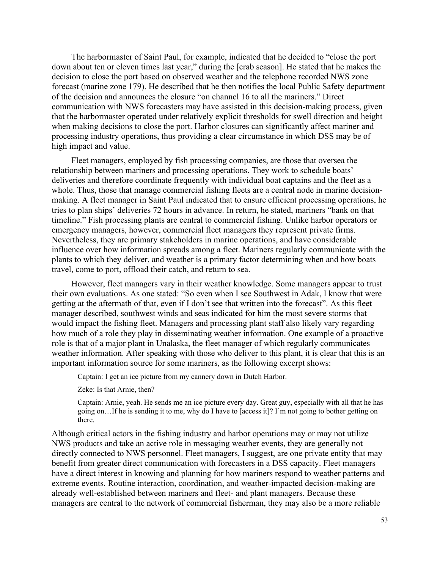The harbormaster of Saint Paul, for example, indicated that he decided to "close the port down about ten or eleven times last year," during the [crab season]. He stated that he makes the decision to close the port based on observed weather and the telephone recorded NWS zone forecast (marine zone 179). He described that he then notifies the local Public Safety department of the decision and announces the closure "on channel 16 to all the mariners." Direct communication with NWS forecasters may have assisted in this decision-making process, given that the harbormaster operated under relatively explicit thresholds for swell direction and height when making decisions to close the port. Harbor closures can significantly affect mariner and processing industry operations, thus providing a clear circumstance in which DSS may be of high impact and value.

Fleet managers, employed by fish processing companies, are those that oversea the relationship between mariners and processing operations. They work to schedule boats' deliveries and therefore coordinate frequently with individual boat captains and the fleet as a whole. Thus, those that manage commercial fishing fleets are a central node in marine decisionmaking. A fleet manager in Saint Paul indicated that to ensure efficient processing operations, he tries to plan ships' deliveries 72 hours in advance. In return, he stated, mariners "bank on that timeline." Fish processing plants are central to commercial fishing. Unlike harbor operators or emergency managers, however, commercial fleet managers they represent private firms. Nevertheless, they are primary stakeholders in marine operations, and have considerable influence over how information spreads among a fleet. Mariners regularly communicate with the plants to which they deliver, and weather is a primary factor determining when and how boats travel, come to port, offload their catch, and return to sea.

However, fleet managers vary in their weather knowledge. Some managers appear to trust their own evaluations. As one stated: "So even when I see Southwest in Adak, I know that were getting at the aftermath of that, even if I don't see that written into the forecast". As this fleet manager described, southwest winds and seas indicated for him the most severe storms that would impact the fishing fleet. Managers and processing plant staff also likely vary regarding how much of a role they play in disseminating weather information. One example of a proactive role is that of a major plant in Unalaska, the fleet manager of which regularly communicates weather information. After speaking with those who deliver to this plant, it is clear that this is an important information source for some mariners, as the following excerpt shows:

Captain: I get an ice picture from my cannery down in Dutch Harbor.

Zeke: Is that Arnie, then?

Captain: Arnie, yeah. He sends me an ice picture every day. Great guy, especially with all that he has going on…If he is sending it to me, why do I have to [access it]? I'm not going to bother getting on there.

Although critical actors in the fishing industry and harbor operations may or may not utilize NWS products and take an active role in messaging weather events, they are generally not directly connected to NWS personnel. Fleet managers, I suggest, are one private entity that may benefit from greater direct communication with forecasters in a DSS capacity. Fleet managers have a direct interest in knowing and planning for how mariners respond to weather patterns and extreme events. Routine interaction, coordination, and weather-impacted decision-making are already well-established between mariners and fleet- and plant managers. Because these managers are central to the network of commercial fisherman, they may also be a more reliable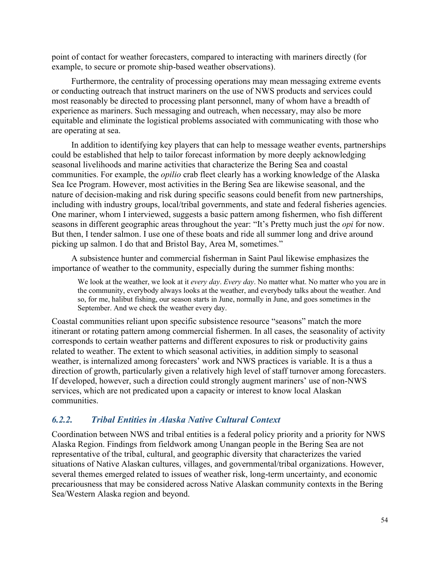point of contact for weather forecasters, compared to interacting with mariners directly (for example, to secure or promote ship-based weather observations).

Furthermore, the centrality of processing operations may mean messaging extreme events or conducting outreach that instruct mariners on the use of NWS products and services could most reasonably be directed to processing plant personnel, many of whom have a breadth of experience as mariners. Such messaging and outreach, when necessary, may also be more equitable and eliminate the logistical problems associated with communicating with those who are operating at sea.

In addition to identifying key players that can help to message weather events, partnerships could be established that help to tailor forecast information by more deeply acknowledging seasonal livelihoods and marine activities that characterize the Bering Sea and coastal communities. For example, the *opilio* crab fleet clearly has a working knowledge of the Alaska Sea Ice Program. However, most activities in the Bering Sea are likewise seasonal, and the nature of decision-making and risk during specific seasons could benefit from new partnerships, including with industry groups, local/tribal governments, and state and federal fisheries agencies. One mariner, whom I interviewed, suggests a basic pattern among fishermen, who fish different seasons in different geographic areas throughout the year: "It's Pretty much just the *opi* for now. But then, I tender salmon. I use one of these boats and ride all summer long and drive around picking up salmon. I do that and Bristol Bay, Area M, sometimes."

A subsistence hunter and commercial fisherman in Saint Paul likewise emphasizes the importance of weather to the community, especially during the summer fishing months:

We look at the weather, we look at it *every day*. *Every day*. No matter what. No matter who you are in the community, everybody always looks at the weather, and everybody talks about the weather. And so, for me, halibut fishing, our season starts in June, normally in June, and goes sometimes in the September. And we check the weather every day.

Coastal communities reliant upon specific subsistence resource "seasons" match the more itinerant or rotating pattern among commercial fishermen. In all cases, the seasonality of activity corresponds to certain weather patterns and different exposures to risk or productivity gains related to weather. The extent to which seasonal activities, in addition simply to seasonal weather, is internalized among forecasters' work and NWS practices is variable. It is a thus a direction of growth, particularly given a relatively high level of staff turnover among forecasters. If developed, however, such a direction could strongly augment mariners' use of non-NWS services, which are not predicated upon a capacity or interest to know local Alaskan communities.

## *6.2.2. Tribal Entities in Alaska Native Cultural Context*

Coordination between NWS and tribal entities is a federal policy priority and a priority for NWS Alaska Region. Findings from fieldwork among Unangan people in the Bering Sea are not representative of the tribal, cultural, and geographic diversity that characterizes the varied situations of Native Alaskan cultures, villages, and governmental/tribal organizations. However, several themes emerged related to issues of weather risk, long-term uncertainty, and economic precariousness that may be considered across Native Alaskan community contexts in the Bering Sea/Western Alaska region and beyond.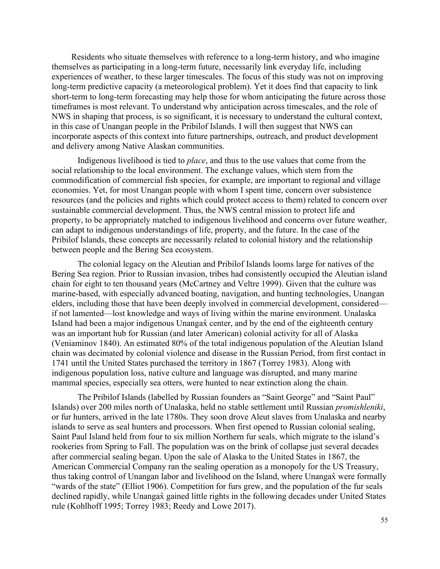Residents who situate themselves with reference to a long-term history, and who imagine themselves as participating in a long-term future, necessarily link everyday life, including experiences of weather, to these larger timescales. The focus of this study was not on improving long-term predictive capacity (a meteorological problem). Yet it does find that capacity to link short-term to long-term forecasting may help those for whom anticipating the future across those timeframes is most relevant. To understand why anticipation across timescales, and the role of NWS in shaping that process, is so significant, it is necessary to understand the cultural context, in this case of Unangan people in the Pribilof Islands. I will then suggest that NWS can incorporate aspects of this context into future partnerships, outreach, and product development and delivery among Native Alaskan communities.

Indigenous livelihood is tied to *place*, and thus to the use values that come from the social relationship to the local environment. The exchange values, which stem from the commodification of commercial fish species, for example, are important to regional and village economies. Yet, for most Unangan people with whom I spent time, concern over subsistence resources (and the policies and rights which could protect access to them) related to concern over sustainable commercial development. Thus, the NWS central mission to protect life and property, to be appropriately matched to indigenous livelihood and concerns over future weather, can adapt to indigenous understandings of life, property, and the future. In the case of the Pribilof Islands, these concepts are necessarily related to colonial history and the relationship between people and the Bering Sea ecosystem.

The colonial legacy on the Aleutian and Pribilof Islands looms large for natives of the Bering Sea region. Prior to Russian invasion, tribes had consistently occupied the Aleutian island chain for eight to ten thousand years (McCartney and Veltre 1999). Given that the culture was marine-based, with especially advanced boating, navigation, and hunting technologies, Unangan elders, including those that have been deeply involved in commercial development, considered if not lamented—lost knowledge and ways of living within the marine environment. Unalaska Island had been a major indigenous Unangax̂ center, and by the end of the eighteenth century was an important hub for Russian (and later American) colonial activity for all of Alaska (Veniaminov 1840). An estimated 80% of the total indigenous population of the Aleutian Island chain was decimated by colonial violence and disease in the Russian Period, from first contact in 1741 until the United States purchased the territory in 1867 (Torrey 1983). Along with indigenous population loss, native culture and language was disrupted, and many marine mammal species, especially sea otters, were hunted to near extinction along the chain.

The Pribilof Islands (labelled by Russian founders as "Saint George" and "Saint Paul" Islands) over 200 miles north of Unalaska, held no stable settlement until Russian *promishleniki*, or fur hunters, arrived in the late 1780s. They soon drove Aleut slaves from Unalaska and nearby islands to serve as seal hunters and processors. When first opened to Russian colonial sealing, Saint Paul Island held from four to six million Northern fur seals, which migrate to the island's rookeries from Spring to Fall. The population was on the brink of collapse just several decades after commercial sealing began. Upon the sale of Alaska to the United States in 1867, the American Commercial Company ran the sealing operation as a monopoly for the US Treasury, thus taking control of Unangan labor and livelihood on the Island, where Unangax were formally "wards of the state" (Elliot 1906). Competition for furs grew, and the population of the fur seals declined rapidly, while Unangax gained little rights in the following decades under United States rule (Kohlhoff 1995; Torrey 1983; Reedy and Lowe 2017).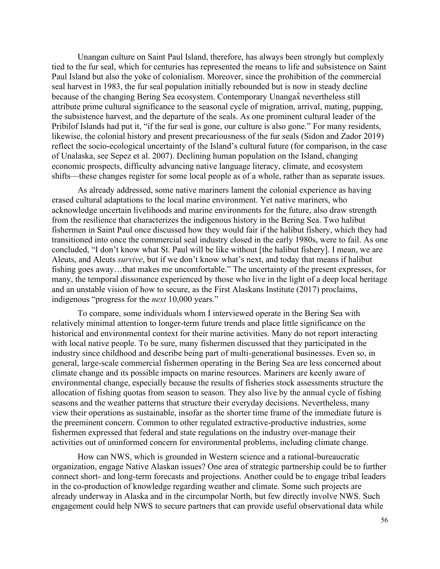Unangan culture on Saint Paul Island, therefore, has always been strongly but complexly tied to the fur seal, which for centuries has represented the means to life and subsistence on Saint Paul Island but also the yoke of colonialism. Moreover, since the prohibition of the commercial seal harvest in 1983, the fur seal population initially rebounded but is now in steady decline because of the changing Bering Sea ecosystem. Contemporary Unangax nevertheless still attribute prime cultural significance to the seasonal cycle of migration, arrival, mating, pupping, the subsistence harvest, and the departure of the seals. As one prominent cultural leader of the Pribilof Islands had put it, "if the fur seal is gone, our culture is also gone." For many residents, likewise, the colonial history and present precariousness of the fur seals (Sidon and Zador 2019) reflect the socio-ecological uncertainty of the Island's cultural future (for comparison, in the case of Unalaska, see Sepez et al. 2007). Declining human population on the Island, changing economic prospects, difficulty advancing native language literacy, climate, and ecosystem shifts—these changes register for some local people as of a whole, rather than as separate issues.

As already addressed, some native mariners lament the colonial experience as having erased cultural adaptations to the local marine environment. Yet native mariners, who acknowledge uncertain livelihoods and marine environments for the future, also draw strength from the resilience that characterizes the indigenous history in the Bering Sea. Two halibut fishermen in Saint Paul once discussed how they would fair if the halibut fishery, which they had transitioned into once the commercial seal industry closed in the early 1980s, were to fail. As one concluded, "I don't know what St. Paul will be like without [the halibut fishery]. I mean, we are Aleuts, and Aleuts *survive*, but if we don't know what's next, and today that means if halibut fishing goes away…that makes me uncomfortable." The uncertainty of the present expresses, for many, the temporal dissonance experienced by those who live in the light of a deep local heritage and an unstable vision of how to secure, as the First Alaskans Institute (2017) proclaims, indigenous "progress for the *next* 10,000 years."

To compare, some individuals whom I interviewed operate in the Bering Sea with relatively minimal attention to longer-term future trends and place little significance on the historical and environmental context for their marine activities. Many do not report interacting with local native people. To be sure, many fishermen discussed that they participated in the industry since childhood and describe being part of multi-generational businesses. Even so, in general, large-scale commercial fishermen operating in the Bering Sea are less concerned about climate change and its possible impacts on marine resources. Mariners are keenly aware of environmental change, especially because the results of fisheries stock assessments structure the allocation of fishing quotas from season to season. They also live by the annual cycle of fishing seasons and the weather patterns that structure their everyday decisions. Nevertheless, many view their operations as sustainable, insofar as the shorter time frame of the immediate future is the preeminent concern. Common to other regulated extractive-productive industries, some fishermen expressed that federal and state regulations on the industry over-manage their activities out of uninformed concern for environmental problems, including climate change.

How can NWS, which is grounded in Western science and a rational-bureaucratic organization, engage Native Alaskan issues? One area of strategic partnership could be to further connect short- and long-term forecasts and projections. Another could be to engage tribal leaders in the co-production of knowledge regarding weather and climate. Some such projects are already underway in Alaska and in the circumpolar North, but few directly involve NWS. Such engagement could help NWS to secure partners that can provide useful observational data while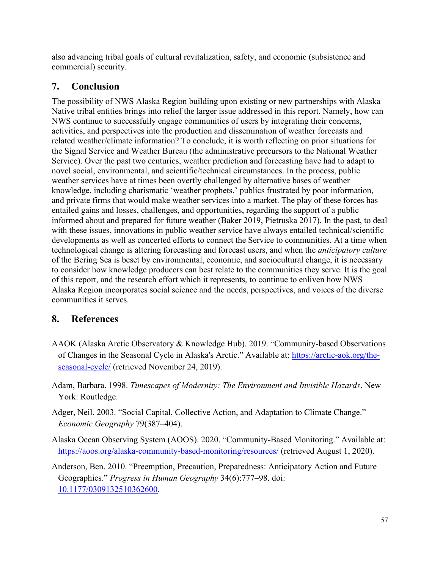also advancing tribal goals of cultural revitalization, safety, and economic (subsistence and commercial) security.

## **7. Conclusion**

The possibility of NWS Alaska Region building upon existing or new partnerships with Alaska Native tribal entities brings into relief the larger issue addressed in this report. Namely, how can NWS continue to successfully engage communities of users by integrating their concerns, activities, and perspectives into the production and dissemination of weather forecasts and related weather/climate information? To conclude, it is worth reflecting on prior situations for the Signal Service and Weather Bureau (the administrative precursors to the National Weather Service). Over the past two centuries, weather prediction and forecasting have had to adapt to novel social, environmental, and scientific/technical circumstances. In the process, public weather services have at times been overtly challenged by alternative bases of weather knowledge, including charismatic 'weather prophets,' publics frustrated by poor information, and private firms that would make weather services into a market. The play of these forces has entailed gains and losses, challenges, and opportunities, regarding the support of a public informed about and prepared for future weather (Baker 2019, Pietruska 2017). In the past, to deal with these issues, innovations in public weather service have always entailed technical/scientific developments as well as concerted efforts to connect the Service to communities. At a time when technological change is altering forecasting and forecast users, and when the *anticipatory culture*  of the Bering Sea is beset by environmental, economic, and sociocultural change, it is necessary to consider how knowledge producers can best relate to the communities they serve. It is the goal of this report, and the research effort which it represents, to continue to enliven how NWS Alaska Region incorporates social science and the needs, perspectives, and voices of the diverse communities it serves.

## **8. References**

- AAOK (Alaska Arctic Observatory & Knowledge Hub). 2019. "Community-based Observations of Changes in the Seasonal Cycle in Alaska's Arctic." Available at: [https://arctic-aok.org/the](https://arctic-aok.org/the-seasonal-cycle/)[seasonal-cycle/](https://arctic-aok.org/the-seasonal-cycle/) (retrieved November 24, 2019).
- Adam, Barbara. 1998. *Timescapes of Modernity: The Environment and Invisible Hazards*. New York: Routledge.
- Adger, Neil. 2003. "Social Capital, Collective Action, and Adaptation to Climate Change." *Economic Geography* 79(387–404).
- Alaska Ocean Observing System (AOOS). 2020. "Community-Based Monitoring." Available at: <https://aoos.org/alaska-community-based-monitoring/resources/> (retrieved August 1, 2020).
- Anderson, Ben. 2010. "Preemption, Precaution, Preparedness: Anticipatory Action and Future Geographies." *Progress in Human Geography* 34(6):777–98. doi: [10.1177/0309132510362600.](https://doi.org/10.1177/0309132510362600)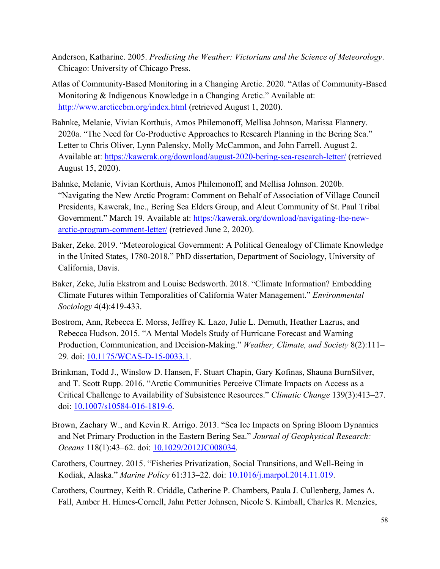- Anderson, Katharine. 2005. *Predicting the Weather: Victorians and the Science of Meteorology*. Chicago: University of Chicago Press.
- Atlas of Community-Based Monitoring in a Changing Arctic. 2020. "Atlas of Community-Based Monitoring & Indigenous Knowledge in a Changing Arctic." Available at: <http://www.arcticcbm.org/index.html> (retrieved August 1, 2020).
- Bahnke, Melanie, Vivian Korthuis, Amos Philemonoff, Mellisa Johnson, Marissa Flannery. 2020a. "The Need for Co-Productive Approaches to Research Planning in the Bering Sea." Letter to Chris Oliver, Lynn Palensky, Molly McCammon, and John Farrell. August 2. Available at:<https://kawerak.org/download/august-2020-bering-sea-research-letter/> (retrieved August 15, 2020).
- Bahnke, Melanie, Vivian Korthuis, Amos Philemonoff, and Mellisa Johnson. 2020b. "Navigating the New Arctic Program: Comment on Behalf of Association of Village Council Presidents, Kawerak, Inc., Bering Sea Elders Group, and Aleut Community of St. Paul Tribal Government." March 19. Available at: [https://kawerak.org/download/navigating-the-new](https://kawerak.org/download/navigating-the-new-arctic-program-comment-letter/)[arctic-program-comment-letter/](https://kawerak.org/download/navigating-the-new-arctic-program-comment-letter/) (retrieved June 2, 2020).
- Baker, Zeke. 2019. "Meteorological Government: A Political Genealogy of Climate Knowledge in the United States, 1780-2018." PhD dissertation, Department of Sociology, University of California, Davis.
- Baker, Zeke, Julia Ekstrom and Louise Bedsworth. 2018. "Climate Information? Embedding Climate Futures within Temporalities of California Water Management." *Environmental Sociology* 4(4):419-433.
- Bostrom, Ann, Rebecca E. Morss, Jeffrey K. Lazo, Julie L. Demuth, Heather Lazrus, and Rebecca Hudson. 2015. "A Mental Models Study of Hurricane Forecast and Warning Production, Communication, and Decision-Making." *Weather, Climate, and Society* 8(2):111– 29. doi: [10.1175/WCAS-D-15-0033.1.](https://doi.org/10.1175/WCAS-D-15-0033.1)
- Brinkman, Todd J., Winslow D. Hansen, F. Stuart Chapin, Gary Kofinas, Shauna BurnSilver, and T. Scott Rupp. 2016. "Arctic Communities Perceive Climate Impacts on Access as a Critical Challenge to Availability of Subsistence Resources." *Climatic Change* 139(3):413–27. doi: [10.1007/s10584-016-1819-6.](https://doi.org/10.1007/s10584-016-1819-6)
- Brown, Zachary W., and Kevin R. Arrigo. 2013. "Sea Ice Impacts on Spring Bloom Dynamics and Net Primary Production in the Eastern Bering Sea." *Journal of Geophysical Research: Oceans* 118(1):43–62. doi: [10.1029/2012JC008034.](https://doi.org/10.1029/2012JC008034)
- Carothers, Courtney. 2015. "Fisheries Privatization, Social Transitions, and Well-Being in Kodiak, Alaska." *Marine Policy* 61:313–22. doi: [10.1016/j.marpol.2014.11.019.](https://doi.org/10.1016/j.marpol.2014.11.019)
- Carothers, Courtney, Keith R. Criddle, Catherine P. Chambers, Paula J. Cullenberg, James A. Fall, Amber H. Himes-Cornell, Jahn Petter Johnsen, Nicole S. Kimball, Charles R. Menzies,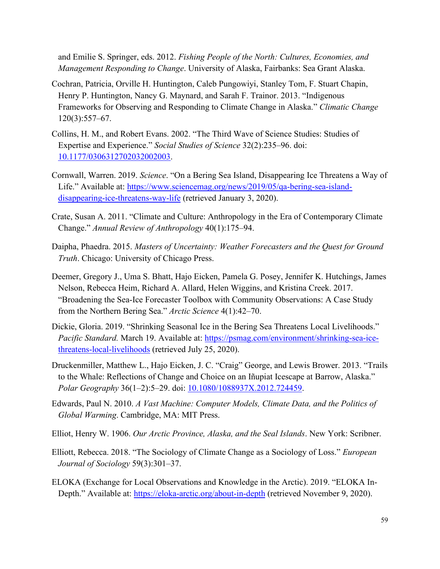and Emilie S. Springer, eds. 2012. *Fishing People of the North: Cultures, Economies, and Management Responding to Change*. University of Alaska, Fairbanks: Sea Grant Alaska.

- Cochran, Patricia, Orville H. Huntington, Caleb Pungowiyi, Stanley Tom, F. Stuart Chapin, Henry P. Huntington, Nancy G. Maynard, and Sarah F. Trainor. 2013. "Indigenous Frameworks for Observing and Responding to Climate Change in Alaska." *Climatic Change* 120(3):557–67.
- Collins, H. M., and Robert Evans. 2002. "The Third Wave of Science Studies: Studies of Expertise and Experience." *Social Studies of Science* 32(2):235–96. doi: [10.1177/0306312702032002003.](https://doi.org/10.1177/0306312702032002003)
- Cornwall, Warren. 2019. *Science*. "On a Bering Sea Island, Disappearing Ice Threatens a Way of Life." Available at: [https://www.sciencemag.org/news/2019/05/qa-bering-sea-island](https://www.sciencemag.org/news/2019/05/qa-bering-sea-island-disappearing-ice-threatens-way-life)[disappearing-ice-threatens-way-life](https://www.sciencemag.org/news/2019/05/qa-bering-sea-island-disappearing-ice-threatens-way-life) (retrieved January 3, 2020).
- Crate, Susan A. 2011. "Climate and Culture: Anthropology in the Era of Contemporary Climate Change." *Annual Review of Anthropology* 40(1):175–94.
- Daipha, Phaedra. 2015. *Masters of Uncertainty: Weather Forecasters and the Quest for Ground Truth*. Chicago: University of Chicago Press.
- Deemer, Gregory J., Uma S. Bhatt, Hajo Eicken, Pamela G. Posey, Jennifer K. Hutchings, James Nelson, Rebecca Heim, Richard A. Allard, Helen Wiggins, and Kristina Creek. 2017. "Broadening the Sea-Ice Forecaster Toolbox with Community Observations: A Case Study from the Northern Bering Sea." *Arctic Science* 4(1):42–70.
- Dickie, Gloria. 2019. "Shrinking Seasonal Ice in the Bering Sea Threatens Local Livelihoods." *Pacific Standard.* March 19. Available at: [https://psmag.com/environment/shrinking-sea-ice](https://psmag.com/environment/shrinking-sea-ice-threatens-local-livelihoods)[threatens-local-livelihoods](https://psmag.com/environment/shrinking-sea-ice-threatens-local-livelihoods) (retrieved July 25, 2020).
- Druckenmiller, Matthew L., Hajo Eicken, J. C. "Craig" George, and Lewis Brower. 2013. "Trails to the Whale: Reflections of Change and Choice on an Iñupiat Icescape at Barrow, Alaska." *Polar Geography* 36(1–2):5–29. doi: [10.1080/1088937X.2012.724459.](https://doi.org/10.1080/1088937X.2012.724459)
- Edwards, Paul N. 2010. *A Vast Machine: Computer Models, Climate Data, and the Politics of Global Warming*. Cambridge, MA: MIT Press.
- Elliot, Henry W. 1906. *Our Arctic Province, Alaska, and the Seal Islands*. New York: Scribner.
- Elliott, Rebecca. 2018. "The Sociology of Climate Change as a Sociology of Loss." *European Journal of Sociology* 59(3):301–37.
- ELOKA (Exchange for Local Observations and Knowledge in the Arctic). 2019. "ELOKA InDepth." Available at: <https://eloka-arctic.org/about-in-depth> (retrieved November 9, 2020).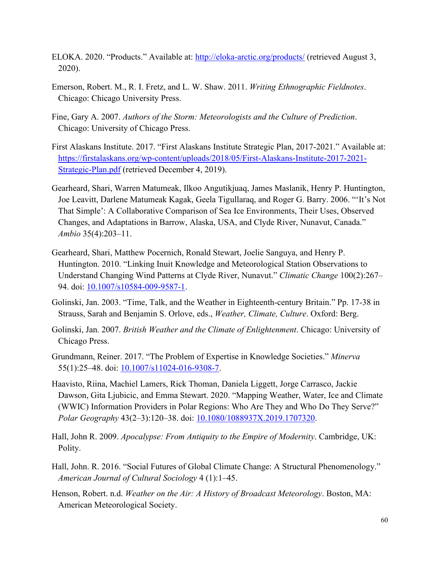- ELOKA. 2020. "Products." Available at: <http://eloka-arctic.org/products/> (retrieved August 3, 2020).
- Emerson, Robert. M., R. I. Fretz, and L. W. Shaw. 2011. *Writing Ethnographic Fieldnotes*. Chicago: Chicago University Press.
- Fine, Gary A. 2007. *Authors of the Storm: Meteorologists and the Culture of Prediction*. Chicago: University of Chicago Press.
- First Alaskans Institute. 2017. "First Alaskans Institute Strategic Plan, 2017-2021." Available at: [https://firstalaskans.org/wp-content/uploads/2018/05/First-Alaskans-Institute-2017-2021-](https://firstalaskans.org/wp-content/uploads/2018/05/First-Alaskans-Institute-2017-2021-Strategic-Plan.pdf) [Strategic-Plan.pdf](https://firstalaskans.org/wp-content/uploads/2018/05/First-Alaskans-Institute-2017-2021-Strategic-Plan.pdf) (retrieved December 4, 2019).
- Gearheard, Shari, Warren Matumeak, Ilkoo Angutikjuaq, James Maslanik, Henry P. Huntington, Joe Leavitt, Darlene Matumeak Kagak, Geela Tigullaraq, and Roger G. Barry. 2006. "'It's Not That Simple': A Collaborative Comparison of Sea Ice Environments, Their Uses, Observed Changes, and Adaptations in Barrow, Alaska, USA, and Clyde River, Nunavut, Canada." *Ambio* 35(4):203–11.
- Gearheard, Shari, Matthew Pocernich, Ronald Stewart, Joelie Sanguya, and Henry P. Huntington. 2010. "Linking Inuit Knowledge and Meteorological Station Observations to Understand Changing Wind Patterns at Clyde River, Nunavut." *Climatic Change* 100(2):267– 94. doi: [10.1007/s10584-009-9587-1.](https://doi.org/10.1007/s10584-009-9587-1)
- Golinski, Jan. 2003. "Time, Talk, and the Weather in Eighteenth-century Britain." Pp. 17-38 in Strauss, Sarah and Benjamin S. Orlove, eds., *Weather, Climate, Culture*. Oxford: Berg.
- Golinski, Jan. 2007. *British Weather and the Climate of Enlightenment*. Chicago: University of Chicago Press.
- Grundmann, Reiner. 2017. "The Problem of Expertise in Knowledge Societies." *Minerva* 55(1):25–48. doi: [10.1007/s11024-016-9308-7.](https://doi.org/10.1007/s11024-016-9308-7)
- Haavisto, Riina, Machiel Lamers, Rick Thoman, Daniela Liggett, Jorge Carrasco, Jackie Dawson, Gita Ljubicic, and Emma Stewart. 2020. "Mapping Weather, Water, Ice and Climate (WWIC) Information Providers in Polar Regions: Who Are They and Who Do They Serve?" *Polar Geography* 43(2–3):120–38. doi: [10.1080/1088937X.2019.1707320.](https://doi.org/10.1080/1088937X.2019.1707320)
- Hall, John R. 2009. *Apocalypse: From Antiquity to the Empire of Modernity*. Cambridge, UK: Polity.
- Hall, John. R. 2016. "Social Futures of Global Climate Change: A Structural Phenomenology." *American Journal of Cultural Sociology* 4 (1):1–45.
- Henson, Robert. n.d. *Weather on the Air: A History of Broadcast Meteorology*. Boston, MA: American Meteorological Society.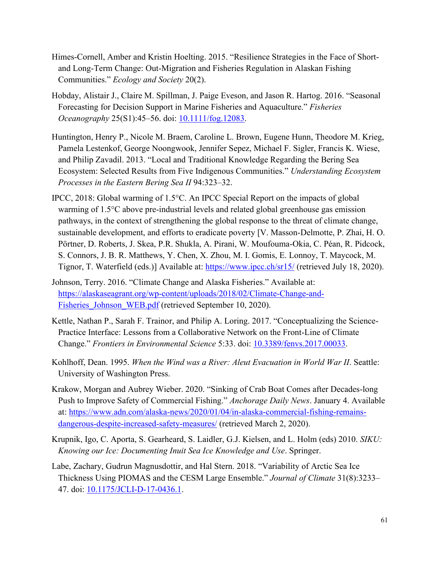- Himes-Cornell, Amber and Kristin Hoelting. 2015. "Resilience Strategies in the Face of Shortand Long-Term Change: Out-Migration and Fisheries Regulation in Alaskan Fishing Communities." *Ecology and Society* 20(2).
- Hobday, Alistair J., Claire M. Spillman, J. Paige Eveson, and Jason R. Hartog. 2016. "Seasonal Forecasting for Decision Support in Marine Fisheries and Aquaculture." *Fisheries Oceanography* 25(S1):45-56. doi: **10.1111/fog.12083**.
- Huntington, Henry P., Nicole M. Braem, Caroline L. Brown, Eugene Hunn, Theodore M. Krieg, Pamela Lestenkof, George Noongwook, Jennifer Sepez, Michael F. Sigler, Francis K. Wiese, and Philip Zavadil. 2013. "Local and Traditional Knowledge Regarding the Bering Sea Ecosystem: Selected Results from Five Indigenous Communities." *Understanding Ecosystem Processes in the Eastern Bering Sea II* 94:323–32.
- IPCC, 2018: Global warming of 1.5°C. An IPCC Special Report on the impacts of global warming of 1.5°C above pre-industrial levels and related global greenhouse gas emission pathways, in the context of strengthening the global response to the threat of climate change, sustainable development, and efforts to eradicate poverty [V. Masson-Delmotte, P. Zhai, H. O. Pörtner, D. Roberts, J. Skea, P.R. Shukla, A. Pirani, W. Moufouma-Okia, C. Péan, R. Pidcock, S. Connors, J. B. R. Matthews, Y. Chen, X. Zhou, M. I. Gomis, E. Lonnoy, T. Maycock, M. Tignor, T. Waterfield (eds.)] Available at:<https://www.ipcc.ch/sr15/> (retrieved July 18, 2020).
- Johnson, Terry. 2016. "Climate Change and Alaska Fisheries." Available at: [https://alaskaseagrant.org/wp-content/uploads/2018/02/Climate-Change-and-](https://alaskaseagrant.org/wp-content/uploads/2018/02/Climate-Change-and-Fisheries_Johnson_WEB.pdf)Fisheries Johnson WEB.pdf (retrieved September 10, 2020).
- Kettle, Nathan P., Sarah F. Trainor, and Philip A. Loring. 2017. "Conceptualizing the Science-Practice Interface: Lessons from a Collaborative Network on the Front-Line of Climate Change." *Frontiers in Environmental Science* 5:33. doi: [10.3389/fenvs.2017.00033.](https://doi.org/10.3389/fenvs.2017.00033)
- Kohlhoff, Dean. 1995. *When the Wind was a River: Aleut Evacuation in World War II*. Seattle: University of Washington Press.
- Krakow, Morgan and Aubrey Wieber. 2020. "Sinking of Crab Boat Comes after Decades-long Push to Improve Safety of Commercial Fishing." *Anchorage Daily News*. January 4. Available at: [https://www.adn.com/alaska-news/2020/01/04/in-alaska-commercial-fishing-remains](https://www.adn.com/alaska-news/2020/01/04/in-alaska-commercial-fishing-remains-dangerous-despite-increased-safety-measures/)[dangerous-despite-increased-safety-measures/](https://www.adn.com/alaska-news/2020/01/04/in-alaska-commercial-fishing-remains-dangerous-despite-increased-safety-measures/) (retrieved March 2, 2020).
- Krupnik, Igo, C. Aporta, S. Gearheard, S. Laidler, G.J. Kielsen, and L. Holm (eds) 2010. *SIKU: Knowing our Ice: Documenting Inuit Sea Ice Knowledge and Use*. Springer.
- Labe, Zachary, Gudrun Magnusdottir, and Hal Stern. 2018. "Variability of Arctic Sea Ice Thickness Using PIOMAS and the CESM Large Ensemble." *Journal of Climate* 31(8):3233– 47. doi: [10.1175/JCLI-D-17-0436.1.](https://doi.org/10.1175/JCLI-D-17-0436.1)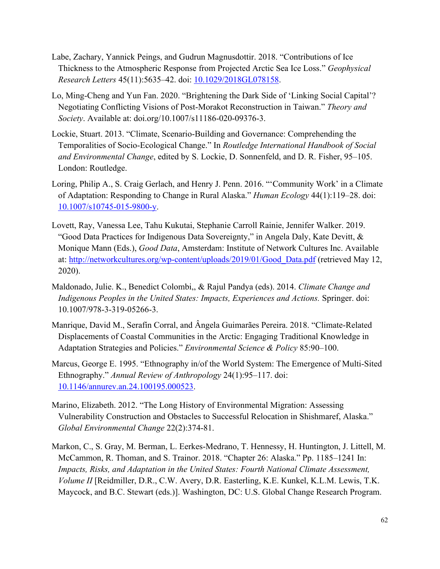- Labe, Zachary, Yannick Peings, and Gudrun Magnusdottir. 2018. "Contributions of Ice Thickness to the Atmospheric Response from Projected Arctic Sea Ice Loss." *Geophysical Research Letters* 45(11):5635–42. doi: [10.1029/2018GL078158.](https://doi.org/10.1029/2018GL078158)
- Lo, Ming-Cheng and Yun Fan. 2020. "Brightening the Dark Side of 'Linking Social Capital'? Negotiating Conflicting Visions of Post-Morakot Reconstruction in Taiwan." *Theory and Society*. Available at: doi.org/10.1007/s11186-020-09376-3.
- Lockie, Stuart. 2013. "Climate, Scenario-Building and Governance: Comprehending the Temporalities of Socio-Ecological Change." In *Routledge International Handbook of Social and Environmental Change*, edited by S. Lockie, D. Sonnenfeld, and D. R. Fisher, 95–105. London: Routledge.
- Loring, Philip A., S. Craig Gerlach, and Henry J. Penn. 2016. "'Community Work' in a Climate of Adaptation: Responding to Change in Rural Alaska." *Human Ecology* 44(1):119–28. doi: [10.1007/s10745-015-9800-y.](https://doi.org/10.1007/s10745-015-9800-y)
- Lovett, Ray, Vanessa Lee, Tahu Kukutai, Stephanie Carroll Rainie, Jennifer Walker. 2019. "Good Data Practices for Indigenous Data Sovereignty," in Angela Daly, Kate Devitt, & Monique Mann (Eds.), *Good Data*, Amsterdam: Institute of Network Cultures Inc. Available at: [http://networkcultures.org/wp-content/uploads/2019/01/Good\\_Data.pdf](http://networkcultures.org/wp-content/uploads/2019/01/Good_Data.pdf) (retrieved May 12, 2020).
- Maldonado, Julie. K., Benedict Colombi,, & Rajul Pandya (eds). 2014. *Climate Change and Indigenous Peoples in the United States: Impacts, Experiences and Actions.* Springer. doi: 10.1007/978-3-319-05266-3.
- Manrique, David M., Serafín Corral, and Ângela Guimarães Pereira. 2018. "Climate-Related Displacements of Coastal Communities in the Arctic: Engaging Traditional Knowledge in Adaptation Strategies and Policies." *Environmental Science & Policy* 85:90–100.
- Marcus, George E. 1995. "Ethnography in/of the World System: The Emergence of Multi-Sited Ethnography." *Annual Review of Anthropology* 24(1):95–117. doi: [10.1146/annurev.an.24.100195.000523.](https://doi.org/10.1146/annurev.an.24.100195.000523)
- Marino, Elizabeth. 2012. "The Long History of Environmental Migration: Assessing Vulnerability Construction and Obstacles to Successful Relocation in Shishmaref, Alaska." *Global Environmental Change* 22(2):374-81.
- Markon, C., S. Gray, M. Berman, L. Eerkes-Medrano, T. Hennessy, H. Huntington, J. Littell, M. McCammon, R. Thoman, and S. Trainor. 2018. "Chapter 26: Alaska." Pp. 1185–1241 In: *Impacts, Risks, and Adaptation in the United States: Fourth National Climate Assessment, Volume II* [Reidmiller, D.R., C.W. Avery, D.R. Easterling, K.E. Kunkel, K.L.M. Lewis, T.K. Maycock, and B.C. Stewart (eds.)]. Washington, DC: U.S. Global Change Research Program.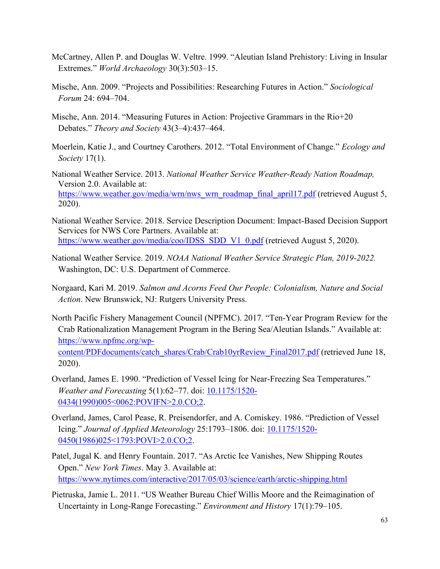- McCartney, Allen P. and Douglas W. Veltre. 1999. "Aleutian Island Prehistory: Living in Insular Extremes." *World Archaeology* 30(3):503–15.
- Mische, Ann. 2009. "Projects and Possibilities: Researching Futures in Action." *Sociological Forum* 24: 694–704.
- Mische, Ann. 2014. "Measuring Futures in Action: Projective Grammars in the Rio+20 Debates." *Theory and Society* 43(3–4):437–464.
- Moerlein, Katie J., and Courtney Carothers. 2012. "Total Environment of Change." *Ecology and Society* 17(1).
- National Weather Service. 2013. *National Weather Service Weather-Ready Nation Roadmap,*  Version 2.0. Available at: [https://www.weather.gov/media/wrn/nws\\_wrn\\_roadmap\\_final\\_april17.pdf](https://www.weather.gov/media/wrn/nws_wrn_roadmap_final_april17.pdf) (retrieved August 5, 2020).
- National Weather Service. 2018. Service Description Document: Impact-Based Decision Support Services for NWS Core Partners. Available at: [https://www.weather.gov/media/coo/IDSS\\_SDD\\_V1\\_0.pdf](https://www.weather.gov/media/coo/IDSS_SDD_V1_0.pdf) (retrieved August 5, 2020).
- National Weather Service. 2019. *NOAA National Weather Service Strategic Plan, 2019-2022.*  Washington, DC: U.S. Department of Commerce.
- Norgaard, Kari M. 2019. *Salmon and Acorns Feed Our People: Colonialism, Nature and Social Action*. New Brunswick, NJ: Rutgers University Press.
- North Pacific Fishery Management Council (NPFMC). 2017. "Ten-Year Program Review for the Crab Rationalization Management Program in the Bering Sea/Aleutian Islands." Available at: [https://www.npfmc.org/wp](https://www.npfmc.org/wp-content/PDFdocuments/catch_shares/Crab/Crab10yrReview_Final2017.pdf)[content/PDFdocuments/catch\\_shares/Crab/Crab10yrReview\\_Final2017.pdf](https://www.npfmc.org/wp-content/PDFdocuments/catch_shares/Crab/Crab10yrReview_Final2017.pdf) (retrieved June 18, 2020).
- Overland, James E. 1990. "Prediction of Vessel Icing for Near-Freezing Sea Temperatures." *Weather and Forecasting* 5(1):62–77. doi: [10.1175/1520-](https://doi.org/10.1175/1520-0434(1990)005%3c0062:POVIFN%3e2.0.CO;2) [0434\(1990\)005<0062:POVIFN>2.0.CO;2.](https://doi.org/10.1175/1520-0434(1990)005%3c0062:POVIFN%3e2.0.CO;2)
- Overland, James, Carol Pease, R. Preisendorfer, and A. Comiskey. 1986. "Prediction of Vessel Icing." *Journal of Applied Meteorology* 25:1793–1806. doi: [10.1175/1520-](https://doi.org/10.1175/1520-0450(1986)025%3c1793:POVI%3e2.0.CO;2) [0450\(1986\)025<1793:POVI>2.0.CO;2.](https://doi.org/10.1175/1520-0450(1986)025%3c1793:POVI%3e2.0.CO;2)
- Patel, Jugal K. and Henry Fountain. 2017. "As Arctic Ice Vanishes, New Shipping Routes Open." *New York Times*. May 3. Available at: [https://www.nytimes.com/interactive/2017/05/03/science/earth/arctic-shipping.html](https://www.nytimes.com/interactive/2017/05/03/science/earth/arctic-shipping.html?mtrref=www.google.com&gwh=89D13C47311DF73EF4A4141FA46B76E8&gwt=pay&assetType=PAYWALL)
- Pietruska, Jamie L. 2011. "US Weather Bureau Chief Willis Moore and the Reimagination of Uncertainty in Long-Range Forecasting." *Environment and History* 17(1):79–105.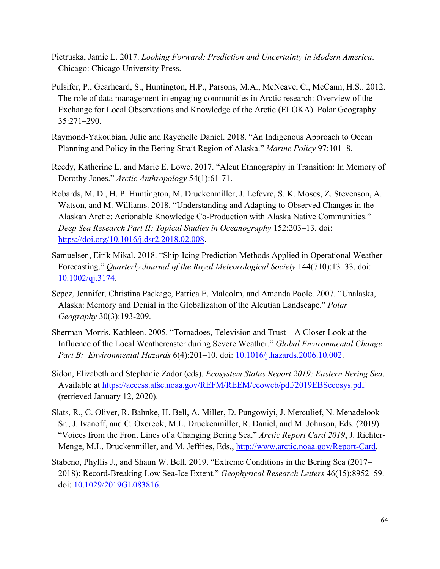- Pietruska, Jamie L. 2017. *Looking Forward: Prediction and Uncertainty in Modern America*. Chicago: Chicago University Press.
- Pulsifer, P., Gearheard, S., Huntington, H.P., Parsons, M.A., McNeave, C., McCann, H.S.. 2012. The role of data management in engaging communities in Arctic research: Overview of the Exchange for Local Observations and Knowledge of the Arctic (ELOKA). Polar Geography 35:271–290.
- Raymond-Yakoubian, Julie and Raychelle Daniel. 2018. "An Indigenous Approach to Ocean Planning and Policy in the Bering Strait Region of Alaska." *Marine Policy* 97:101–8.
- Reedy, Katherine L. and Marie E. Lowe. 2017. "Aleut Ethnography in Transition: In Memory of Dorothy Jones." *Arctic Anthropology* 54(1):61-71.
- Robards, M. D., H. P. Huntington, M. Druckenmiller, J. Lefevre, S. K. Moses, Z. Stevenson, A. Watson, and M. Williams. 2018. "Understanding and Adapting to Observed Changes in the Alaskan Arctic: Actionable Knowledge Co-Production with Alaska Native Communities." *Deep Sea Research Part II: Topical Studies in Oceanography* 152:203–13. doi: [https://doi.org/10.1016/j.dsr2.2018.02.008.](https://doi.org/10.1016/j.dsr2.2018.02.008)
- Samuelsen, Eirik Mikal. 2018. "Ship-Icing Prediction Methods Applied in Operational Weather Forecasting." *Quarterly Journal of the Royal Meteorological Society* 144(710):13–33. doi: [10.1002/qj.3174.](https://doi.org/10.1002/qj.3174)
- Sepez, Jennifer, Christina Package, Patrica E. Malcolm, and Amanda Poole. 2007. "Unalaska, Alaska: Memory and Denial in the Globalization of the Aleutian Landscape." *Polar Geography* 30(3):193-209.
- Sherman-Morris, Kathleen. 2005. "Tornadoes, Television and Trust—A Closer Look at the Influence of the Local Weathercaster during Severe Weather." *Global Environmental Change Part B: Environmental Hazards* 6(4):201–10. doi: [10.1016/j.hazards.2006.10.002.](https://doi.org/10.1016/j.hazards.2006.10.002)
- Sidon, Elizabeth and Stephanie Zador (eds). *Ecosystem Status Report 2019: Eastern Bering Sea*. Available at<https://access.afsc.noaa.gov/REFM/REEM/ecoweb/pdf/2019EBSecosys.pdf> (retrieved January 12, 2020).
- Slats, R., C. Oliver, R. Bahnke, H. Bell, A. Miller, D. Pungowiyi, J. Merculief, N. Menadelook Sr., J. Ivanoff, and C. Oxereok; M.L. Druckenmiller, R. Daniel, and M. Johnson, Eds. (2019) "Voices from the Front Lines of a Changing Bering Sea." *Arctic Report Card 2019*, J. Richter-Menge, M.L. Druckenmiller, and M. Jeffries, Eds., [http://www.arctic.noaa.gov/Report-Card.](http://www.arctic.noaa.gov/Report-Card)
- Stabeno, Phyllis J., and Shaun W. Bell. 2019. "Extreme Conditions in the Bering Sea (2017– 2018): Record-Breaking Low Sea-Ice Extent." *Geophysical Research Letters* 46(15):8952–59. doi: [10.1029/2019GL083816.](https://doi.org/10.1029/2019GL083816)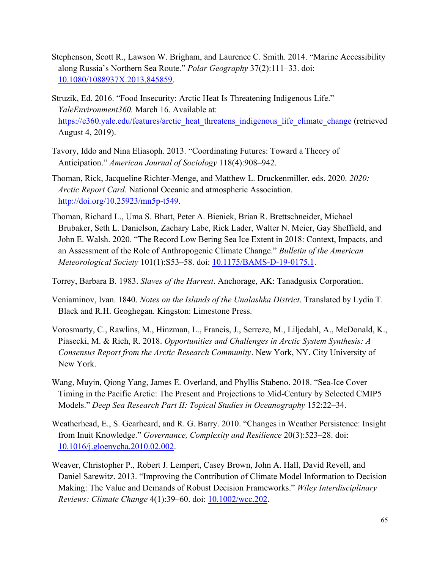- Stephenson, Scott R., Lawson W. Brigham, and Laurence C. Smith. 2014. "Marine Accessibility along Russia's Northern Sea Route." *Polar Geography* 37(2):111–33. doi: [10.1080/1088937X.2013.845859.](https://doi.org/10.1080/1088937X.2013.845859)
- Struzik, Ed. 2016. "Food Insecurity: Arctic Heat Is Threatening Indigenous Life." *YaleEnvironment360.* March 16. Available at: [https://e360.yale.edu/features/arctic\\_heat\\_threatens\\_indigenous\\_life\\_climate\\_change](https://e360.yale.edu/features/arctic_heat_threatens_indigenous_life_climate_change) (retrieved August 4, 2019).
- Tavory, Iddo and Nina Eliasoph. 2013. "Coordinating Futures: Toward a Theory of Anticipation." *American Journal of Sociology* 118(4):908–942.
- Thoman, Rick, Jacqueline Richter-Menge, and Matthew L. Druckenmiller, eds. 2020. *2020: Arctic Report Card*. National Oceanic and atmospheric Association. [http://doi.org/10.25923/mn5p-t549.](http://doi.org/10.25923/mn5p-t549)
- Thoman, Richard L., Uma S. Bhatt, Peter A. Bieniek, Brian R. Brettschneider, Michael Brubaker, Seth L. Danielson, Zachary Labe, Rick Lader, Walter N. Meier, Gay Sheffield, and John E. Walsh. 2020. "The Record Low Bering Sea Ice Extent in 2018: Context, Impacts, and an Assessment of the Role of Anthropogenic Climate Change." *Bulletin of the American Meteorological Society* 101(1):S53–58. doi: [10.1175/BAMS-D-19-0175.1.](https://doi.org/10.1175/BAMS-D-19-0175.1)
- Torrey, Barbara B. 1983. *Slaves of the Harvest*. Anchorage, AK: Tanadgusix Corporation.
- Veniaminov, Ivan. 1840. *Notes on the Islands of the Unalashka District*. Translated by Lydia T. Black and R.H. Geoghegan. Kingston: Limestone Press.
- Vorosmarty, C., Rawlins, M., Hinzman, L., Francis, J., Serreze, M., Liljedahl, A., McDonald, K., Piasecki, M. & Rich, R. 2018. *Opportunities and Challenges in Arctic System Synthesis: A Consensus Report from the Arctic Research Community*. New York, NY. City University of New York.
- Wang, Muyin, Qiong Yang, James E. Overland, and Phyllis Stabeno. 2018. "Sea-Ice Cover Timing in the Pacific Arctic: The Present and Projections to Mid-Century by Selected CMIP5 Models." *Deep Sea Research Part II: Topical Studies in Oceanography* 152:22–34.
- Weatherhead, E., S. Gearheard, and R. G. Barry. 2010. "Changes in Weather Persistence: Insight from Inuit Knowledge." *Governance, Complexity and Resilience* 20(3):523–28. doi: [10.1016/j.gloenvcha.2010.02.002.](https://doi.org/10.1016/j.gloenvcha.2010.02.002)
- Weaver, Christopher P., Robert J. Lempert, Casey Brown, John A. Hall, David Revell, and Daniel Sarewitz. 2013. "Improving the Contribution of Climate Model Information to Decision Making: The Value and Demands of Robust Decision Frameworks." *Wiley Interdisciplinary Reviews: Climate Change* 4(1):39–60. doi: [10.1002/wcc.202.](https://doi.org/10.1002/wcc.202)